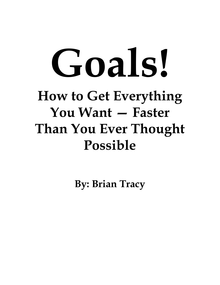# **Goals! How to Get Everything You Want — Faster Than You Ever Thought Possible**

**By: Brian Tracy**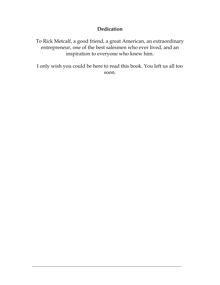# **Dedication**

To Rick Metcalf, a good friend, a great American, an extraordinary entrepreneur, one of the best salesmen who ever lived, and an inspiration to everyone who knew him.

I only wish you could be here to read this book. You left us all too soon.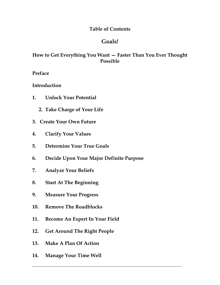# **Table of Contents**

# **Goals!**

# **How to Get Everything You Want — Faster Than You Ever Thought Possible**

**Preface** 

**Introduction** 

- **1. Unlock Your Potential** 
	- **2. Take Charge of Your Life**
- **3. Create Your Own Future**
- **4. Clarify Your Values**
- **5. Determine Your True Goals**
- **6. Decide Upon Your Major Definite Purpose**
- **7. Analyze Your Beliefs**
- **8. Start At The Beginning**
- **9. Measure Your Progress**
- **10. Remove The Roadblocks**
- **11. Become An Expert In Your Field**
- **12. Get Around The Right People**
- **13. Make A Plan Of Action**
- **14. Manage Your Time Well**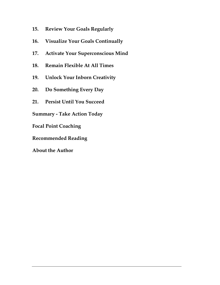- **15. Review Your Goals Regularly**
- **16. Visualize Your Goals Continually**
- **17. Activate Your Superconscious Mind**
- **18. Remain Flexible At All Times**
- **19. Unlock Your Inborn Creativity**
- **20. Do Something Every Day**
- **21. Persist Until You Succeed**

**Summary - Take Action Today** 

**Focal Point Coaching** 

**Recommended Reading** 

**About the Author**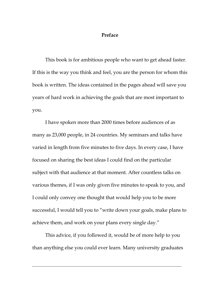## **Preface**

This book is for ambitious people who want to get ahead faster. If this is the way you think and feel, you are the person for whom this book is written. The ideas contained in the pages ahead will save you years of hard work in achieving the goals that are most important to you.

I have spoken more than 2000 times before audiences of as many as 23,000 people, in 24 countries. My seminars and talks have varied in length from five minutes to five days. In every case, I have focused on sharing the best ideas I could find on the particular subject with that audience at that moment. After countless talks on various themes, if I was only given five minutes to speak to you, and I could only convey one thought that would help you to be more successful, I would tell you to "write down your goals, make plans to achieve them, and work on your plans every single day."

This advice, if you followed it, would be of more help to you than anything else you could ever learn. Many university graduates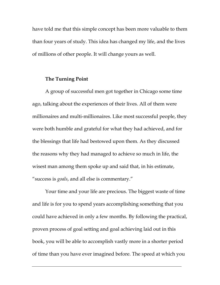have told me that this simple concept has been more valuable to them than four years of study. This idea has changed my life, and the lives of millions of other people. It will change yours as well.

#### **The Turning Point**

A group of successful men got together in Chicago some time ago, talking about the experiences of their lives. All of them were millionaires and multi-millionaires. Like most successful people, they were both humble and grateful for what they had achieved, and for the blessings that life had bestowed upon them. As they discussed the reasons why they had managed to achieve so much in life, the wisest man among them spoke up and said that, in his estimate, "success is *goals*, and all else is commentary."

Your time and your life are precious. The biggest waste of time and life is for you to spend years accomplishing something that you could have achieved in only a few months. By following the practical, proven process of goal setting and goal achieving laid out in this book, you will be able to accomplish vastly more in a shorter period of time than you have ever imagined before. The speed at which you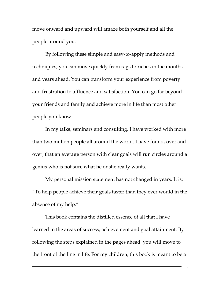move onward and upward will amaze both yourself and all the people around you.

By following these simple and easy-to-apply methods and techniques, you can move quickly from rags to riches in the months and years ahead. You can transform your experience from poverty and frustration to affluence and satisfaction. You can go far beyond your friends and family and achieve more in life than most other people you know.

In my talks, seminars and consulting, I have worked with more than two million people all around the world. I have found, over and over, that an average person with clear goals will run circles around a genius who is not sure what he or she really wants.

My personal mission statement has not changed in years. It is: "To help people achieve their goals faster than they ever would in the absence of my help."

This book contains the distilled essence of all that I have learned in the areas of success, achievement and goal attainment. By following the steps explained in the pages ahead, you will move to the front of the line in life. For my children, this book is meant to be a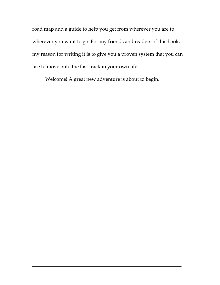road map and a guide to help you get from wherever you are to wherever you want to go. For my friends and readers of this book, my reason for writing it is to give you a proven system that you can use to move onto the fast track in your own life.

Welcome! A great new adventure is about to begin.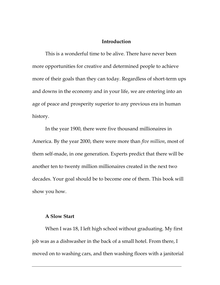#### **Introduction**

This is a wonderful time to be alive. There have never been more opportunities for creative and determined people to achieve more of their goals than they can today. Regardless of short-term ups and downs in the economy and in your life, we are entering into an age of peace and prosperity superior to any previous era in human history.

In the year 1900, there were five thousand millionaires in America. By the year 2000, there were more than *five million*, most of them self-made, in one generation. Experts predict that there will be another ten to twenty million millionaires created in the next two decades. Your goal should be to become one of them. This book will show you how.

## **A Slow Start**

When I was 18, I left high school without graduating. My first job was as a dishwasher in the back of a small hotel. From there, I moved on to washing cars, and then washing floors with a janitorial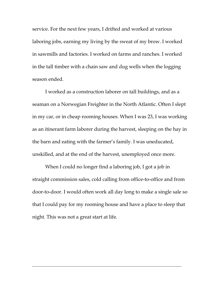service. For the next few years, I drifted and worked at various laboring jobs, earning my living by the sweat of my brow. I worked in sawmills and factories. I worked on farms and ranches. I worked in the tall timber with a chain saw and dug wells when the logging season ended.

I worked as a construction laborer on tall buildings, and as a seaman on a Norwegian Freighter in the North Atlantic. Often I slept in my car, or in cheap rooming houses. When I was 23, I was working as an itinerant farm laborer during the harvest, sleeping on the hay in the barn and eating with the farmer's family. I was uneducated, unskilled, and at the end of the harvest, unemployed once more.

When I could no longer find a laboring job, I got a job in straight commission sales, cold calling from office-to-office and from door-to-door. I would often work all day long to make a single sale so that I could pay for my rooming house and have a place to sleep that night. This was not a great start at life.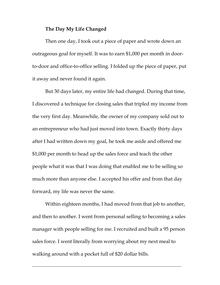## **The Day My Life Changed**

Then one day, I took out a piece of paper and wrote down an outrageous goal for myself. It was to earn \$1,000 per month in doorto-door and office-to-office selling. I folded up the piece of paper, put it away and never found it again.

But 30 days later, my entire life had changed. During that time, I discovered a technique for closing sales that tripled my income from the very first day. Meanwhile, the owner of my company sold out to an entrepreneur who had just moved into town. Exactly thirty days after I had written down my goal, he took me aside and offered me \$1,000 per month to head up the sales force and teach the other people what it was that I was doing that enabled me to be selling so much more than anyone else. I accepted his offer and from that day forward, my life was never the same.

Within eighteen months, I had moved from that job to another, and then to another. I went from personal selling to becoming a sales manager with people selling for me. I recruited and built a 95 person sales force. I went literally from worrying about my next meal to walking around with a pocket full of \$20 dollar bills.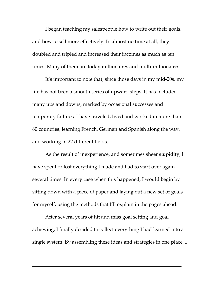I began teaching my salespeople how to write out their goals, and how to sell more effectively. In almost no time at all, they doubled and tripled and increased their incomes as much as ten times. Many of them are today millionaires and multi-millionaires.

It's important to note that, since those days in my mid-20s, my life has not been a smooth series of upward steps. It has included many ups and downs, marked by occasional successes and temporary failures. I have traveled, lived and worked in more than 80 countries, learning French, German and Spanish along the way, and working in 22 different fields.

As the result of inexperience, and sometimes sheer stupidity, I have spent or lost everything I made and had to start over again several times. In every case when this happened, I would begin by sitting down with a piece of paper and laying out a new set of goals for myself, using the methods that I'll explain in the pages ahead.

After several years of hit and miss goal setting and goal achieving, I finally decided to collect everything I had learned into a single system. By assembling these ideas and strategies in one place, I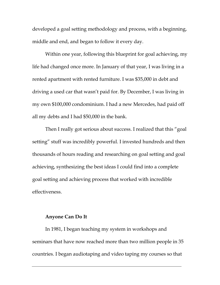developed a goal setting methodology and process, with a beginning, middle and end, and began to follow it every day.

Within one year, following this blueprint for goal achieving, my life had changed once more. In January of that year, I was living in a rented apartment with rented furniture. I was \$35,000 in debt and driving a used car that wasn't paid for. By December, I was living in my own \$100,000 condominium. I had a new Mercedes, had paid off all my debts and I had \$50,000 in the bank.

Then I really got serious about success. I realized that this "goal setting" stuff was incredibly powerful. I invested hundreds and then thousands of hours reading and researching on goal setting and goal achieving, synthesizing the best ideas I could find into a complete goal setting and achieving process that worked with incredible effectiveness.

## **Anyone Can Do It**

In 1981, I began teaching my system in workshops and seminars that have now reached more than two million people in 35 countries. I began audiotaping and video taping my courses so that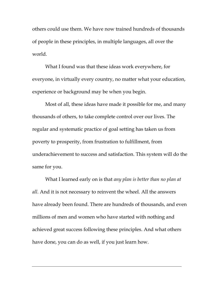others could use them. We have now trained hundreds of thousands of people in these principles, in multiple languages, all over the world.

What I found was that these ideas work everywhere, for everyone, in virtually every country, no matter what your education, experience or background may be when you begin.

Most of all, these ideas have made it possible for me, and many thousands of others, to take complete control over our lives. The regular and systematic practice of goal setting has taken us from poverty to prosperity, from frustration to fulfillment, from underachievement to success and satisfaction. This system will do the same for you.

What I learned early on is that *any plan is better than no plan at all*. And it is not necessary to reinvent the wheel. All the answers have already been found. There are hundreds of thousands, and even millions of men and women who have started with nothing and achieved great success following these principles. And what others have done, you can do as well, if you just learn how.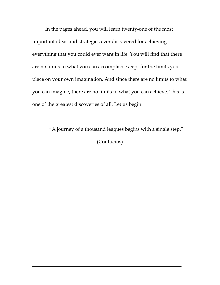In the pages ahead, you will learn twenty-one of the most important ideas and strategies ever discovered for achieving everything that you could ever want in life. You will find that there are no limits to what you can accomplish except for the limits you place on your own imagination. And since there are no limits to what you can imagine, there are no limits to what you can achieve. This is one of the greatest discoveries of all. Let us begin.

"A journey of a thousand leagues begins with a single step."

(Confucius)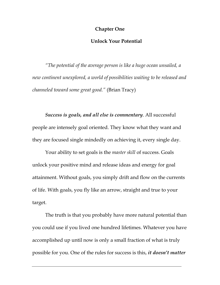#### **Chapter One**

#### **Unlock Your Potential**

*"The potential of the average person is like a huge ocean unsailed, a new continent unexplored, a world of possibilities waiting to be released and channeled toward some great good."* (Brian Tracy)

*Success is goals, and all else is commentary*. All successful people are intensely goal oriented. They know what they want and they are focused single mindedly on achieving it, every single day.

Your ability to set goals is the *master skill* of success. Goals unlock your positive mind and release ideas and energy for goal attainment. Without goals, you simply drift and flow on the currents of life. With goals, you fly like an arrow, straight and true to your target.

The truth is that you probably have more natural potential than you could use if you lived one hundred lifetimes. Whatever you have accomplished up until now is only a small fraction of what is truly possible for you. One of the rules for success is this, *it doesn't matter*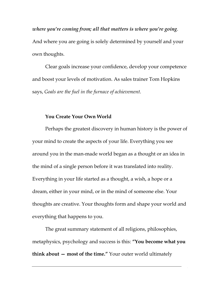*where you're coming from; all that matters is where you're going*. And where you are going is solely determined by yourself and your own thoughts.

Clear goals increase your confidence, develop your competence and boost your levels of motivation. As sales trainer Tom Hopkins says, *Goals are the fuel in the furnace of achievement*.

#### **You Create Your Own World**

Perhaps the greatest discovery in human history is the power of your mind to create the aspects of your life. Everything you see around you in the man-made world began as a thought or an idea in the mind of a single person before it was translated into reality. Everything in your life started as a thought, a wish, a hope or a dream, either in your mind, or in the mind of someone else. Your thoughts are creative. Your thoughts form and shape your world and everything that happens to you.

The great summary statement of all religions, philosophies, metaphysics, psychology and success is this: **"You become what you think about — most of the time."** Your outer world ultimately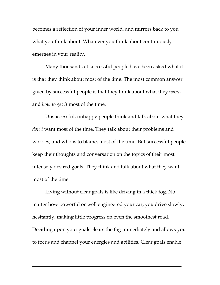becomes a reflection of your inner world, and mirrors back to you what you think about. Whatever you think about continuously emerges in your reality.

Many thousands of successful people have been asked what it is that they think about most of the time. The most common answer given by successful people is that they think about what they *want*, and *how to get it* most of the time.

Unsuccessful, unhappy people think and talk about what they *don't* want most of the time. They talk about their problems and worries, and who is to blame, most of the time. But successful people keep their thoughts and conversation on the topics of their most intensely desired goals. They think and talk about what they want most of the time.

Living without clear goals is like driving in a thick fog. No matter how powerful or well engineered your car, you drive slowly, hesitantly, making little progress on even the smoothest road. Deciding upon your goals clears the fog immediately and allows you to focus and channel your energies and abilities. Clear goals enable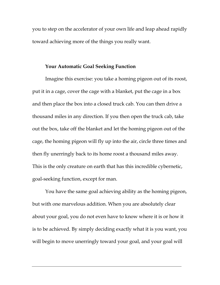you to step on the accelerator of your own life and leap ahead rapidly toward achieving more of the things you really want.

#### **Your Automatic Goal Seeking Function**

Imagine this exercise: you take a homing pigeon out of its roost, put it in a cage, cover the cage with a blanket, put the cage in a box and then place the box into a closed truck cab. You can then drive a thousand miles in any direction. If you then open the truck cab, take out the box, take off the blanket and let the homing pigeon out of the cage, the homing pigeon will fly up into the air, circle three times and then fly unerringly back to its home roost a thousand miles away. This is the only creature on earth that has this incredible cybernetic, goal-seeking function, except for man.

You have the same goal achieving ability as the homing pigeon, but with one marvelous addition. When you are absolutely clear about your goal, you do not even have to know where it is or how it is to be achieved. By simply deciding exactly what it is you want, you will begin to move unerringly toward your goal, and your goal will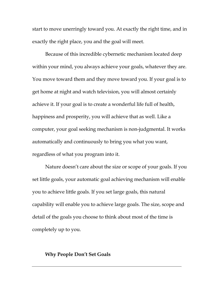start to move unerringly toward you. At exactly the right time, and in exactly the right place, you and the goal will meet.

Because of this incredible cybernetic mechanism located deep within your mind, you always achieve your goals, whatever they are. You move toward them and they move toward you. If your goal is to get home at night and watch television, you will almost certainly achieve it. If your goal is to create a wonderful life full of health, happiness and prosperity, you will achieve that as well. Like a computer, your goal seeking mechanism is non-judgmental. It works automatically and continuously to bring you what you want, regardless of what you program into it.

Nature doesn't care about the size or scope of your goals. If you set little goals, your automatic goal achieving mechanism will enable you to achieve little goals. If you set large goals, this natural capability will enable you to achieve large goals. The size, scope and detail of the goals you choose to think about most of the time is completely up to you.

## **Why People Don't Set Goals**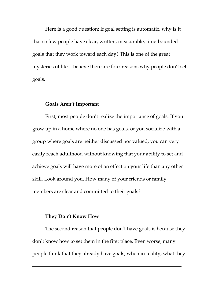Here is a good question: If goal setting is automatic, why is it that so few people have clear, written, measurable, time-bounded goals that they work toward each day? This is one of the great mysteries of life. I believe there are four reasons why people don't set goals.

#### **Goals Aren't Important**

First, most people don't realize the importance of goals. If you grow up in a home where no one has goals, or you socialize with a group where goals are neither discussed nor valued, you can very easily reach adulthood without knowing that your ability to set and achieve goals will have more of an effect on your life than any other skill. Look around you. How many of your friends or family members are clear and committed to their goals?

## **They Don't Know How**

The second reason that people don't have goals is because they don't know how to set them in the first place. Even worse, many people think that they already have goals, when in reality, what they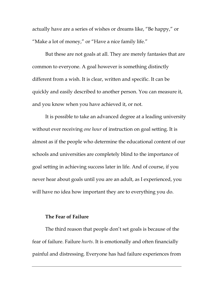actually have are a series of wishes or dreams like, "Be happy," or "Make a lot of money," or "Have a nice family life."

But these are not goals at all. They are merely fantasies that are common to everyone. A goal however is something distinctly different from a wish. It is clear, written and specific. It can be quickly and easily described to another person. You can measure it, and you know when you have achieved it, or not.

It is possible to take an advanced degree at a leading university without ever receiving *one hour* of instruction on goal setting. It is almost as if the people who determine the educational content of our schools and universities are completely blind to the importance of goal setting in achieving success later in life. And of course, if you never hear about goals until you are an adult, as I experienced, you will have no idea how important they are to everything you do.

## **The Fear of Failure**

The third reason that people don't set goals is because of the fear of failure. Failure *hurts*. It is emotionally and often financially painful and distressing. Everyone has had failure experiences from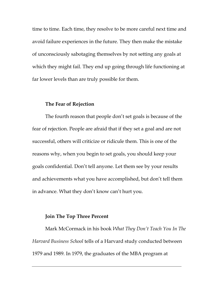time to time. Each time, they resolve to be more careful next time and avoid failure experiences in the future. They then make the mistake of unconsciously sabotaging themselves by not setting any goals at which they might fail. They end up going through life functioning at far lower levels than are truly possible for them.

## **The Fear of Rejection**

The fourth reason that people don't set goals is because of the fear of rejection. People are afraid that if they set a goal and are not successful, others will criticize or ridicule them. This is one of the reasons why, when you begin to set goals, you should keep your goals confidential. Don't tell anyone. Let them see by your results and achievements what you have accomplished, but don't tell them in advance. What they don't know can't hurt you.

## **Join The Top Three Percent**

Mark McCormack in his book *What They Don't Teach You In The Harvard Business School* tells of a Harvard study conducted between 1979 and 1989. In 1979, the graduates of the MBA program at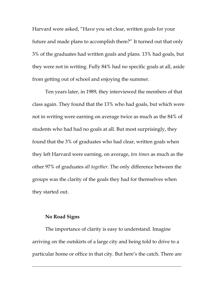Harvard were asked, "Have you set clear, written goals for your future and made plans to accomplish them?" It turned out that only 3% of the graduates had written goals and plans. 13% had goals, but they were not in writing. Fully 84% had no specific goals at all, aside from getting out of school and enjoying the summer.

Ten years later, in 1989, they interviewed the members of that class again. They found that the 13% who had goals, but which were not in writing were earning on average twice as much as the 84% of students who had had no goals at all. But most surprisingly, they found that the 3% of graduates who had clear, written goals when they left Harvard were earning, on average, *ten times* as much as the other 97% of graduates *all together*. The only difference between the groups was the clarity of the goals they had for themselves when they started out.

## **No Road Signs**

The importance of clarity is easy to understand. Imagine arriving on the outskirts of a large city and being told to drive to a particular home or office in that city. But here's the catch. There are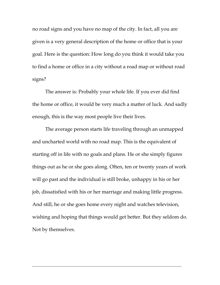no road signs and you have no map of the city. In fact, all you are given is a very general description of the home or office that is your goal. Here is the question: How long do you think it would take you to find a home or office in a city without a road map or without road signs?

The answer is: Probably your whole life. If you ever did find the home or office, it would be very much a matter of luck. And sadly enough, this is the way most people live their lives.

The average person starts life traveling through an unmapped and uncharted world with no road map. This is the equivalent of starting off in life with no goals and plans. He or she simply figures things out as he or she goes along. Often, ten or twenty years of work will go past and the individual is still broke, unhappy in his or her job, dissatisfied with his or her marriage and making little progress. And still, he or she goes home every night and watches television, wishing and hoping that things would get better. But they seldom do. Not by themselves.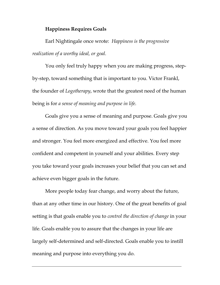# **Happiness Requires Goals**

Earl Nightingale once wrote: *Happiness is the progressive realization of a worthy ideal, or goal.*

You only feel truly happy when you are making progress, stepby-step, toward something that is important to you. Victor Frankl, the founder of *Logotherapy*, wrote that the greatest need of the human being is for *a sense of meaning and purpose in life.* 

Goals give you a sense of meaning and purpose. Goals give you a sense of direction. As you move toward your goals you feel happier and stronger. You feel more energized and effective. You feel more confident and competent in yourself and your abilities. Every step you take toward your goals increases your belief that you can set and achieve even bigger goals in the future.

More people today fear change, and worry about the future, than at any other time in our history. One of the great benefits of goal setting is that goals enable you to *control the direction of change* in your life. Goals enable you to assure that the changes in your life are largely self-determined and self-directed. Goals enable you to instill meaning and purpose into everything you do.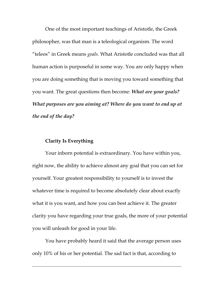One of the most important teachings of Aristotle, the Greek philosopher, was that man is a teleological organism. The word "teleos" in Greek means *goals*. What Aristotle concluded was that all human action is purposeful in some way. You are only happy when you are doing something that is moving you toward something that you want. The great questions then become: *What are your goals? What purposes are you aiming at? Where do you want to end up at the end of the day?* 

## **Clarity Is Everything**

Your inborn potential is extraordinary. You have within you, right now, the ability to achieve almost any goal that you can set for yourself. Your greatest responsibility to yourself is to invest the whatever time is required to become absolutely clear about exactly what it is you want, and how you can best achieve it. The greater clarity you have regarding your true goals, the more of your potential you will unleash for good in your life.

You have probably heard it said that the average person uses only 10% of his or her potential. The sad fact is that, according to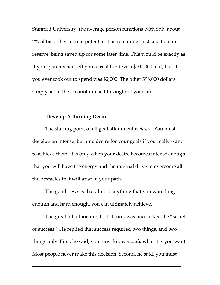Stanford University, the average person functions with only about 2% of his or her mental potential. The remainder just sits there in reserve, being saved up for some later time. This would be exactly as if your parents had left you a trust fund with \$100,000 in it, but all you ever took out to spend was \$2,000. The other \$98,000 dollars simply sat in the account unused throughout your life.

# **Develop A Burning Desire**

The starting point of all goal attainment is *desire*. You must develop an intense, burning desire for your goals if you really want to achieve them. It is only when your desire becomes intense enough that you will have the energy and the internal drive to overcome all the obstacles that will arise in your path.

The good news is that almost anything that you want long enough and hard enough, you can ultimately achieve.

The great oil billionaire, H. L. Hunt, was once asked the "secret of success." He replied that success required two things, and two things only. First, he said, you must know *exactly* what it is you want. Most people never make this decision. Second, he said, you must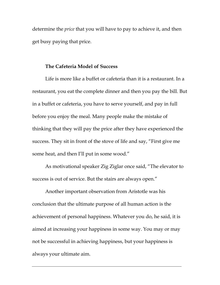determine the *price* that you will have to pay to achieve it, and then get busy paying that price.

#### **The Cafeteria Model of Success**

Life is more like a buffet or cafeteria than it is a restaurant. In a restaurant, you eat the complete dinner and then you pay the bill. But in a buffet or cafeteria, you have to serve yourself, and pay in full before you enjoy the meal. Many people make the mistake of thinking that they will pay the price after they have experienced the success. They sit in front of the stove of life and say, "First give me some heat, and then I'll put in some wood."

As motivational speaker Zig Ziglar once said, "The elevator to success is out of service. But the stairs are always open."

Another important observation from Aristotle was his conclusion that the ultimate purpose of all human action is the achievement of personal happiness. Whatever you do, he said, it is aimed at increasing your happiness in some way. You may or may not be successful in achieving happiness, but your happiness is always your ultimate aim.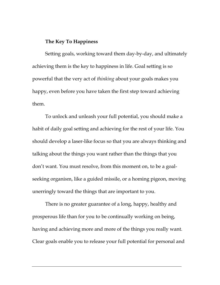#### **The Key To Happiness**

Setting goals, working toward them day-by-day, and ultimately achieving them is the key to happiness in life. Goal setting is so powerful that the very act of *thinking* about your goals makes you happy, even before you have taken the first step toward achieving them.

To unlock and unleash your full potential, you should make a habit of daily goal setting and achieving for the rest of your life. You should develop a laser-like focus so that you are always thinking and talking about the things you want rather than the things that you don't want. You must resolve, from this moment on, to be a goalseeking organism, like a guided missile, or a homing pigeon, moving unerringly toward the things that are important to you.

There is no greater guarantee of a long, happy, healthy and prosperous life than for you to be continually working on being, having and achieving more and more of the things you really want. Clear goals enable you to release your full potential for personal and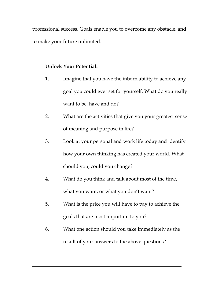professional success. Goals enable you to overcome any obstacle, and to make your future unlimited.

# **Unlock Your Potential:**

- 1. Imagine that you have the inborn ability to achieve any goal you could ever set for yourself. What do you really want to be, have and do?
- 2. What are the activities that give you your greatest sense of meaning and purpose in life?
- 3. Look at your personal and work life today and identify how your own thinking has created your world. What should you, could you change?
- 4. What do you think and talk about most of the time, what you want, or what you don't want?
- 5. What is the price you will have to pay to achieve the goals that are most important to you?
- 6. What one action should you take immediately as the result of your answers to the above questions?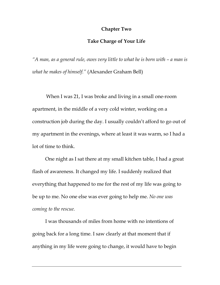# **Chapter Two**

#### **Take Charge of Your Life**

*"A man, as a general rule, owes very little to what he is born with – a man is what he makes of himself."* (Alexander Graham Bell)

When I was 21, I was broke and living in a small one-room apartment, in the middle of a very cold winter, working on a construction job during the day. I usually couldn't afford to go out of my apartment in the evenings, where at least it was warm, so I had a lot of time to think.

One night as I sat there at my small kitchen table, I had a great flash of awareness. It changed my life. I suddenly realized that everything that happened to me for the rest of my life was going to be up to me. No one else was ever going to help me. *No one was coming to the rescue.* 

I was thousands of miles from home with no intentions of going back for a long time. I saw clearly at that moment that if anything in my life were going to change, it would have to begin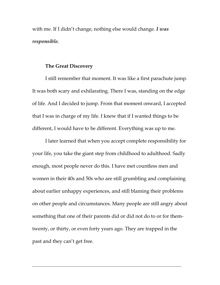with me. If I didn't change, nothing else would change. *I was responsible.* 

## **The Great Discovery**

I still remember that moment. It was like a first parachute jump. It was both scary and exhilarating. There I was, standing on the edge of life. And I decided to jump. From that moment onward, I accepted that I was in charge of my life. I knew that if I wanted things to be different, I would have to be different. Everything was up to me.

I later learned that when you accept complete responsibility for your life, you take the giant step from childhood to adulthood. Sadly enough, most people never do this. I have met countless men and women in their 40s and 50s who are still grumbling and complaining about earlier unhappy experiences, and still blaming their problems on other people and circumstances. Many people are still angry about something that one of their parents did or did not do to or for themtwenty, or thirty, or even forty years ago. They are trapped in the past and they can't get free.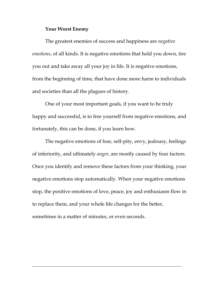## **Your Worst Enemy**

The greatest enemies of success and happiness are *negative emotions*, of all kinds. It is negative emotions that hold you down, tire you out and take away all your joy in life. It is negative emotions, from the beginning of time, that have done more harm to individuals and societies than all the plagues of history.

One of your most important goals, if you want to be truly happy and successful, is to free yourself from negative emotions, and fortunately, this can be done, if you learn how.

The negative emotions of fear, self-pity, envy, jealousy, feelings of inferiority, and ultimately *anger*, are mostly caused by four factors. Once you identify and remove these factors from your thinking, your negative emotions stop automatically. When your negative emotions stop, the positive emotions of love, peace, joy and enthusiasm flow in to replace them, and your whole life changes for the better, sometimes in a matter of minutes, or even seconds.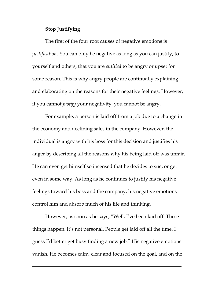# **Stop Justifying**

The first of the four root causes of negative emotions is *justification*. You can only be negative as long as you can justify, to yourself and others, that you are *entitled* to be angry or upset for some reason. This is why angry people are continually explaining and elaborating on the reasons for their negative feelings. However, if you cannot *justify* your negativity, you cannot be angry.

For example, a person is laid off from a job due to a change in the economy and declining sales in the company. However, the individual is angry with his boss for this decision and justifies his anger by describing all the reasons why his being laid off was unfair. He can even get himself so incensed that he decides to sue, or get even in some way. As long as he continues to justify his negative feelings toward his boss and the company, his negative emotions control him and absorb much of his life and thinking.

However, as soon as he says, "Well, I've been laid off. These things happen. It's not personal. People get laid off all the time. I guess I'd better get busy finding a new job." His negative emotions vanish. He becomes calm, clear and focused on the goal, and on the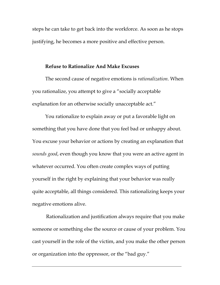steps he can take to get back into the workforce. As soon as he stops justifying, he becomes a more positive and effective person.

#### **Refuse to Rationalize And Make Excuses**

The second cause of negative emotions is *rationalization*. When you rationalize, you attempt to give a "socially acceptable explanation for an otherwise socially unacceptable act."

You rationalize to explain away or put a favorable light on something that you have done that you feel bad or unhappy about. You excuse your behavior or actions by creating an explanation that *sounds good*, even though you know that you were an active agent in whatever occurred. You often create complex ways of putting yourself in the right by explaining that your behavior was really quite acceptable, all things considered. This rationalizing keeps your negative emotions alive.

 Rationalization and justification always require that you make someone or something else the source or cause of your problem. You cast yourself in the role of the victim, and you make the other person or organization into the oppressor, or the "bad guy."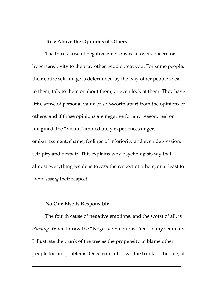### **Rise Above the Opinions of Others**

The third cause of negative emotions is an over concern or hypersensitivity to the way other people treat you. For some people, their entire self-image is determined by the way other people speak to them, talk to them or about them, or even look at them. They have little sense of personal value or self-worth apart from the opinions of others, and if those opinions are negative for any reason, real or imagined, the "victim" immediately experiences anger, embarrassment, shame, feelings of inferiority and even depression, self-pity and despair. This explains why psychologists say that almost everything we do is to *earn* the respect of others, or at least to avoid *losing* their respect.

### **No One Else Is Responsible**

The fourth cause of negative emotions, and the worst of all, is *blaming*. When I draw the "Negative Emotions Tree" in my seminars, I illustrate the trunk of the tree as the propensity to blame other people for our problems. Once you cut down the trunk of the tree, all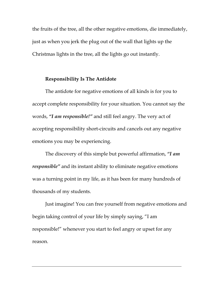the fruits of the tree, all the other negative emotions, die immediately, just as when you jerk the plug out of the wall that lights up the Christmas lights in the tree, all the lights go out instantly.

## **Responsibility Is The Antidote**

The antidote for negative emotions of all kinds is for you to accept complete responsibility for your situation. You cannot say the words, *"I am responsible!"* and still feel angry. The very act of accepting responsibility short-circuits and cancels out any negative emotions you may be experiencing.

The discovery of this simple but powerful affirmation, *"I am responsible"* and its instant ability to eliminate negative emotions was a turning point in my life, as it has been for many hundreds of thousands of my students.

Just imagine! You can free yourself from negative emotions and begin taking control of your life by simply saying, "I am responsible!" whenever you start to feel angry or upset for any reason.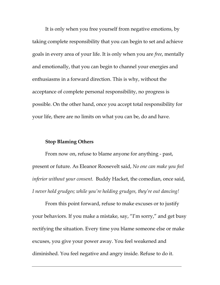It is only when you free yourself from negative emotions, by taking complete responsibility that you can begin to set and achieve goals in every area of your life. It is only when you are *free*, mentally and emotionally, that you can begin to channel your energies and enthusiasms in a forward direction. This is why, without the acceptance of complete personal responsibility, no progress is possible. On the other hand, once you accept total responsibility for your life, there are no limits on what you can be, do and have.

### **Stop Blaming Others**

From now on, refuse to blame anyone for anything - past, present or future. As Eleanor Roosevelt said, *No one can make you feel inferior without your consent.* Buddy Hacket, the comedian, once said, *I never hold grudges; while you're holding grudges, they're out dancing!* 

From this point forward, refuse to make excuses or to justify your behaviors. If you make a mistake, say, "I'm sorry," and get busy rectifying the situation. Every time you blame someone else or make excuses, you give your power away. You feel weakened and diminished. You feel negative and angry inside. Refuse to do it.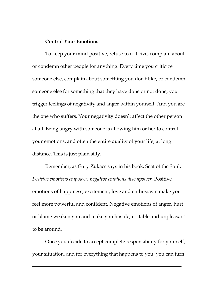### **Control Your Emotions**

To keep your mind positive, refuse to criticize, complain about or condemn other people for anything. Every time you criticize someone else, complain about something you don't like, or condemn someone else for something that they have done or not done, you trigger feelings of negativity and anger within yourself. And you are the one who suffers. Your negativity doesn't affect the other person at all. Being angry with someone is allowing him or her to control your emotions, and often the entire quality of your life, at long distance. This is just plain silly.

Remember, as Gary Zukacs says in his book, Seat of the Soul, *Positive emotions empower; negative emotions disempower.* Positive emotions of happiness, excitement, love and enthusiasm make you feel more powerful and confident. Negative emotions of anger, hurt or blame weaken you and make you hostile, irritable and unpleasant to be around.

Once you decide to accept complete responsibility for yourself, your situation, and for everything that happens to you, you can turn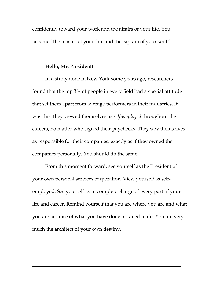confidently toward your work and the affairs of your life. You become "the master of your fate and the captain of your soul."

### **Hello, Mr. President!**

In a study done in New York some years ago, researchers found that the top 3% of people in every field had a special attitude that set them apart from average performers in their industries. It was this: they viewed themselves as *self-employed* throughout their careers, no matter who signed their paychecks. They saw themselves as responsible for their companies, exactly as if they owned the companies personally. You should do the same.

From this moment forward, see yourself as the President of your own personal services corporation. View yourself as selfemployed. See yourself as in complete charge of every part of your life and career. Remind yourself that you are where you are and what you are because of what you have done or failed to do. You are very much the architect of your own destiny.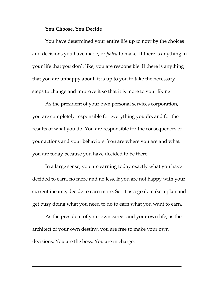#### **You Choose, You Decide**

You have determined your entire life up to now by the choices and decisions you have made, or *failed* to make. If there is anything in your life that you don't like, you are responsible. If there is anything that you are unhappy about, it is up to you to take the necessary steps to change and improve it so that it is more to your liking.

As the president of your own personal services corporation, you are completely responsible for everything you do, and for the results of what you do. You are responsible for the consequences of your actions and your behaviors. You are where you are and what you are today because you have decided to be there.

In a large sense, you are earning today exactly what you have decided to earn, no more and no less. If you are not happy with your current income, decide to earn more. Set it as a goal, make a plan and get busy doing what you need to do to earn what you want to earn.

As the president of your own career and your own life, as the architect of your own destiny, you are free to make your own decisions. You are the boss. You are in charge.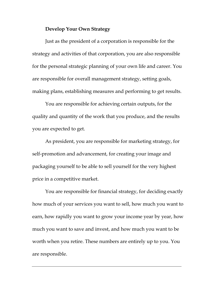## **Develop Your Own Strategy**

Just as the president of a corporation is responsible for the strategy and activities of that corporation, you are also responsible for the personal strategic planning of your own life and career. You are responsible for overall management strategy, setting goals, making plans, establishing measures and performing to get results.

You are responsible for achieving certain outputs, for the quality and quantity of the work that you produce, and the results you are expected to get.

As president, you are responsible for marketing strategy, for self-promotion and advancement, for creating your image and packaging yourself to be able to sell yourself for the very highest price in a competitive market.

You are responsible for financial strategy, for deciding exactly how much of your services you want to sell, how much you want to earn, how rapidly you want to grow your income year by year, how much you want to save and invest, and how much you want to be worth when you retire. These numbers are entirely up to you. You are responsible.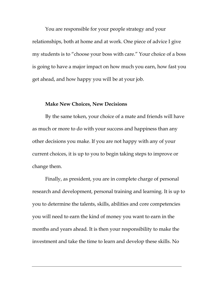You are responsible for your people strategy and your relationships, both at home and at work. One piece of advice I give my students is to "choose your boss with care." Your choice of a boss is going to have a major impact on how much you earn, how fast you get ahead, and how happy you will be at your job.

### **Make New Choices, New Decisions**

By the same token, your choice of a mate and friends will have as much or more to do with your success and happiness than any other decisions you make. If you are not happy with any of your current choices, it is up to you to begin taking steps to improve or change them.

Finally, as president, you are in complete charge of personal research and development, personal training and learning. It is up to you to determine the talents, skills, abilities and core competencies you will need to earn the kind of money you want to earn in the months and years ahead. It is then your responsibility to make the investment and take the time to learn and develop these skills. No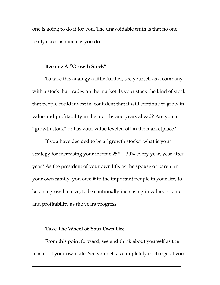one is going to do it for you. The unavoidable truth is that no one really cares as much as you do.

### **Become A "Growth Stock"**

To take this analogy a little further, see yourself as a company with a stock that trades on the market. Is your stock the kind of stock that people could invest in, confident that it will continue to grow in value and profitability in the months and years ahead? Are you a "growth stock" or has your value leveled off in the marketplace?

If you have decided to be a "growth stock," what is your strategy for increasing your income 25% - 30% every year, year after year? As the president of your own life, as the spouse or parent in your own family, you owe it to the important people in your life, to be on a growth curve, to be continually increasing in value, income and profitability as the years progress.

#### **Take The Wheel of Your Own Life**

From this point forward, see and think about yourself as the master of your own fate. See yourself as completely in charge of your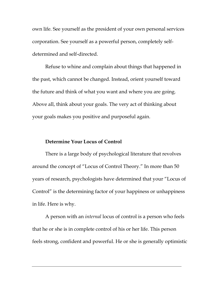own life. See yourself as the president of your own personal services corporation. See yourself as a powerful person, completely selfdetermined and self-directed.

Refuse to whine and complain about things that happened in the past, which cannot be changed. Instead, orient yourself toward the future and think of what you want and where you are going. Above all, think about your goals. The very act of thinking about your goals makes you positive and purposeful again.

### **Determine Your Locus of Control**

There is a large body of psychological literature that revolves around the concept of "Locus of Control Theory." In more than 50 years of research, psychologists have determined that your "Locus of Control" is the determining factor of your happiness or unhappiness in life. Here is why.

A person with an *internal* locus of control is a person who feels that he or she is in complete control of his or her life. This person feels strong, confident and powerful. He or she is generally optimistic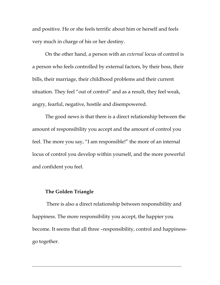and positive. He or she feels terrific about him or herself and feels very much in charge of his or her destiny.

On the other hand, a person with an *external* locus of control is a person who feels controlled by external factors, by their boss, their bills, their marriage, their childhood problems and their current situation. They feel "out of control" and as a result, they feel weak, angry, fearful, negative, hostile and disempowered.

The good news is that there is a direct relationship between the amount of responsibility you accept and the amount of control you feel. The more you say, "I am responsible!" the more of an internal locus of control you develop within yourself, and the more powerful and confident you feel.

### **The Golden Triangle**

 There is also a direct relationship between responsibility and happiness. The more responsibility you accept, the happier you become. It seems that all three –responsibility, control and happinessgo together.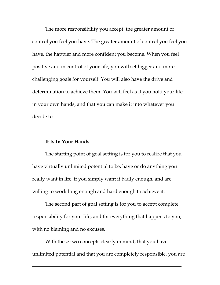The more responsibility you accept, the greater amount of control you feel you have. The greater amount of control you feel you have, the happier and more confident you become. When you feel positive and in control of your life, you will set bigger and more challenging goals for yourself. You will also have the drive and determination to achieve them. You will feel as if you hold your life in your own hands, and that you can make it into whatever you decide to.

### **It Is In Your Hands**

The starting point of goal setting is for you to realize that you have virtually unlimited potential to be, have or do anything you really want in life, if you simply want it badly enough, and are willing to work long enough and hard enough to achieve it.

The second part of goal setting is for you to accept complete responsibility for your life, and for everything that happens to you, with no blaming and no excuses.

With these two concepts clearly in mind, that you have unlimited potential and that you are completely responsible, you are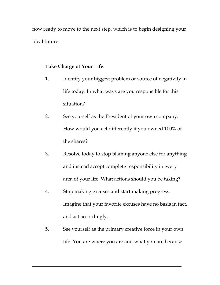now ready to move to the next step, which is to begin designing your ideal future.

# **Take Charge of Your Life:**

- 1. Identify your biggest problem or source of negativity in life today. In what ways are you responsible for this situation?
- 2. See yourself as the President of your own company. How would you act differently if you owned 100% of the shares?
- 3. Resolve today to stop blaming anyone else for anything and instead accept complete responsibility in every area of your life. What actions should you be taking?
- 4. Stop making excuses and start making progress. Imagine that your favorite excuses have no basis in fact, and act accordingly.
- 5. See yourself as the primary creative force in your own life. You are where you are and what you are because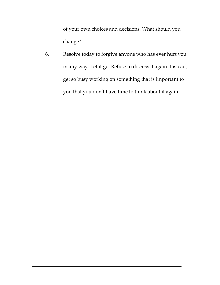of your own choices and decisions. What should you change?

6. Resolve today to forgive anyone who has ever hurt you in any way. Let it go. Refuse to discuss it again. Instead, get so busy working on something that is important to you that you don't have time to think about it again.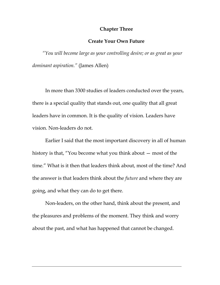## **Chapter Three**

### **Create Your Own Future**

*"You will become large as your controlling desire; or as great as your dominant aspiration."* (James Allen)

In more than 3300 studies of leaders conducted over the years, there is a special quality that stands out, one quality that all great leaders have in common. It is the quality of vision. Leaders have vision. Non-leaders do not.

Earlier I said that the most important discovery in all of human history is that, "You become what you think about — most of the time." What is it then that leaders think about, most of the time? And the answer is that leaders think about the *future* and where they are going, and what they can do to get there.

Non-leaders, on the other hand, think about the present, and the pleasures and problems of the moment. They think and worry about the past, and what has happened that cannot be changed.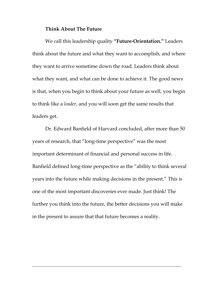### **Think About The Future**

We call this leadership quality **"Future-Orientation."** Leaders think about the future and what they want to accomplish, and where they want to arrive sometime down the road. Leaders think about what they want, and what can be done to achieve it. The good news is that, when you begin to think about your future as well, you begin to think like a *leader*, and you will soon get the same results that leaders get.

Dr. Edward Banfield of Harvard concluded, after more than 50 years of research, that "long-time perspective" was the most important determinant of financial and personal success in life. Banfield defined long-time perspective as the "ability to think several years into the future while making decisions in the present." This is one of the most important discoveries ever made. Just think! The further you think into the future, the better decisions you will make in the present to assure that that future becomes a reality.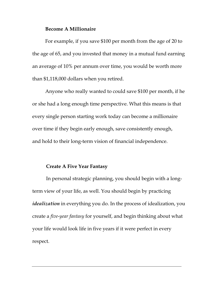### **Become A Millionaire**

For example, if you save \$100 per month from the age of 20 to the age of 65, and you invested that money in a mutual fund earning an average of 10% per annum over time, you would be worth more than \$1,118,000 dollars when you retired.

Anyone who really wanted to could save \$100 per month, if he or she had a long enough time perspective. What this means is that every single person starting work today can become a millionaire over time if they begin early enough, save consistently enough, and hold to their long-term vision of financial independence.

### **Create A Five Year Fantasy**

 In personal strategic planning, you should begin with a longterm view of your life, as well. You should begin by practicing *idealization* in everything you do. In the process of idealization, you create a *five*-*year fantasy* for yourself, and begin thinking about what your life would look life in five years if it were perfect in every respect.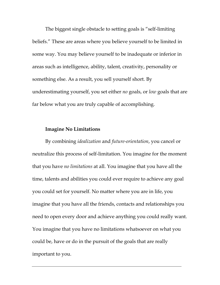The biggest single obstacle to setting goals is "self-limiting beliefs." These are areas where you believe yourself to be limited in some way. You may believe yourself to be inadequate or inferior in areas such as intelligence, ability, talent, creativity, personality or something else. As a result, you sell yourself short. By underestimating yourself, you set either *no* goals, or *low* goals that are far below what you are truly capable of accomplishing.

### **Imagine No Limitations**

By combining *idealization* and *future-orientation*, you cancel or neutralize this process of self-limitation. You imagine for the moment that you have *no limitations* at all. You imagine that you have all the time, talents and abilities you could ever require to achieve any goal you could set for yourself. No matter where you are in life, you imagine that you have all the friends, contacts and relationships you need to open every door and achieve anything you could really want. You imagine that you have no limitations whatsoever on what you could be, have or do in the pursuit of the goals that are really important to you.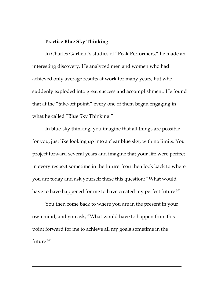## **Practice Blue Sky Thinking**

In Charles Garfield's studies of "Peak Performers," he made an interesting discovery. He analyzed men and women who had achieved only average results at work for many years, but who suddenly exploded into great success and accomplishment. He found that at the "take-off point," every one of them began engaging in what he called "Blue Sky Thinking."

In blue-sky thinking, you imagine that all things are possible for you, just like looking up into a clear blue sky, with no limits. You project forward several years and imagine that your life were perfect in every respect sometime in the future. You then look back to where you are today and ask yourself these this question: "What would have to have happened for me to have created my perfect future?"

You then come back to where you are in the present in your own mind, and you ask, "What would have to happen from this point forward for me to achieve all my goals sometime in the future?"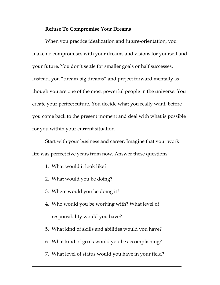### **Refuse To Compromise Your Dreams**

When you practice idealization and future-orientation, you make no compromises with your dreams and visions for yourself and your future. You don't settle for smaller goals or half successes. Instead, you "dream big dreams" and project forward mentally as though you are one of the most powerful people in the universe. You create your perfect future. You decide what you really want, before you come back to the present moment and deal with what is possible for you within your current situation.

Start with your business and career. Imagine that your work life was perfect five years from now. Answer these questions:

- 1. What would it look like?
- 2. What would you be doing?
- 3. Where would you be doing it?
- 4. Who would you be working with? What level of responsibility would you have?
- 5. What kind of skills and abilities would you have?
- 6. What kind of goals would you be accomplishing?
- 7. What level of status would you have in your field?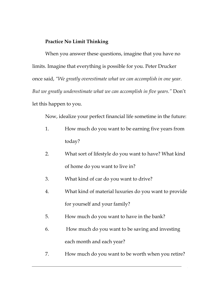# **Practice No Limit Thinking**

When you answer these questions, imagine that you have no limits. Imagine that everything is possible for you. Peter Drucker once said, *"We greatly overestimate what we can accomplish in one year. But we greatly underestimate what we can accomplish in five years."* Don't let this happen to you.

Now, idealize your perfect financial life sometime in the future:

- 1. How much do you want to be earning five years from today?
- 2. What sort of lifestyle do you want to have? What kind of home do you want to live in?
- 3. What kind of car do you want to drive?
- 4. What kind of material luxuries do you want to provide for yourself and your family?
- 5. How much do you want to have in the bank?
- 6. How much do you want to be saving and investing each month and each year?
- 7. How much do you want to be worth when you retire?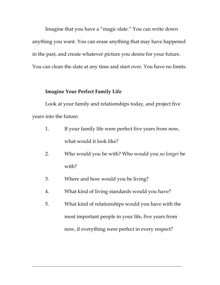Imagine that you have a "magic slate." You can write down anything you want. You can erase anything that may have happened in the past, and create whatever picture you desire for your future. You can clean the slate at any time and start over. You have no limits.

## **Imagine Your Perfect Family Life**

Look at your family and relationships today, and project five years into the future:

- 1. If your family life were perfect five years from now, what would it look like?
- 2. Who would you be with? Who would you *no longer* be with?
- 3. Where and how would you be living?
- 4. What kind of living standards would you have?
- 5. What kind of relationships would you have with the most important people in your life, five years from now, if everything were perfect in every respect?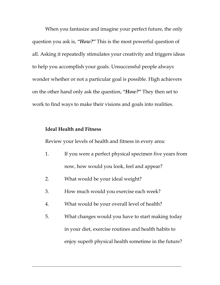When you fantasize and imagine your perfect future, the only question you ask is, *"How?"* This is the most powerful question of all. Asking it repeatedly stimulates your creativity and triggers ideas to help you accomplish your goals. Unsuccessful people always wonder whether or not a particular goal is possible. High achievers on the other hand only ask the question, *"How?"* They then set to work to find ways to make their visions and goals into realities.

### **Ideal Health and Fitness**

Review your levels of health and fitness in every area:

- 1. If you were a perfect physical specimen five years from now, how would you look, feel and appear?
- 2. What would be your ideal weight?
- 3. How much would you exercise each week?
- 4. What would be your overall level of health?
- 5. What changes would you have to start making today in your diet, exercise routines and health habits to enjoy superb physical health sometime in the future?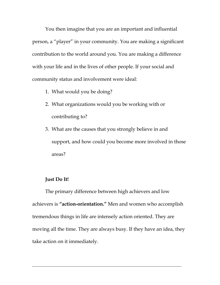You then imagine that you are an important and influential person, a "player" in your community. You are making a significant contribution to the world around you. You are making a difference with your life and in the lives of other people. If your social and community status and involvement were ideal:

- 1. What would you be doing?
- 2. What organizations would you be working with or contributing to?
- 3. What are the causes that you strongly believe in and support, and how could you become more involved in those areas?

# **Just Do It!**

The primary difference between high achievers and low achievers is **"action-orientation."** Men and women who accomplish tremendous things in life are intensely action oriented. They are moving all the time. They are always busy. If they have an idea, they take action on it immediately.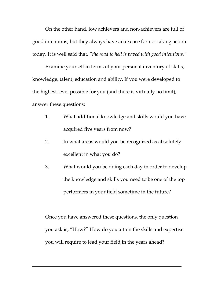On the other hand, low achievers and non-achievers are full of good intentions, but they always have an excuse for not taking action today. It is well said that*, "the road to hell is paved with good intentions."* 

Examine yourself in terms of your personal inventory of skills, knowledge, talent, education and ability. If you were developed to the highest level possible for you (and there is virtually no limit), answer these questions:

- 1. What additional knowledge and skills would you have acquired five years from now?
- 2. In what areas would you be recognized as absolutely excellent in what you do?
- 3. What would you be doing each day in order to develop the knowledge and skills you need to be one of the top performers in your field sometime in the future?

Once you have answered these questions, the only question you ask is, "How?" How do you attain the skills and expertise you will require to lead your field in the years ahead?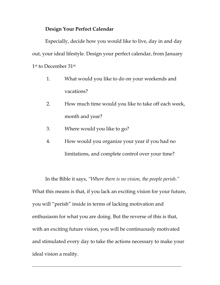# **Design Your Perfect Calendar**

Especially, decide how you would like to live, day in and day out, your ideal lifestyle. Design your perfect calendar, from January 1st to December 31st:

- 1. What would you like to do on your weekends and vacations?
- 2. How much time would you like to take off each week, month and year?
- 3. Where would you like to go?
- 4. How would you organize your year if you had no limitations, and complete control over your time?

In the Bible it says, *"Where there is no vision, the people perish."* What this means is that, if you lack an exciting vision for your future, you will "perish" inside in terms of lacking motivation and enthusiasm for what you are doing. But the reverse of this is that, with an exciting future vision, you will be continuously motivated and stimulated every day to take the actions necessary to make your ideal vision a reality.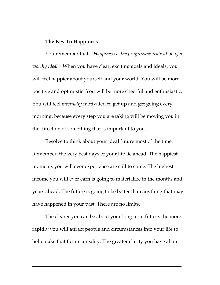### **The Key To Happiness**

You remember that, *"Happiness is the progressive realization of a worthy ideal."* When you have clear, exciting goals and ideals, you will feel happier about yourself and your world. You will be more positive and optimistic. You will be more cheerful and enthusiastic. You will feel *internally* motivated to get up and get going every morning, because every step you are taking will be moving you in the direction of something that is important to you.

Resolve to think about your ideal future most of the time. Remember, the very best days of your life lie ahead. The happiest moments you will ever experience are still to come. The highest income you will ever earn is going to materialize in the months and years ahead. The future is going to be better than anything that may have happened in your past. There are no limits.

The clearer you can be about your long term future, the more rapidly you will attract people and circumstances into your life to help make that future a reality. The greater clarity you have about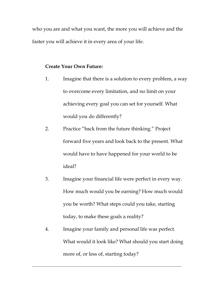who you are and what you want, the more you will achieve and the faster you will achieve it in every area of your life.

# **Create Your Own Future:**

- 1. Imagine that there is a solution to every problem, a way to overcome every limitation, and no limit on your achieving every goal you can set for yourself. What would you do differently?
- 2. Practice "back from the future thinking." Project forward five years and look back to the present. What would have to have happened for your world to be ideal?
- 3. Imagine your financial life were perfect in every way. How much would you be earning? How much would you be worth? What steps could you take, starting today, to make these goals a reality?
- 4. Imagine your family and personal life was perfect. What would it look like? What should you start doing more of, or less of, starting today?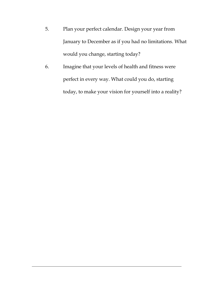- 5. Plan your perfect calendar. Design your year from January to December as if you had no limitations. What would you change, starting today?
- 6. Imagine that your levels of health and fitness were perfect in every way. What could you do, starting today, to make your vision for yourself into a reality?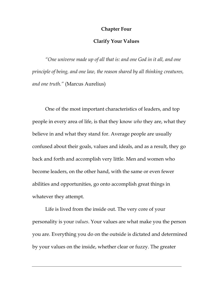### **Chapter Four**

### **Clarify Your Values**

*"One universe made up of all that is: and one God in it all, and one principle of being, and one law, the reason shared by all thinking creatures, and one truth."* (Marcus Aurelius)

One of the most important characteristics of leaders, and top people in every area of life, is that they know *who* they are, what they believe in and what they stand for. Average people are usually confused about their goals, values and ideals, and as a result, they go back and forth and accomplish very little. Men and women who become leaders, on the other hand, with the same or even fewer abilities and opportunities, go onto accomplish great things in whatever they attempt.

Life is lived from the inside out. The very core of your personality is your *values*. Your values are what make you the person you are. Everything you do on the outside is dictated and determined by your values on the inside, whether clear or fuzzy. The greater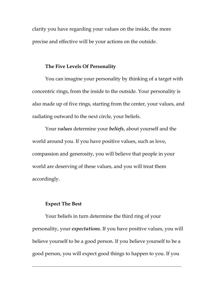clarity you have regarding your values on the inside, the more precise and effective will be your actions on the outside.

## **The Five Levels Of Personality**

You can imagine your personality by thinking of a target with concentric rings, from the inside to the outside. Your personality is also made up of five rings, starting from the center, your values, and radiating outward to the next circle, your beliefs.

Your *values* determine your *beliefs*, about yourself and the world around you. If you have positive values, such as love, compassion and generosity, you will believe that people in your world are deserving of these values, and you will treat them accordingly.

### **Expect The Best**

Your beliefs in turn determine the third ring of your personality, your *expectations*. If you have positive values, you will believe yourself to be a good person. If you believe yourself to be a good person, you will expect good things to happen to you. If you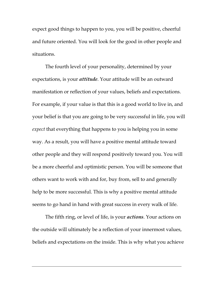expect good things to happen to you, you will be positive, cheerful and future oriented. You will look for the good in other people and situations.

The fourth level of your personality, determined by your expectations, is your *attitude*. Your attitude will be an outward manifestation or reflection of your values, beliefs and expectations. For example, if your value is that this is a good world to live in, and your belief is that you are going to be very successful in life, you will *expect* that everything that happens to you is helping you in some way. As a result, you will have a positive mental attitude toward other people and they will respond positively toward you. You will be a more cheerful and optimistic person. You will be someone that others want to work with and for, buy from, sell to and generally help to be more successful. This is why a positive mental attitude seems to go hand in hand with great success in every walk of life.

The fifth ring, or level of life, is your *actions*. Your actions on the outside will ultimately be a reflection of your innermost values, beliefs and expectations on the inside. This is why what you achieve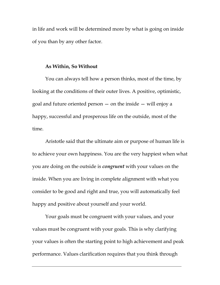in life and work will be determined more by what is going on inside of you than by any other factor.

#### **As Within, So Without**

You can always tell how a person thinks, most of the time, by looking at the conditions of their outer lives. A positive, optimistic, goal and future oriented person — on the inside — will enjoy a happy, successful and prosperous life on the outside, most of the time.

Aristotle said that the ultimate aim or purpose of human life is to achieve your own happiness. You are the very happiest when what you are doing on the outside is *congruent* with your values on the inside. When you are living in complete alignment with what you consider to be good and right and true, you will automatically feel happy and positive about yourself and your world.

Your goals must be congruent with your values, and your values must be congruent with your goals. This is why clarifying your values is often the starting point to high achievement and peak performance. Values clarification requires that you think through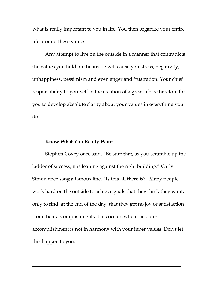what is really important to you in life. You then organize your entire life around these values.

Any attempt to live on the outside in a manner that contradicts the values you hold on the inside will cause you stress, negativity, unhappiness, pessimism and even anger and frustration. Your chief responsibility to yourself in the creation of a great life is therefore for you to develop absolute clarity about your values in everything you do.

#### **Know What You Really Want**

Stephen Covey once said, "Be sure that, as you scramble up the ladder of success, it is leaning against the right building." Carly Simon once sang a famous line, "Is this all there is?" Many people work hard on the outside to achieve goals that they think they want, only to find, at the end of the day, that they get no joy or satisfaction from their accomplishments. This occurs when the outer accomplishment is not in harmony with your inner values. Don't let this happen to you.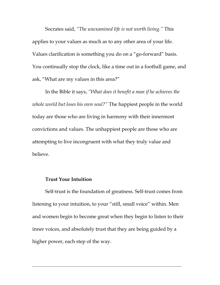Socrates said, *"The unexamined life is not worth living."* This applies to your values as much as to any other area of your life. Values clarification is something you do on a "go-forward" basis. You continually stop the clock, like a time out in a football game, and ask, "What are my values in this area?"

In the Bible it says, *"What does it benefit a man if he achieves the whole world but loses his own soul?"* The happiest people in the world today are those who are living in harmony with their innermost convictions and values. The unhappiest people are those who are attempting to live incongruent with what they truly value and believe.

### **Trust Your Intuition**

Self-trust is the foundation of greatness. Self-trust comes from listening to your intuition, to your "still, small voice" within. Men and women begin to become great when they begin to listen to their inner voices, and absolutely trust that they are being guided by a higher power, each step of the way.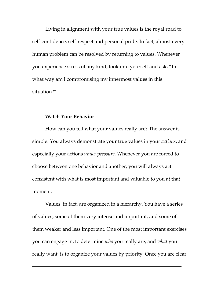Living in alignment with your true values is the royal road to self-confidence, self-respect and personal pride. In fact, almost every human problem can be resolved by returning to values. Whenever you experience stress of any kind, look into yourself and ask, "In what way am I compromising my innermost values in this situation?"

### **Watch Your Behavior**

How can you tell what your values really are? The answer is simple. You always demonstrate your true values in your *actions*, and especially your actions *under pressure*. Whenever you are forced to choose between one behavior and another, you will always act consistent with what is most important and valuable to you at that moment.

Values, in fact, are organized in a hierarchy. You have a series of values, some of them very intense and important, and some of them weaker and less important. One of the most important exercises you can engage in, to determine *who* you really are, and *what* you really want, is to organize your values by priority. Once you are clear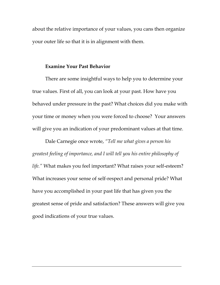about the relative importance of your values, you cans then organize your outer life so that it is in alignment with them.

#### **Examine Your Past Behavior**

There are some insightful ways to help you to determine your true values. First of all, you can look at your past. How have you behaved under pressure in the past? What choices did you make with your time or money when you were forced to choose? Your answers will give you an indication of your predominant values at that time.

Dale Carnegie once wrote, *"Tell me what gives a person his greatest feeling of importance, and I will tell you his entire philosophy of life."* What makes you feel important? What raises your self-esteem? What increases your sense of self-respect and personal pride? What have you accomplished in your past life that has given you the greatest sense of pride and satisfaction? These answers will give you good indications of your true values.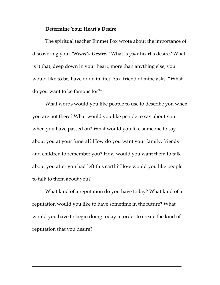#### **Determine Your Heart's Desire**

The spiritual teacher Emmet Fox wrote about the importance of discovering your *"Heart's Desire."* What is *your* heart's desire? What is it that, deep down in your heart, more than anything else, you would like to be, have or do in life? As a friend of mine asks, "What do you want to be famous for?"

What words would you like people to use to describe you when you are not there? What would you like people to say about you when you have passed on? What would you like someone to say about you at your funeral? How do you want your family, friends and children to remember you? How would you want them to talk about you after you had left this earth? How would you like people to talk to them about you?

What kind of a reputation do you have today? What kind of a reputation would you like to have sometime in the future? What would you have to begin doing today in order to create the kind of reputation that you desire?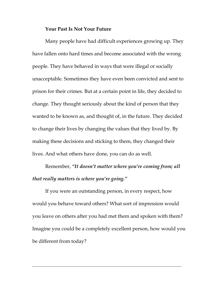#### **Your Past Is Not Your Future**

Many people have had difficult experiences growing up. They have fallen onto hard times and become associated with the wrong people. They have behaved in ways that were illegal or socially unacceptable. Sometimes they have even been convicted and sent to prison for their crimes. But at a certain point in life, they decided to change. They thought seriously about the kind of person that they wanted to be known as, and thought of, in the future. They decided to change their lives by changing the values that they lived by. By making these decisions and sticking to them, they changed their lives. And what others have done, you can do as well.

Remember, *"It doesn't matter where you're coming from; all that really matters is where you're going."* 

If you were an outstanding person, in every respect, how would you behave toward others? What sort of impression would you leave on others after you had met them and spoken with them? Imagine you could be a completely excellent person, how would you be different from today?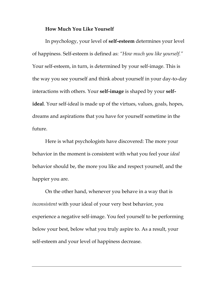#### **How Much You Like Yourself**

In psychology, your level of **self-esteem** determines your level of happiness. Self-esteem is defined as: *"How much you like yourself."* Your self-esteem, in turn, is determined by your self-image. This is the way you see yourself and think about yourself in your day-to-day interactions with others. Your **self-image** is shaped by your **selfideal**. Your self-ideal is made up of the virtues, values, goals, hopes, dreams and aspirations that you have for yourself sometime in the future.

Here is what psychologists have discovered: The more your behavior in the moment is consistent with what you feel your *ideal* behavior should be, the more you like and respect yourself, and the happier you are.

On the other hand, whenever you behave in a way that is *inconsistent* with your ideal of your very best behavior, you experience a negative self-image. You feel yourself to be performing below your best, below what you truly aspire to. As a result, your self-esteem and your level of happiness decrease.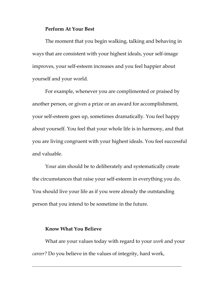#### **Perform At Your Best**

The moment that you begin walking, talking and behaving in ways that are consistent with your highest ideals, your self-image improves, your self-esteem increases and you feel happier about yourself and your world.

For example, whenever you are complimented or praised by another person, or given a prize or an award for accomplishment, your self-esteem goes up, sometimes dramatically. You feel happy about yourself. You feel that your whole life is in harmony, and that you are living congruent with your highest ideals. You feel successful and valuable.

Your aim should be to deliberately and systematically create the circumstances that raise your self-esteem in everything you do. You should live your life as if you were already the outstanding person that you intend to be sometime in the future.

### **Know What You Believe**

What are your values today with regard to your *work* and your *career?* Do you believe in the values of integrity, hard work,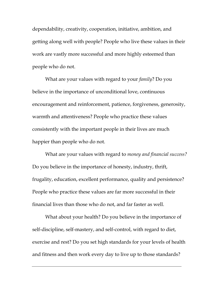dependability, creativity, cooperation, initiative, ambition, and getting along well with people? People who live these values in their work are vastly more successful and more highly esteemed than people who do not.

What are your values with regard to your *family*? Do you believe in the importance of unconditional love, continuous encouragement and reinforcement, patience, forgiveness, generosity, warmth and attentiveness? People who practice these values consistently with the important people in their lives are much happier than people who do not.

What are your values with regard to *money and financial success?* Do you believe in the importance of honesty, industry, thrift, frugality, education, excellent performance, quality and persistence? People who practice these values are far more successful in their financial lives than those who do not, and far faster as well.

What about your health? Do you believe in the importance of self-discipline, self-mastery, and self-control, with regard to diet, exercise and rest? Do you set high standards for your levels of health and fitness and then work every day to live up to those standards?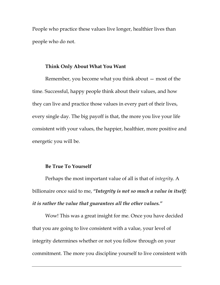People who practice these values live longer, healthier lives than people who do not.

#### **Think Only About What You Want**

Remember, you become what you think about — most of the time. Successful, happy people think about their values, and how they can live and practice those values in every part of their lives, every single day. The big payoff is that, the more you live your life consistent with your values, the happier, healthier, more positive and energetic you will be.

### **Be True To Yourself**

Perhaps the most important value of all is that of *integrity*. A billionaire once said to me, *"Integrity is not so much a value in itself; it is rather the value that guarantees all the other values."* 

Wow! This was a great insight for me. Once you have decided that you are going to live consistent with a value, your level of integrity determines whether or not you follow through on your commitment. The more you discipline yourself to live consistent with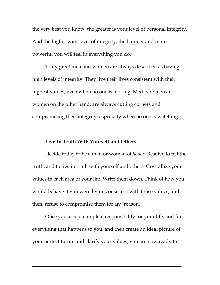the very best you know, the greater is your level of personal integrity. And the higher your level of integrity, the happier and more powerful you will feel in everything you do.

Truly great men and women are always described as having high levels of integrity. They live their lives consistent with their highest values, even when no one is looking. Mediocre men and women on the other hand, are always cutting corners and compromising their integrity, especially when no one is watching.

#### **Live In Truth With Yourself and Others**

Decide today to be a man or woman of *honor*. Resolve to tell the truth, and to live in truth with yourself and others. Crystallize your values in each area of your life. Write them down. Think of how you would behave if you were living consistent with those values, and then, refuse to compromise them for any reason.

Once you accept complete responsibility for your life, and for everything that happens to you, and then create an ideal picture of your perfect future and clarify your values, you are now ready to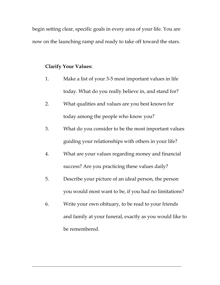begin setting clear, specific goals in every area of your life. You are now on the launching ramp and ready to take off toward the stars.

# **Clarify Your Values:**

- 1. Make a list of your 3-5 most important values in life today. What do you really believe in, and stand for?
- 2. What qualities and values are you best known for today among the people who know you?
- 3. What do you consider to be the most important values guiding your relationships with others in your life?
- 4. What are your values regarding money and financial success? Are you practicing these values daily?
- 5. Describe your picture of an ideal person, the person you would most want to be, if you had no limitations?
- 6. Write your own obituary, to be read to your friends and family at your funeral, exactly as you would like to be remembered.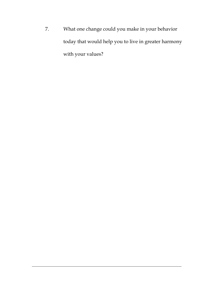7. What one change could you make in your behavior today that would help you to live in greater harmony with your values?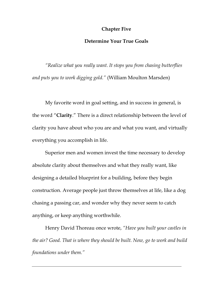# **Chapter Five**

## **Determine Your True Goals**

*"Realize what you really want. It stops you from chasing butterflies and puts you to work digging gold."* (William Moulton Marsden)

My favorite word in goal setting, and in success in general, is the word "**Clarity**." There is a direct relationship between the level of clarity you have about who you are and what you want, and virtually everything you accomplish in life.

Superior men and women invest the time necessary to develop absolute clarity about themselves and what they really want, like designing a detailed blueprint for a building, before they begin construction. Average people just throw themselves at life, like a dog chasing a passing car, and wonder why they never seem to catch anything, or keep anything worthwhile.

Henry David Thoreau once wrote, *"Have you built your castles in the air? Good. That is where they should be built. Now, go to work and build foundations under them."*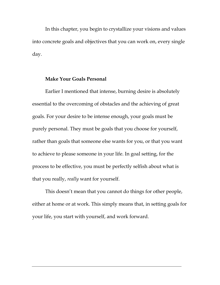In this chapter, you begin to crystallize your visions and values into concrete goals and objectives that you can work on, every single day.

# **Make Your Goals Personal**

Earlier I mentioned that intense, burning desire is absolutely essential to the overcoming of obstacles and the achieving of great goals. For your desire to be intense enough, your goals must be purely personal. They must be goals that you choose for yourself, rather than goals that someone else wants for you, or that you want to achieve to please someone in your life. In goal setting, for the process to be effective, you must be perfectly selfish about what is that you really, *really* want for yourself.

This doesn't mean that you cannot do things for other people, either at home or at work. This simply means that, in setting goals for your life, you start with yourself, and work forward.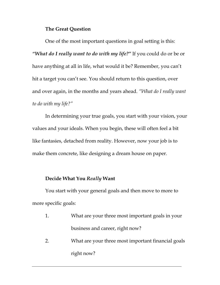# **The Great Question**

One of the most important questions in goal setting is this: *"What do I really want to do with my life?"* If you could do or be or have anything at all in life, what would it be? Remember, you can't hit a target you can't see. You should return to this question, over and over again, in the months and years ahead. *"What do I really want to do with my life?"* 

In determining your true goals, you start with your vision, your values and your ideals. When you begin, these will often feel a bit like fantasies, detached from reality. However, now your job is to make them concrete, like designing a dream house on paper.

# **Decide What You** *Really* **Want**

You start with your general goals and then move to more to more specific goals:

- 1. What are your three most important goals in your business and career, right now?
- 2. What are your three most important financial goals right now?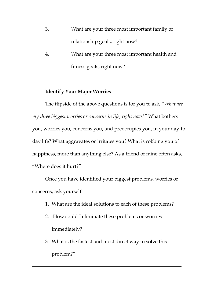- 3. What are your three most important family or relationship goals, right now?
- 4. What are your three most important health and fitness goals, right now?

# **Identify Your Major Worries**

The flipside of the above questions is for you to ask*, "What are my three biggest worries or concerns in life, right now?"* What bothers you, worries you, concerns you, and preoccupies you, in your day-today life? What aggravates or irritates you? What is robbing you of happiness, more than anything else? As a friend of mine often asks, "Where does it hurt?"

Once you have identified your biggest problems, worries or concerns, ask yourself:

- 1. What are the ideal solutions to each of these problems?
- 2. How could I eliminate these problems or worries immediately?
- 3. What is the fastest and most direct way to solve this problem?"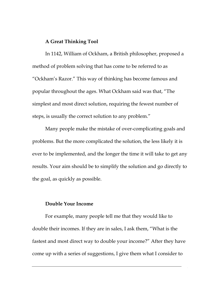### **A Great Thinking Tool**

In 1142, William of Ockham, a British philosopher, proposed a method of problem solving that has come to be referred to as "Ockham's Razor." This way of thinking has become famous and popular throughout the ages. What Ockham said was that, "The simplest and most direct solution, requiring the fewest number of steps, is usually the correct solution to any problem."

Many people make the mistake of over-complicating goals and problems. But the more complicated the solution, the less likely it is ever to be implemented, and the longer the time it will take to get any results. Your aim should be to simplify the solution and go directly to the goal, as quickly as possible.

#### **Double Your Income**

For example, many people tell me that they would like to double their incomes. If they are in sales, I ask them, "What is the fastest and most direct way to double your income?" After they have come up with a series of suggestions, I give them what I consider to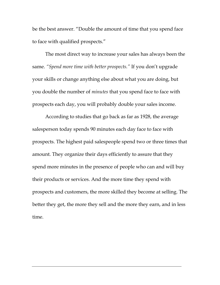be the best answer. "Double the amount of time that you spend face to face with qualified prospects."

The most direct way to increase your sales has always been the same. *"Spend more time with better prospects."* If you don't upgrade your skills or change anything else about what you are doing, but you double the number of *minutes* that you spend face to face with prospects each day, you will probably double your sales income.

According to studies that go back as far as 1928, the average salesperson today spends 90 minutes each day face to face with prospects. The highest paid salespeople spend two or three times that amount. They organize their days efficiently to assure that they spend more minutes in the presence of people who can and will buy their products or services. And the more time they spend with prospects and customers, the more skilled they become at selling. The better they get, the more they sell and the more they earn, and in less time.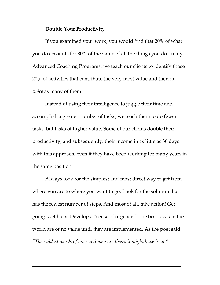#### **Double Your Productivity**

If you examined your work, you would find that 20% of what you do accounts for 80% of the value of all the things you do. In my Advanced Coaching Programs, we teach our clients to identify those 20% of activities that contribute the very most value and then do *twice* as many of them.

Instead of using their intelligence to juggle their time and accomplish a greater number of tasks, we teach them to do fewer tasks, but tasks of higher value. Some of our clients double their productivity, and subsequently, their income in as little as 30 days with this approach, even if they have been working for many years in the same position.

Always look for the simplest and most direct way to get from where you are to where you want to go. Look for the solution that has the fewest number of steps. And most of all, take action! Get going. Get busy. Develop a "sense of urgency." The best ideas in the world are of no value until they are implemented. As the poet said, *"The saddest words of mice and men are these: it might have been."*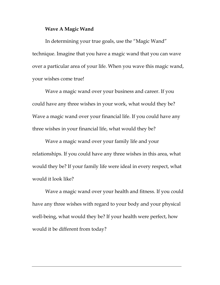# **Wave A Magic Wand**

In determining your true goals, use the "Magic Wand" technique. Imagine that you have a magic wand that you can wave over a particular area of your life. When you wave this magic wand, your wishes come true!

Wave a magic wand over your business and career. If you could have any three wishes in your work, what would they be? Wave a magic wand over your financial life. If you could have any three wishes in your financial life, what would they be?

Wave a magic wand over your family life and your relationships. If you could have any three wishes in this area, what would they be? If your family life were ideal in every respect, what would it look like?

Wave a magic wand over your health and fitness. If you could have any three wishes with regard to your body and your physical well-being, what would they be? If your health were perfect, how would it be different from today?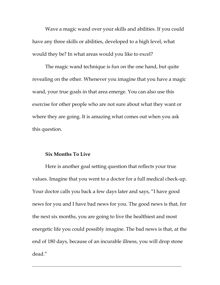Wave a magic wand over your skills and abilities. If you could have any three skills or abilities, developed to a high level, what would they be? In what areas would you like to excel?

The magic wand technique is fun on the one hand, but quite revealing on the other. Whenever you imagine that you have a magic wand, your true goals in that area emerge. You can also use this exercise for other people who are not sure about what they want or where they are going. It is amazing what comes out when you ask this question.

#### **Six Months To Live**

Here is another goal setting question that reflects your true values. Imagine that you went to a doctor for a full medical check-up. Your doctor calls you back a few days later and says, "I have good news for you and I have bad news for you. The good news is that, for the next six months, you are going to live the healthiest and most energetic life you could possibly imagine. The bad news is that, at the end of 180 days, because of an incurable illness, you will drop stone dead."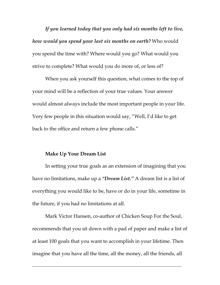*If you learned today that you only had six months left to live, how would you spend your last six months on earth?* Who would you spend the time with? Where would you go? What would you strive to complete? What would you do more of, or less of?

When you ask yourself this question, what comes to the top of your mind will be a reflection of your true values. Your answer would almost always include the most important people in your life. Very few people in this situation would say, "Well, I'd like to get back to the office and return a few phone calls."

### **Make Up Your Dream List**

In setting your true goals as an extension of imagining that you have no limitations, make up a *"Dream List."* A dream list is a list of everything you would like to be, have or do in your life, sometime in the future, if you had no limitations at all.

Mark Victor Hansen, co-author of Chicken Soup For the Soul, recommends that you sit down with a pad of paper and make a list of at least 100 goals that you want to accomplish in your lifetime. Then imagine that you have all the time, all the money, all the friends, all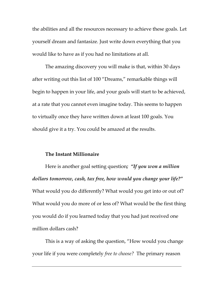the abilities and all the resources necessary to achieve these goals. Let yourself dream and fantasize. Just write down everything that you would like to have as if you had no limitations at all.

The amazing discovery you will make is that, within 30 days after writing out this list of 100 "Dreams," remarkable things will begin to happen in your life, and your goals will start to be achieved, at a rate that you cannot even imagine today. This seems to happen to virtually once they have written down at least 100 goals. You should give it a try. You could be amazed at the results.

#### **The Instant Millionaire**

Here is another goal setting question*; "If you won a million dollars tomorrow, cash, tax free, how would you change your life?"* What would you do differently? What would you get into or out of? What would you do more of or less of? What would be the first thing you would do if you learned today that you had just received one million dollars cash?

This is a way of asking the question, "How would you change your life if you were completely *free to choose?* The primary reason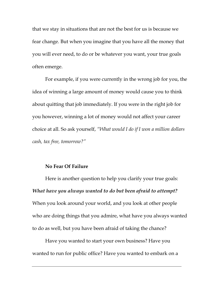that we stay in situations that are not the best for us is because we fear change. But when you imagine that you have all the money that you will ever need, to do or be whatever you want, your true goals often emerge.

For example, if you were currently in the wrong job for you, the idea of winning a large amount of money would cause you to think about quitting that job immediately. If you were in the right job for you however, winning a lot of money would not affect your career choice at all. So ask yourself, *"What would I do if I won a million dollars cash, tax free, tomorrow?"*

### **No Fear Of Failure**

Here is another question to help you clarify your true goals: *What have you always wanted to do but been afraid to attempt?* When you look around your world, and you look at other people who are doing things that you admire, what have you always wanted to do as well, but you have been afraid of taking the chance?

Have you wanted to start your own business? Have you wanted to run for public office? Have you wanted to embark on a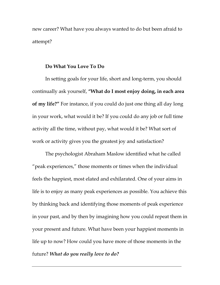new career? What have you always wanted to do but been afraid to attempt?

#### **Do What You Love To Do**

In setting goals for your life, short and long-term, you should continually ask yourself, **"What do I most enjoy doing, in each area of my life?"** For instance, if you could do just one thing all day long in your work, what would it be? If you could do any job or full time activity all the time, without pay, what would it be? What sort of work or activity gives you the greatest joy and satisfaction?

The psychologist Abraham Maslow identified what he called "peak experiences," those moments or times when the individual feels the happiest, most elated and exhilarated. One of your aims in life is to enjoy as many peak experiences as possible. You achieve this by thinking back and identifying those moments of peak experience in your past, and by then by imagining how you could repeat them in your present and future. What have been your happiest moments in life up to now? How could you have more of those moments in the future? *What do you really love to do?*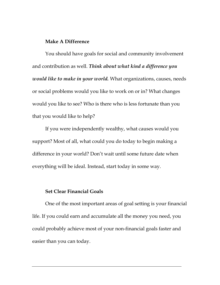### **Make A Difference**

You should have goals for social and community involvement and contribution as well. *Think about what kind a difference you would like to make in your world.* What organizations, causes, needs or social problems would you like to work on or in? What changes would you like to see? Who is there who is less fortunate than you that you would like to help?

If you were independently wealthy, what causes would you support? Most of all, what could you do today to begin making a difference in your world? Don't wait until some future date when everything will be ideal. Instead, start today in some way.

## **Set Clear Financial Goals**

One of the most important areas of goal setting is your financial life. If you could earn and accumulate all the money you need, you could probably achieve most of your non-financial goals faster and easier than you can today.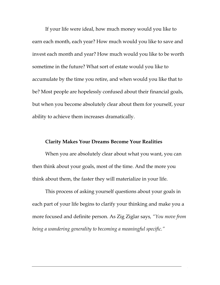If your life were ideal, how much money would you like to earn each month, each year? How much would you like to save and invest each month and year? How much would you like to be worth sometime in the future? What sort of estate would you like to accumulate by the time you retire, and when would you like that to be? Most people are hopelessly confused about their financial goals, but when you become absolutely clear about them for yourself, your ability to achieve them increases dramatically.

#### **Clarity Makes Your Dreams Become Your Realities**

When you are absolutely clear about what you want, you can then think about your goals, most of the time. And the more you think about them, the faster they will materialize in your life.

This process of asking yourself questions about your goals in each part of your life begins to clarify your thinking and make you a more focused and definite person. As Zig Ziglar says*, "You move from being a wandering generality to becoming a meaningful specific."*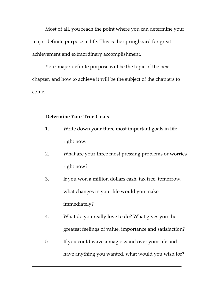Most of all, you reach the point where you can determine your major definite purpose in life. This is the springboard for great achievement and extraordinary accomplishment.

Your major definite purpose will be the topic of the next chapter, and how to achieve it will be the subject of the chapters to come.

# **Determine Your True Goals**

- 1. Write down your three most important goals in life right now.
- 2. What are your three most pressing problems or worries right now?
- 3. If you won a million dollars cash, tax free, tomorrow, what changes in your life would you make immediately?
- 4. What do you really love to do? What gives you the greatest feelings of value, importance and satisfaction?
- 5. If you could wave a magic wand over your life and have anything you wanted, what would you wish for?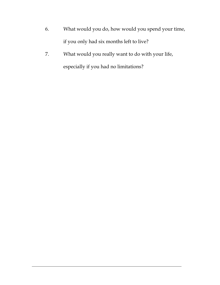- 6. What would you do, how would you spend your time, if you only had six months left to live?
- 7. What would you really want to do with your life, especially if you had no limitations?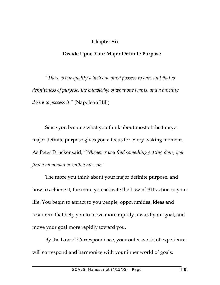# **Chapter Six**

# **Decide Upon Your Major Definite Purpose**

*"There is one quality which one must possess to win, and that is definiteness of purpose, the knowledge of what one wants, and a burning desire to possess it."* (Napoleon Hill)

Since you become what you think about most of the time, a major definite purpose gives you a focus for every waking moment. As Peter Drucker said, *"Whenever you find something getting done, you find a monomaniac with a mission."* 

The more you think about your major definite purpose, and how to achieve it, the more you activate the Law of Attraction in your life. You begin to attract to you people, opportunities, ideas and resources that help you to move more rapidly toward your goal, and move your goal more rapidly toward you.

By the Law of Correspondence, your outer world of experience will correspond and harmonize with your inner world of goals.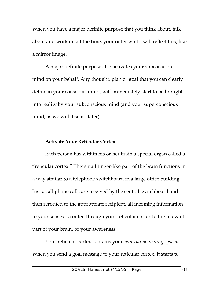When you have a major definite purpose that you think about, talk about and work on all the time, your outer world will reflect this, like a mirror image.

A major definite purpose also activates your subconscious mind on your behalf. Any thought, plan or goal that you can clearly define in your conscious mind, will immediately start to be brought into reality by your subconscious mind (and your superconscious mind, as we will discuss later).

# **Activate Your Reticular Cortex**

Each person has within his or her brain a special organ called a "reticular cortex." This small finger-like part of the brain functions in a way similar to a telephone switchboard in a large office building. Just as all phone calls are received by the central switchboard and then rerouted to the appropriate recipient, all incoming information to your senses is routed through your reticular cortex to the relevant part of your brain, or your awareness.

Your reticular cortex contains your *reticular activating system*. When you send a goal message to your reticular cortex, it starts to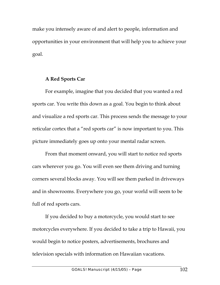make you intensely aware of and alert to people, information and opportunities in your environment that will help you to achieve your goal.

# **A Red Sports Car**

For example, imagine that you decided that you wanted a red sports car. You write this down as a goal. You begin to think about and visualize a red sports car. This process sends the message to your reticular cortex that a "red sports car" is now important to you. This picture immediately goes up onto your mental radar screen.

From that moment onward, you will start to notice red sports cars wherever you go. You will even see them driving and turning corners several blocks away. You will see them parked in driveways and in showrooms. Everywhere you go, your world will seem to be full of red sports cars.

If you decided to buy a motorcycle, you would start to see motorcycles everywhere. If you decided to take a trip to Hawaii, you would begin to notice posters, advertisements, brochures and television specials with information on Hawaiian vacations.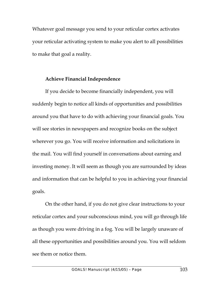Whatever goal message you send to your reticular cortex activates your reticular activating system to make you alert to all possibilities to make that goal a reality.

# **Achieve Financial Independence**

If you decide to become financially independent, you will suddenly begin to notice all kinds of opportunities and possibilities around you that have to do with achieving your financial goals. You will see stories in newspapers and recognize books on the subject wherever you go. You will receive information and solicitations in the mail. You will find yourself in conversations about earning and investing money. It will seem as though you are surrounded by ideas and information that can be helpful to you in achieving your financial goals.

On the other hand, if you do not give clear instructions to your reticular cortex and your subconscious mind, you will go through life as though you were driving in a fog. You will be largely unaware of all these opportunities and possibilities around you. You will seldom see them or notice them.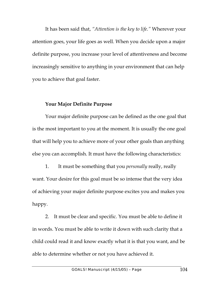It has been said that, *"Attention is the key to life."* Wherever your attention goes, your life goes as well. When you decide upon a major definite purpose, you increase your level of attentiveness and become increasingly sensitive to anything in your environment that can help you to achieve that goal faster.

## **Your Major Definite Purpose**

Your major definite purpose can be defined as the one goal that is the most important to you at the moment. It is usually the one goal that will help you to achieve more of your other goals than anything else you can accomplish. It must have the following characteristics:

1. It must be something that you *personally* really, really want. Your desire for this goal must be so intense that the very idea of achieving your major definite purpose excites you and makes you happy.

2. It must be clear and specific. You must be able to define it in words. You must be able to write it down with such clarity that a child could read it and know exactly what it is that you want, and be able to determine whether or not you have achieved it.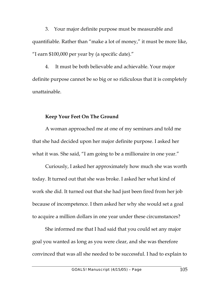3. Your major definite purpose must be measurable and quantifiable. Rather than "make a lot of money," it must be more like, "I earn \$100,000 per year by (a specific date)."

4. It must be both believable and achievable. Your major definite purpose cannot be so big or so ridiculous that it is completely unattainable.

# **Keep Your Feet On The Ground**

A woman approached me at one of my seminars and told me that she had decided upon her major definite purpose. I asked her what it was. She said, "I am going to be a millionaire in one year."

Curiously, I asked her approximately how much she was worth today. It turned out that she was broke. I asked her what kind of work she did. It turned out that she had just been fired from her job because of incompetence. I then asked her why she would set a goal to acquire a million dollars in one year under these circumstances?

She informed me that I had said that you could set any major goal you wanted as long as you were clear, and she was therefore convinced that was all she needed to be successful. I had to explain to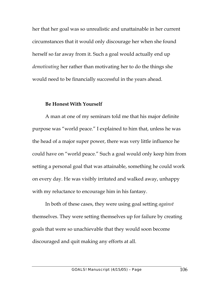her that her goal was so unrealistic and unattainable in her current circumstances that it would only discourage her when she found herself so far away from it. Such a goal would actually end up *demotivating* her rather than motivating her to do the things she would need to be financially successful in the years ahead.

### **Be Honest With Yourself**

A man at one of my seminars told me that his major definite purpose was "world peace." I explained to him that, unless he was the head of a major super power, there was very little influence he could have on "world peace." Such a goal would only keep him from setting a personal goal that was attainable, something he could work on every day. He was visibly irritated and walked away, unhappy with my reluctance to encourage him in his fantasy.

In both of these cases, they were using goal setting *against* themselves. They were setting themselves up for failure by creating goals that were so unachievable that they would soon become discouraged and quit making any efforts at all.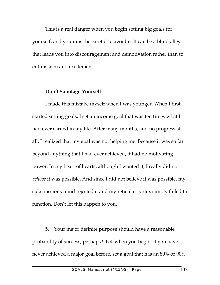This is a real danger when you begin setting big goals for yourself, and you must be careful to avoid it. It can be a blind alley that leads you into discouragement and demotivation rather than to enthusiasm and excitement.

# **Don't Sabotage Yourself**

I made this mistake myself when I was younger. When I first started setting goals, I set an income goal that was ten times what I had ever earned in my life. After many months, and no progress at all, I realized that my goal was not helping me. Because it was so far beyond anything that I had ever achieved, it had no motivating power. In my heart of hearts, although I wanted it, I really did not *believe* it was possible. And since I did not believe it was possible, my subconscious mind rejected it and my reticular cortex simply failed to function. Don't let this happen to you.

5. Your major definite purpose should have a reasonable probability of success, perhaps 50:50 when you begin. If you have never achieved a major goal before, set a goal that has an 80% or 90%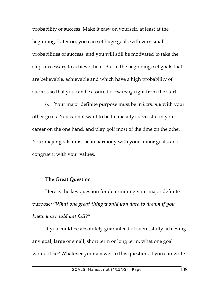probability of success. Make it easy on yourself, at least at the beginning. Later on, you can set huge goals with very small probabilities of success, and you will still be motivated to take the steps necessary to achieve them. But in the beginning, set goals that are believable, achievable and which have a high probability of success so that you can be assured of *winning* right from the start.

6. Your major definite purpose must be in *harmony* with your other goals. You cannot want to be financially successful in your career on the one hand, and play golf most of the time on the other. Your major goals must be in harmony with your minor goals, and congruent with your values.

# **The Great Question**

Here is the key question for determining your major definite purpose*: "What one great thing would you dare to dream if you knew you could not fail?"*

If you could be absolutely guaranteed of successfully achieving any goal, large or small, short term or long term, what one goal would it be? Whatever your answer to this question, if you can write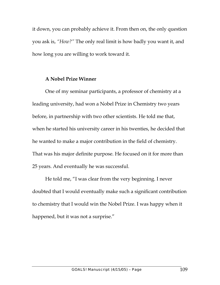it down, you can probably achieve it. From then on, the only question you ask is, *"How?"* The only real limit is how badly you want it, and how long you are willing to work toward it.

### **A Nobel Prize Winner**

One of my seminar participants, a professor of chemistry at a leading university, had won a Nobel Prize in Chemistry two years before, in partnership with two other scientists. He told me that, when he started his university career in his twenties, he decided that he wanted to make a major contribution in the field of chemistry. That was his major definite purpose. He focused on it for more than 25 years. And eventually he was successful.

He told me, "I was clear from the very beginning. I never doubted that I would eventually make such a significant contribution to chemistry that I would win the Nobel Prize. I was happy when it happened, but it was not a surprise."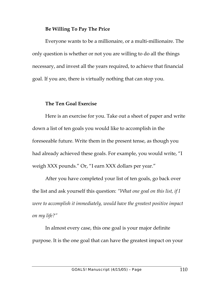### **Be Willing To Pay The Price**

Everyone wants to be a millionaire, or a multi-millionaire. The only question is whether or not you are willing to do all the things necessary, and invest all the years required, to achieve that financial goal. If you are, there is virtually nothing that can stop you.

### **The Ten Goal Exercise**

Here is an exercise for you. Take out a sheet of paper and write down a list of ten goals you would like to accomplish in the foreseeable future. Write them in the present tense, as though you had already achieved these goals. For example, you would write, "I weigh XXX pounds." Or, "I earn XXX dollars per year."

After you have completed your list of ten goals, go back over the list and ask yourself this question: *"What one goal on this list, if I were to accomplish it immediately, would have the greatest positive impact on my life?"* 

In almost every case, this one goal is your major definite purpose. It is the one goal that can have the greatest impact on your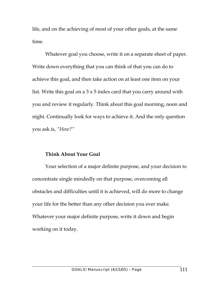life, and on the achieving of most of your other goals, at the same time.

Whatever goal you choose, write it on a separate sheet of paper. Write down everything that you can think of that you can do to achieve this goal, and then take action on at least one item on your list. Write this goal on a 3 x 5 index card that you carry around with you and review it regularly. Think about this goal morning, noon and night. Continually look for ways to achieve it. And the only question you ask is, *"How?"* 

#### **Think About Your Goal**

Your selection of a major definite purpose, and your decision to concentrate single mindedly on that purpose, overcoming all obstacles and difficulties until it is achieved, will do more to change your life for the better than any other decision you ever make. Whatever your major definite purpose, write it down and begin working on it today.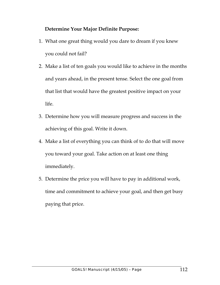# **Determine Your Major Definite Purpose:**

- 1. What one great thing would you dare to dream if you knew you could not fail?
- 2. Make a list of ten goals you would like to achieve in the months and years ahead, in the present tense. Select the one goal from that list that would have the greatest positive impact on your life.
- 3. Determine how you will measure progress and success in the achieving of this goal. Write it down.
- 4. Make a list of everything you can think of to do that will move you toward your goal. Take action on at least one thing immediately.
- 5. Determine the price you will have to pay in additional work, time and commitment to achieve your goal, and then get busy paying that price.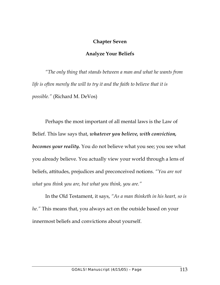## **Chapter Seven**

### **Analyze Your Beliefs**

*"The only thing that stands between a man and what he wants from life is often merely the will to try it and the faith to believe that it is possible."* (Richard M. DeVos)

Perhaps the most important of all mental laws is the Law of Belief. This law says that, *whatever you believe, with conviction, becomes your reality.* You do not believe what you see; you see what you already believe. You actually view your world through a lens of beliefs, attitudes, prejudices and preconceived notions. *"You are not what you think you are, but what you think, you are."* 

In the Old Testament, it says, *"As a man thinketh in his heart, so is he."* This means that, you always act on the outside based on your innermost beliefs and convictions about yourself.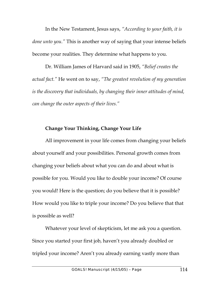In the New Testament, Jesus says, *"According to your faith, it is done unto you."* This is another way of saying that your intense beliefs become your realities. They determine what happens to you.

Dr. William James of Harvard said in 1905, *"Belief creates the actual fact."* He went on to say, *"The greatest revolution of my generation is the discovery that individuals, by changing their inner attitudes of mind, can change the outer aspects of their lives."*

# **Change Your Thinking, Change Your Life**

All improvement in your life comes from changing your beliefs about yourself and your possibilities. Personal growth comes from changing your beliefs about what you can do and about what is possible for you. Would you like to double your income? Of course you would! Here is the question; do you believe that it is possible? How would you like to triple your income? Do you believe that that is possible as well?

Whatever your level of skepticism, let me ask you a question. Since you started your first job, haven't you already doubled or tripled your income? Aren't you already earning vastly more than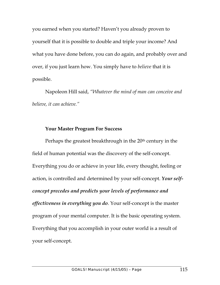you earned when you started? Haven't you already proven to yourself that it is possible to double and triple your income? And what you have done before, you can do again, and probably over and over, if you just learn how. You simply have to *believe* that it is possible.

Napoleon Hill said, *"Whatever the mind of man can conceive and believe, it can achieve."* 

### **Your Master Program For Success**

Perhaps the greatest breakthrough in the 20<sup>th</sup> century in the field of human potential was the discovery of the self-concept. Everything you do or achieve in your life, every thought, feeling or action, is controlled and determined by your self-concept. *Your selfconcept precedes and predicts your levels of performance and effectiveness in everything you do*. Your self-concept is the master program of your mental computer. It is the basic operating system. Everything that you accomplish in your outer world is a result of your self-concept.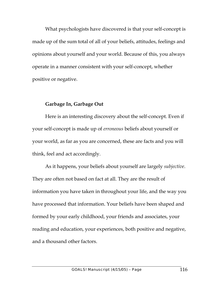What psychologists have discovered is that your self-concept is made up of the sum total of all of your beliefs, attitudes, feelings and opinions about yourself and your world. Because of this, you always operate in a manner consistent with your self-concept, whether positive or negative.

#### **Garbage In, Garbage Out**

Here is an interesting discovery about the self-concept. Even if your self-concept is made up of *erroneous* beliefs about yourself or your world, as far as you are concerned, these are facts and you will think, feel and act accordingly.

As it happens, your beliefs about yourself are largely *subjective*. They are often not based on fact at all. They are the result of information you have taken in throughout your life, and the way you have processed that information. Your beliefs have been shaped and formed by your early childhood, your friends and associates, your reading and education, your experiences, both positive and negative, and a thousand other factors.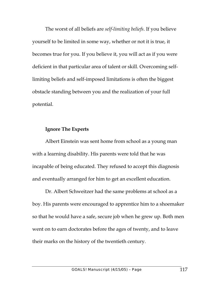The worst of all beliefs are *self-limiting beliefs*. If you believe yourself to be limited in some way, whether or not it is true, it becomes true for you. If you believe it, you will act as if you were deficient in that particular area of talent or skill. Overcoming selflimiting beliefs and self-imposed limitations is often the biggest obstacle standing between you and the realization of your full potential.

### **Ignore The Experts**

Albert Einstein was sent home from school as a young man with a learning disability. His parents were told that he was incapable of being educated. They refused to accept this diagnosis and eventually arranged for him to get an excellent education.

Dr. Albert Schweitzer had the same problems at school as a boy. His parents were encouraged to apprentice him to a shoemaker so that he would have a safe, secure job when he grew up. Both men went on to earn doctorates before the ages of twenty, and to leave their marks on the history of the twentieth century.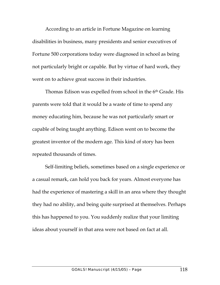According to an article in Fortune Magazine on learning disabilities in business, many presidents and senior executives of Fortune 500 corporations today were diagnosed in school as being not particularly bright or capable. But by virtue of hard work, they went on to achieve great success in their industries.

Thomas Edison was expelled from school in the 6<sup>th</sup> Grade. His parents were told that it would be a waste of time to spend any money educating him, because he was not particularly smart or capable of being taught anything. Edison went on to become the greatest inventor of the modern age. This kind of story has been repeated thousands of times.

Self-limiting beliefs, sometimes based on a single experience or a casual remark, can hold you back for years. Almost everyone has had the experience of mastering a skill in an area where they thought they had no ability, and being quite surprised at themselves. Perhaps this has happened to you. You suddenly realize that your limiting ideas about yourself in that area were not based on fact at all.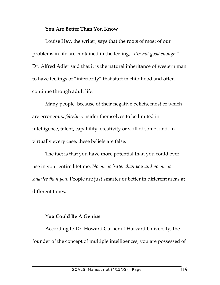#### **You Are Better Than You Know**

Louise Hay, the writer, says that the roots of most of our problems in life are contained in the feeling, *"I'm not good enough."*  Dr. Alfred Adler said that it is the natural inheritance of western man to have feelings of "inferiority" that start in childhood and often continue through adult life.

Many people, because of their negative beliefs, most of which are erroneous, *falsely* consider themselves to be limited in intelligence, talent, capability, creativity or skill of some kind. In virtually every case, these beliefs are false.

The fact is that you have more potential than you could ever use in your entire lifetime. *No one is better than you and no one is smarter than you.* People are just smarter or better in different areas at different times.

### **You Could Be A Genius**

According to Dr. Howard Garner of Harvard University, the founder of the concept of multiple intelligences, you are possessed of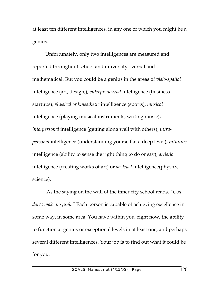at least ten different intelligences, in any one of which you might be a genius.

Unfortunately, only two intelligences are measured and reported throughout school and university: verbal and mathematical. But you could be a genius in the areas of *visio-spatial* intelligence (art, design,), *entrepreneurial* intelligence (business startups), *physical or kinesthetic* intelligence (sports), *musical* intelligence (playing musical instruments, writing music), *interpersonal* intelligence (getting along well with others), *intrapersonal* intelligence (understanding yourself at a deep level), *intuitive* intelligence (ability to sense the right thing to do or say), *artistic* intelligence (creating works of art) or *abstract* intelligence(physics, science).

 As the saying on the wall of the inner city school reads, *"God don't make no junk."* Each person is capable of achieving excellence in some way, in some area. You have within you, right now, the ability to function at genius or exceptional levels in at least one, and perhaps several different intelligences. Your job is to find out what it could be for you.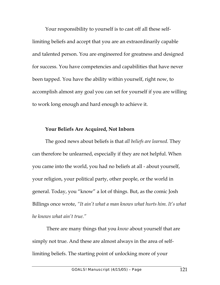Your responsibility to yourself is to cast off all these selflimiting beliefs and accept that you are an extraordinarily capable and talented person. You are engineered for greatness and designed for success. You have competencies and capabilities that have never been tapped. You have the ability within yourself, right now, to accomplish almost any goal you can set for yourself if you are willing to work long enough and hard enough to achieve it.

# **Your Beliefs Are Acquired, Not Inborn**

The good news about beliefs is that *all beliefs are learned*. They can therefore be unlearned, especially if they are not helpful. When you came into the world, you had no beliefs at all - about yourself, your religion, your political party, other people, or the world in general. Today, you "know" a lot of things. But, as the comic Josh Billings once wrote, *"It ain't what a man knows what hurts him. It's what he knows what ain't true."* 

 There are many things that you *know* about yourself that are simply not true. And these are almost always in the area of selflimiting beliefs. The starting point of unlocking more of your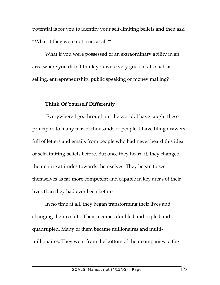potential is for you to identify your self-limiting beliefs and then ask, "What if they were not true, at all?"

What if you were possessed of an extraordinary ability in an area where you didn't think you were very good at all, such as selling, entrepreneurship, public speaking or money making?

### **Think Of Yourself Differently**

 Everywhere I go, throughout the world, I have taught these principles to many tens of thousands of people. I have filing drawers full of letters and emails from people who had never heard this idea of self-limiting beliefs before. But once they heard it, they changed their entire attitudes towards themselves. They began to see themselves as far more competent and capable in key areas of their lives than they had ever been before.

In no time at all, they began transforming their lives and changing their results. Their incomes doubled and tripled and quadrupled. Many of them became millionaires and multimillionaires. They went from the bottom of their companies to the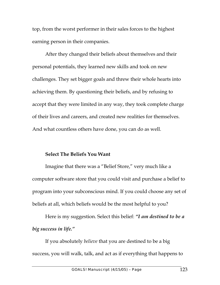top, from the worst performer in their sales forces to the highest earning person in their companies.

After they changed their beliefs about themselves and their personal potentials, they learned new skills and took on new challenges. They set bigger goals and threw their whole hearts into achieving them. By questioning their beliefs, and by refusing to accept that they were limited in any way, they took complete charge of their lives and careers, and created new realities for themselves. And what countless others have done, you can do as well.

### **Select The Beliefs You Want**

Imagine that there was a "Belief Store," very much like a computer software store that you could visit and purchase a belief to program into your subconscious mind. If you could choose any set of beliefs at all, which beliefs would be the most helpful to you?

Here is my suggestion. Select this belief: *"I am destined to be a big success in life."* 

If you absolutely *believe* that you are destined to be a big success, you will walk, talk, and act as if everything that happens to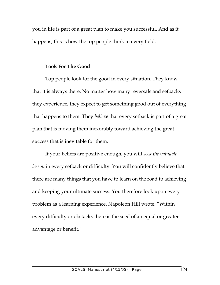you in life is part of a great plan to make you successful. And as it happens, this is how the top people think in every field.

# **Look For The Good**

Top people look for the good in every situation. They know that it is always there. No matter how many reversals and setbacks they experience, they expect to get something good out of everything that happens to them. They *believe* that every setback is part of a great plan that is moving them inexorably toward achieving the great success that is inevitable for them.

If your beliefs are positive enough, you will *seek the valuable lesson* in every setback or difficulty. You will confidently believe that there are many things that you have to learn on the road to achieving and keeping your ultimate success. You therefore look upon every problem as a learning experience. Napoleon Hill wrote, "Within every difficulty or obstacle, there is the seed of an equal or greater advantage or benefit."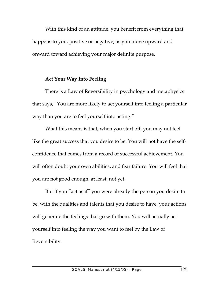With this kind of an attitude, you benefit from everything that happens to you, positive or negative, as you move upward and onward toward achieving your major definite purpose.

# **Act Your Way Into Feeling**

There is a Law of Reversibility in psychology and metaphysics that says, "You are more likely to act yourself into feeling a particular way than you are to feel yourself into acting."

What this means is that, when you start off, you may not feel like the great success that you desire to be. You will not have the selfconfidence that comes from a record of successful achievement. You will often doubt your own abilities, and fear failure. You will feel that you are not good enough, at least, not yet.

But if you "act as if" you were already the person you desire to be, with the qualities and talents that you desire to have, your actions will generate the feelings that go with them. You will actually act yourself into feeling the way you want to feel by the Law of Reversibility.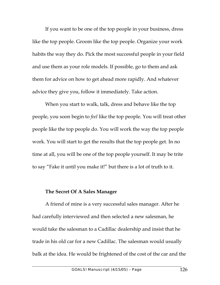If you want to be one of the top people in your business, dress like the top people. Groom like the top people. Organize your work habits the way they do. Pick the most successful people in your field and use them as your role models. If possible, go to them and ask them for advice on how to get ahead more rapidly. And whatever advice they give you, follow it immediately. Take action.

When you start to walk, talk, dress and behave like the top people, you soon begin to *feel* like the top people. You will treat other people like the top people do. You will work the way the top people work. You will start to get the results that the top people get. In no time at all, you will be one of the top people yourself. It may be trite to say "Fake it until you make it!" but there is a lot of truth to it.

#### **The Secret Of A Sales Manager**

A friend of mine is a very successful sales manager. After he had carefully interviewed and then selected a new salesman, he would take the salesman to a Cadillac dealership and insist that he trade in his old car for a new Cadillac. The salesman would usually balk at the idea. He would be frightened of the cost of the car and the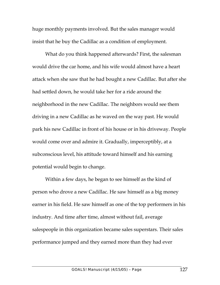huge monthly payments involved. But the sales manager would insist that he buy the Cadillac as a condition of employment.

What do you think happened afterwards? First, the salesman would drive the car home, and his wife would almost have a heart attack when she saw that he had bought a new Cadillac. But after she had settled down, he would take her for a ride around the neighborhood in the new Cadillac. The neighbors would see them driving in a new Cadillac as he waved on the way past. He would park his new Cadillac in front of his house or in his driveway. People would come over and admire it. Gradually, imperceptibly, at a subconscious level, his attitude toward himself and his earning potential would begin to change.

Within a few days, he began to see himself as the kind of person who drove a new Cadillac. He saw himself as a big money earner in his field. He saw himself as one of the top performers in his industry. And time after time, almost without fail, average salespeople in this organization became sales superstars. Their sales performance jumped and they earned more than they had ever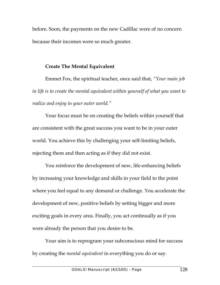before. Soon, the payments on the new Cadillac were of no concern because their incomes were so much greater.

# **Create The Mental Equivalent**

Emmet Fox, the spiritual teacher, once said that, *"Your main job in life is to create the mental equivalent within yourself of what you want to realize and enjoy in your outer world."* 

Your focus must be on creating the beliefs within yourself that are consistent with the great success you want to be in your outer world. You achieve this by challenging your self-limiting beliefs, rejecting them and then acting as if they did not exist.

You reinforce the development of new, life-enhancing beliefs by increasing your knowledge and skills in your field to the point where you feel equal to any demand or challenge. You accelerate the development of new, positive beliefs by setting bigger and more exciting goals in every area. Finally, you act continually as if you were already the person that you desire to be.

Your aim is to reprogram your subconscious mind for success by creating the *mental equivalent* in everything you do or say.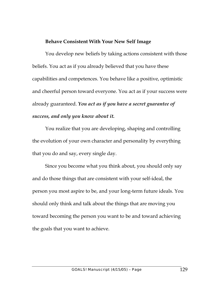#### **Behave Consistent With Your New Self Image**

You develop new beliefs by taking actions consistent with those beliefs. You act as if you already believed that you have these capabilities and competences. You behave like a positive, optimistic and cheerful person toward everyone. You act as if your success were already guaranteed. *You act as if you have a secret guarantee of success, and only you know about it.* 

You realize that you are developing, shaping and controlling the evolution of your own character and personality by everything that you do and say, every single day.

Since you become what you think about, you should only say and do those things that are consistent with your self-ideal, the person you most aspire to be, and your long-term future ideals. You should only think and talk about the things that are moving you toward becoming the person you want to be and toward achieving the goals that you want to achieve.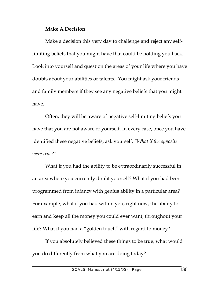### **Make A Decision**

Make a decision this very day to challenge and reject any selflimiting beliefs that you might have that could be holding you back. Look into yourself and question the areas of your life where you have doubts about your abilities or talents. You might ask your friends and family members if they see any negative beliefs that you might have.

Often, they will be aware of negative self-limiting beliefs you have that you are not aware of yourself. In every case, once you have identified these negative beliefs, ask yourself, *"What if the opposite were true?"* 

What if you had the ability to be extraordinarily successful in an area where you currently doubt yourself? What if you had been programmed from infancy with genius ability in a particular area? For example, what if you had within you, right now, the ability to earn and keep all the money you could ever want, throughout your life? What if you had a "golden touch" with regard to money?

If you absolutely believed these things to be true, what would you do differently from what you are doing today?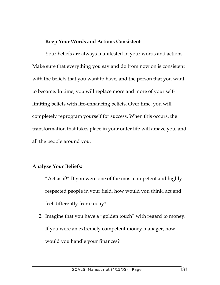#### **Keep Your Words and Actions Consistent**

Your beliefs are always manifested in your words and actions. Make sure that everything you say and do from now on is consistent with the beliefs that you want to have, and the person that you want to become. In time, you will replace more and more of your selflimiting beliefs with life-enhancing beliefs. Over time, you will completely reprogram yourself for success. When this occurs, the transformation that takes place in your outer life will amaze you, and all the people around you.

### **Analyze Your Beliefs:**

- 1. "Act as if!" If you were one of the most competent and highly respected people in your field, how would you think, act and feel differently from today?
- 2. Imagine that you have a "golden touch" with regard to money. If you were an extremely competent money manager, how would you handle your finances?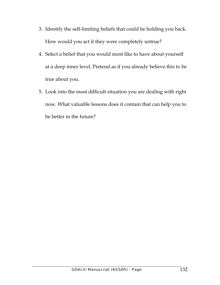- 3. Identify the self-limiting beliefs that could be holding you back. How would you act if they were completely untrue?
- 4. Select a belief that you would most like to have about yourself at a deep inner level. Pretend as if you already believe this to be true about you.
- 5. Look into the most difficult situation you are dealing with right now. What valuable lessons does it contain that can help you to be better in the future?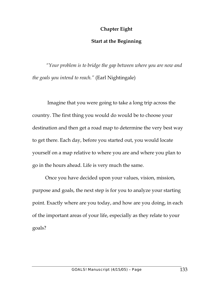# **Chapter Eight**

# **Start at the Beginning**

 *"Your problem is to bridge the gap between where you are now and the goals you intend to reach."* (Earl Nightingale)

 Imagine that you were going to take a long trip across the country. The first thing you would do would be to choose your destination and then get a road map to determine the very best way to get there. Each day, before you started out, you would locate yourself on a map relative to where you are and where you plan to go in the hours ahead. Life is very much the same.

Once you have decided upon your values, vision, mission, purpose and goals, the next step is for you to analyze your starting point. Exactly where are you today, and how are you doing, in each of the important areas of your life, especially as they relate to your goals?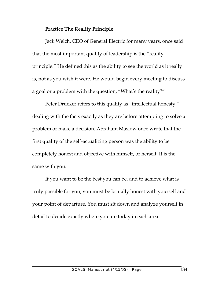### **Practice The Reality Principle**

Jack Welch, CEO of General Electric for many years, once said that the most important quality of leadership is the "reality principle." He defined this as the ability to see the world as it really is, not as you wish it were. He would begin every meeting to discuss a goal or a problem with the question, "What's the reality?"

Peter Drucker refers to this quality as "intellectual honesty," dealing with the facts exactly as they are before attempting to solve a problem or make a decision. Abraham Maslow once wrote that the first quality of the self-actualizing person was the ability to be completely honest and objective with himself, or herself. It is the same with you.

If you want to be the best you can be, and to achieve what is truly possible for you, you must be brutally honest with yourself and your point of departure. You must sit down and analyze yourself in detail to decide exactly where you are today in each area.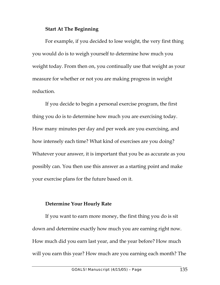### **Start At The Beginning**

For example, if you decided to lose weight, the very first thing you would do is to weigh yourself to determine how much you weight today. From then on, you continually use that weight as your measure for whether or not you are making progress in weight reduction.

If you decide to begin a personal exercise program, the first thing you do is to determine how much you are exercising today. How many minutes per day and per week are you exercising, and how intensely each time? What kind of exercises are you doing? Whatever your answer, it is important that you be as accurate as you possibly can. You then use this answer as a starting point and make your exercise plans for the future based on it.

# **Determine Your Hourly Rate**

If you want to earn more money, the first thing you do is sit down and determine exactly how much you are earning right now. How much did you earn last year, and the year before? How much will you earn this year? How much are you earning each month? The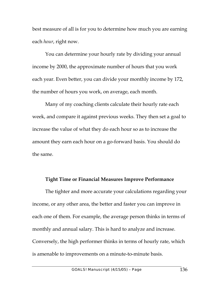best measure of all is for you to determine how much you are earning each *hour*, right now.

You can determine your hourly rate by dividing your annual income by 2000, the approximate number of hours that you work each year. Even better, you can divide your monthly income by 172, the number of hours you work, on average, each month.

Many of my coaching clients calculate their hourly rate each week, and compare it against previous weeks. They then set a goal to increase the value of what they do each hour so as to increase the amount they earn each hour on a go-forward basis. You should do the same.

#### **Tight Time or Financial Measures Improve Performance**

The tighter and more accurate your calculations regarding your income, or any other area, the better and faster you can improve in each one of them. For example, the average person thinks in terms of monthly and annual salary. This is hard to analyze and increase. Conversely, the high performer thinks in terms of hourly rate, which is amenable to improvements on a minute-to-minute basis.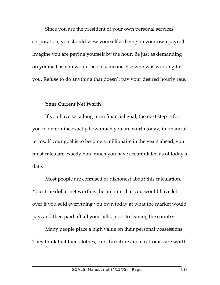Since you are the president of your own personal services corporation, you should view yourself as being on your own payroll. Imagine you are paying yourself by the hour. Be just as demanding on yourself as you would be on someone else who was working for you. Refuse to do anything that doesn't pay your desired hourly rate.

### **Your Current Net Worth**

If you have set a long-term financial goal, the next step is for you to determine exactly how much you are worth today, in financial terms. If your goal is to become a millionaire in the years ahead, you must calculate exactly how much you have accumulated as of today's date.

Most people are confused or dishonest about this calculation. Your true dollar net worth is the amount that you would have left over if you sold everything you own today at what the market would pay, and then paid off all your bills, prior to leaving the country.

Many people place a high value on their personal possessions. They think that their clothes, cars, furniture and electronics are worth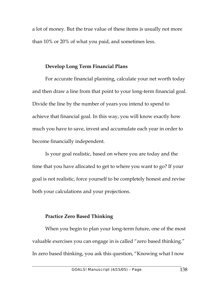a lot of money. But the true value of these items is usually not more than 10% or 20% of what you paid, and sometimes less.

### **Develop Long Term Financial Plans**

For accurate financial planning, calculate your net worth today and then draw a line from that point to your long-term financial goal. Divide the line by the number of years you intend to spend to achieve that financial goal. In this way, you will know exactly how much you have to save, invest and accumulate each year in order to become financially independent.

Is your goal realistic, based on where you are today and the time that you have allocated to get to where you want to go? If your goal is not realistic, force yourself to be completely honest and revise both your calculations and your projections.

# **Practice Zero Based Thinking**

When you begin to plan your long-term future, one of the most valuable exercises you can engage in is called "zero based thinking." In zero based thinking, you ask this question, "Knowing what I now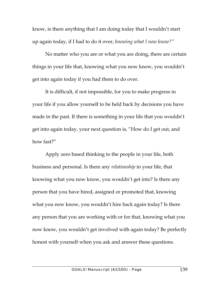know, is there anything that I am doing today that I wouldn't start up again today, if I had to do it over, *knowing what I now know?"* 

No matter who you are or what you are doing, there are certain things in your life that, knowing what you now know, you wouldn't get into again today if you had them to do over.

It is difficult, if not impossible, for you to make progress in your life if you allow yourself to be held back by decisions you have made in the past. If there is something in your life that you wouldn't get into again today, your next question is, "How do I get out, and how fast?"

Apply zero based thinking to the people in your life, both business and personal. Is there any *relationship* in your life, that knowing what you now know, you wouldn't get into? Is there any person that you have hired, assigned or promoted that, knowing what you now know, you wouldn't hire back again today? Is there any person that you are working with or for that, knowing what you now know, you wouldn't get involved with again today? Be perfectly honest with yourself when you ask and answer these questions.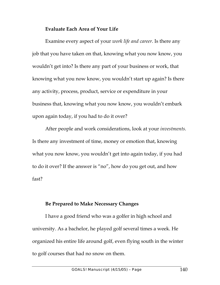### **Evaluate Each Area of Your Life**

Examine every aspect of your *work life and career*. Is there any job that you have taken on that, knowing what you now know, you wouldn't get into? Is there any part of your business or work, that knowing what you now know, you wouldn't start up again? Is there any activity, process, product, service or expenditure in your business that, knowing what you now know, you wouldn't embark upon again today, if you had to do it over?

After people and work considerations, look at your *investments.* Is there any investment of time, money or emotion that, knowing what you now know, you wouldn't get into again today, if you had to do it over? If the answer is "no", how do you get out, and how fast?

# **Be Prepared to Make Necessary Changes**

I have a good friend who was a golfer in high school and university. As a bachelor, he played golf several times a week. He organized his entire life around golf, even flying south in the winter to golf courses that had no snow on them.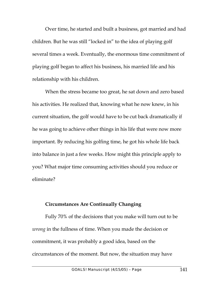Over time, he started and built a business, got married and had children. But he was still "locked in" to the idea of playing golf several times a week. Eventually, the enormous time commitment of playing golf began to affect his business, his married life and his relationship with his children.

When the stress became too great, he sat down and zero based his activities. He realized that, knowing what he now knew, in his current situation, the golf would have to be cut back dramatically if he was going to achieve other things in his life that were now more important. By reducing his golfing time, he got his whole life back into balance in just a few weeks. How might this principle apply to you? What major time consuming activities should you reduce or eliminate?

#### **Circumstances Are Continually Changing**

Fully 70% of the decisions that you make will turn out to be *wrong* in the fullness of time. When you made the decision or commitment, it was probably a good idea, based on the circumstances of the moment. But now, the situation may have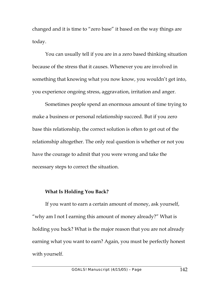changed and it is time to "zero base" it based on the way things are today.

You can usually tell if you are in a zero based thinking situation because of the stress that it causes. Whenever you are involved in something that knowing what you now know, you wouldn't get into, you experience ongoing stress, aggravation, irritation and anger.

Sometimes people spend an enormous amount of time trying to make a business or personal relationship succeed. But if you zero base this relationship, the correct solution is often to get out of the relationship altogether. The only real question is whether or not you have the courage to admit that you were wrong and take the necessary steps to correct the situation.

# **What Is Holding You Back?**

If you want to earn a certain amount of money, ask yourself, "why am I not I earning this amount of money already?" What is holding you back? What is the major reason that you are not already earning what you want to earn? Again, you must be perfectly honest with yourself.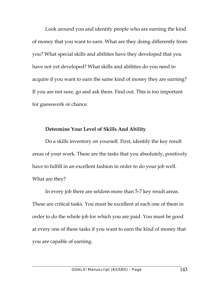Look around you and identify people who are earning the kind of money that you want to earn. What are they doing differently from you? What special skills and abilities have they developed that you have not yet developed? What skills and abilities do you need to acquire if you want to earn the same kind of money they are earning? If you are not sure, go and ask them. Find out. This is too important for guesswork or chance.

### **Determine Your Level of Skills And Ability**

Do a skills inventory on yourself. First, identify the key result areas of your work. These are the tasks that you absolutely, positively have to fulfill in an excellent fashion in order to do your job well. What are they?

In every job there are seldom more than 5-7 key result areas. These are critical tasks. You must be excellent at each one of them in order to do the whole job for which you are paid. You must be good at every one of these tasks if you want to earn the kind of money that you are capable of earning.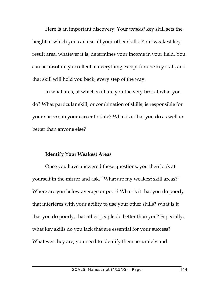Here is an important discovery: Your *weakest* key skill sets the height at which you can use all your other skills. Your weakest key result area, whatever it is, determines your income in your field. You can be absolutely excellent at everything except for one key skill, and that skill will hold you back, every step of the way.

In what area, at which skill are you the very best at what you do? What particular skill, or combination of skills, is responsible for your success in your career to date? What is it that you do as well or better than anyone else?

#### **Identify Your Weakest Areas**

Once you have answered these questions, you then look at yourself in the mirror and ask, "What are my weakest skill areas?" Where are you below average or poor? What is it that you do poorly that interferes with your ability to use your other skills? What is it that you do poorly, that other people do better than you? Especially, what key skills do you lack that are essential for your success? Whatever they are, you need to identify them accurately and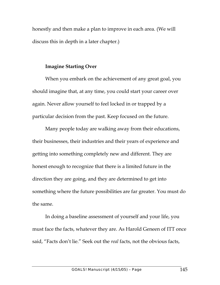honestly and then make a plan to improve in each area. (We will discuss this in depth in a later chapter.)

## **Imagine Starting Over**

When you embark on the achievement of any great goal, you should imagine that, at any time, you could start your career over again. Never allow yourself to feel locked in or trapped by a particular decision from the past. Keep focused on the future.

Many people today are walking away from their educations, their businesses, their industries and their years of experience and getting into something completely new and different. They are honest enough to recognize that there is a limited future in the direction they are going, and they are determined to get into something where the future possibilities are far greater. You must do the same.

In doing a baseline assessment of yourself and your life, you must face the facts, whatever they are. As Harold Geneen of ITT once said, "Facts don't lie." Seek out the *real* facts, not the obvious facts,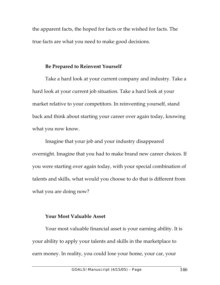the apparent facts, the hoped for facts or the wished for facts. The true facts are what you need to make good decisions.

### **Be Prepared to Reinvent Yourself**

Take a hard look at your current company and industry. Take a hard look at your current job situation. Take a hard look at your market relative to your competitors. In reinventing yourself, stand back and think about starting your career over again today, knowing what you now know.

Imagine that your job and your industry disappeared overnight. Imagine that you had to make brand new career choices. If you were starting over again today, with your special combination of talents and skills, what would you choose to do that is different from what you are doing now?

## **Your Most Valuable Asset**

Your most valuable financial asset is your earning ability. It is your ability to apply your talents and skills in the marketplace to earn money. In reality, you could lose your home, your car, your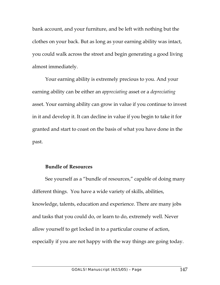bank account, and your furniture, and be left with nothing but the clothes on your back. But as long as your earning ability was intact, you could walk across the street and begin generating a good living almost immediately.

Your earning ability is extremely precious to you. And your earning ability can be either an *appreciating* asset or a *depreciating* asset. Your earning ability can grow in value if you continue to invest in it and develop it. It can decline in value if you begin to take it for granted and start to coast on the basis of what you have done in the past.

### **Bundle of Resources**

See yourself as a "bundle of resources," capable of doing many different things. You have a wide variety of skills, abilities, knowledge, talents, education and experience. There are many jobs and tasks that you could do, or learn to do, extremely well. Never allow yourself to get locked in to a particular course of action, especially if you are not happy with the way things are going today.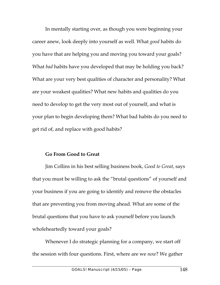In mentally starting over, as though you were beginning your career anew, look deeply into yourself as well. What *good* habits do you have that are helping you and moving you toward your goals? What *bad* habits have you developed that may be holding you back? What are your very best qualities of character and personality? What are your weakest qualities? What new habits and qualities do you need to develop to get the very most out of yourself, and what is your plan to begin developing them? What bad habits do you need to get rid of, and replace with good habits?

## **Go From Good to Great**

Jim Collins in his best selling business book, *Good to Great*, says that you must be willing to ask the "brutal questions" of yourself and your business if you are going to identify and remove the obstacles that are preventing you from moving ahead. What are some of the brutal questions that you have to ask yourself before you launch wholeheartedly toward your goals?

Whenever I do strategic planning for a company, we start off the session with four questions. First, where are we *now*? We gather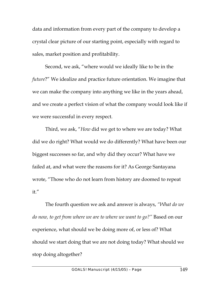data and information from every part of the company to develop a crystal clear picture of our starting point, especially with regard to sales, market position and profitability.

Second, we ask, "where would we ideally like to be in the *future*?" We idealize and practice future orientation. We imagine that we can make the company into anything we like in the years ahead, and we create a perfect vision of what the company would look like if we were successful in every respect.

Third, we ask, "*How* did we get to where we are today? What did we do right? What would we do differently? What have been our biggest successes so far, and why did they occur? What have we failed at, and what were the reasons for it? As George Santayana wrote, "Those who do not learn from history are doomed to repeat it."

The fourth question we ask and answer is always, *"What do we do now, to get from where we are to where we want to go?"* Based on our experience, what should we be doing more of, or less of? What should we start doing that we are not doing today? What should we stop doing altogether?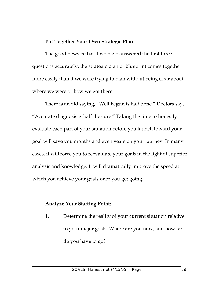## **Put Together Your Own Strategic Plan**

The good news is that if we have answered the first three questions accurately, the strategic plan or blueprint comes together more easily than if we were trying to plan without being clear about where we were or how we got there.

There is an old saying, "Well begun is half done." Doctors say, "Accurate diagnosis is half the cure." Taking the time to honestly evaluate each part of your situation before you launch toward your goal will save you months and even years on your journey. In many cases, it will force you to reevaluate your goals in the light of superior analysis and knowledge. It will dramatically improve the speed at which you achieve your goals once you get going.

## **Analyze Your Starting Point:**

1. Determine the reality of your current situation relative to your major goals. Where are you now, and how far do you have to go?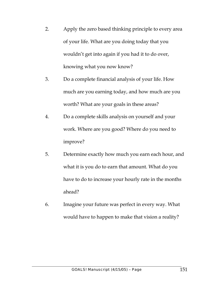- 2. Apply the zero based thinking principle to every area of your life. What are you doing today that you wouldn't get into again if you had it to do over, knowing what you now know?
- 3. Do a complete financial analysis of your life. How much are you earning today, and how much are you worth? What are your goals in these areas?
- 4. Do a complete skills analysis on yourself and your work. Where are you good? Where do you need to improve?
- 5. Determine exactly how much you earn each hour, and what it is you do to earn that amount. What do you have to do to increase your hourly rate in the months ahead?
- 6. Imagine your future was perfect in every way. What would have to happen to make that vision a reality?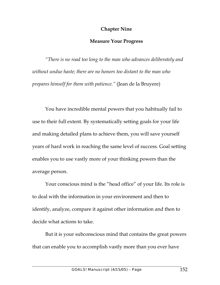# **Chapter Nine**

# **Measure Your Progress**

*"There is no road too long to the man who advances deliberately and without undue haste; there are no honors too distant to the man who prepares himself for them with patience."* (Jean de la Bruyere)

You have incredible mental powers that you habitually fail to use to their full extent. By systematically setting goals for your life and making detailed plans to achieve them, you will save yourself years of hard work in reaching the same level of success. Goal setting enables you to use vastly more of your thinking powers than the average person.

Your conscious mind is the "head office" of your life. Its role is to deal with the information in your environment and then to identify, analyze, compare it against other information and then to decide what actions to take.

But it is your subconscious mind that contains the great powers that can enable you to accomplish vastly more than you ever have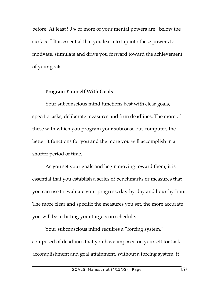before. At least 90% or more of your mental powers are "below the surface." It is essential that you learn to tap into these powers to motivate, stimulate and drive you forward toward the achievement of your goals.

### **Program Yourself With Goals**

Your subconscious mind functions best with clear goals, specific tasks, deliberate measures and firm deadlines. The more of these with which you program your subconscious computer, the better it functions for you and the more you will accomplish in a shorter period of time.

As you set your goals and begin moving toward them, it is essential that you establish a series of benchmarks or measures that you can use to evaluate your progress, day-by-day and hour-by-hour. The more clear and specific the measures you set, the more accurate you will be in hitting your targets on schedule.

Your subconscious mind requires a "forcing system," composed of deadlines that you have imposed on yourself for task accomplishment and goal attainment. Without a forcing system, it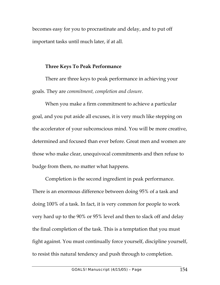becomes easy for you to procrastinate and delay, and to put off important tasks until much later, if at all.

# **Three Keys To Peak Performance**

There are three keys to peak performance in achieving your goals. They are *commitment, completion and closure*.

When you make a firm commitment to achieve a particular goal, and you put aside all excuses, it is very much like stepping on the accelerator of your subconscious mind. You will be more creative, determined and focused than ever before. Great men and women are those who make clear, unequivocal commitments and then refuse to budge from them, no matter what happens.

Completion is the second ingredient in peak performance. There is an enormous difference between doing 95% of a task and doing 100% of a task. In fact, it is very common for people to work very hard up to the 90% or 95% level and then to slack off and delay the final completion of the task. This is a temptation that you must fight against. You must continually force yourself, discipline yourself, to resist this natural tendency and push through to completion.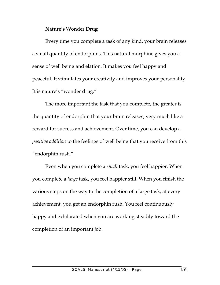# **Nature's Wonder Drug**

Every time you complete a task of any kind, your brain releases a small quantity of endorphins. This natural morphine gives you a sense of well being and elation. It makes you feel happy and peaceful. It stimulates your creativity and improves your personality. It is nature's "wonder drug."

The more important the task that you complete, the greater is the quantity of endorphin that your brain releases, very much like a reward for success and achievement. Over time, you can develop a *positive addition* to the feelings of well being that you receive from this "endorphin rush."

Even when you complete a *small* task, you feel happier. When you complete a *large* task, you feel happier still. When you finish the various steps on the way to the completion of a large task, at every achievement, you get an endorphin rush. You feel continuously happy and exhilarated when you are working steadily toward the completion of an important job.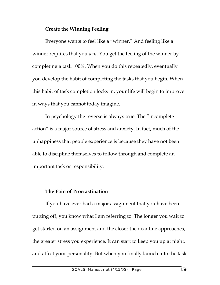# **Create the Winning Feeling**

Everyone wants to feel like a "winner." And feeling like a winner requires that you *win*. You get the feeling of the winner by completing a task 100%. When you do this repeatedly, eventually you develop the habit of completing the tasks that you begin. When this habit of task completion locks in, your life will begin to improve in ways that you cannot today imagine.

In psychology the reverse is always true. The "incomplete action" is a major source of stress and anxiety. In fact, much of the unhappiness that people experience is because they have not been able to discipline themselves to follow through and complete an important task or responsibility.

## **The Pain of Procrastination**

If you have ever had a major assignment that you have been putting off, you know what I am referring to. The longer you wait to get started on an assignment and the closer the deadline approaches, the greater stress you experience. It can start to keep you up at night, and affect your personality. But when you finally launch into the task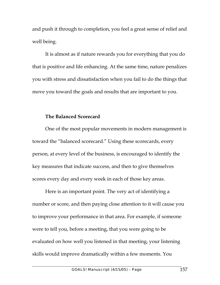and push it through to completion, you feel a great sense of relief and well being.

It is almost as if nature rewards you for everything that you do that is positive and life enhancing. At the same time, nature penalizes you with stress and dissatisfaction when you fail to do the things that move you toward the goals and results that are important to you.

#### **The Balanced Scorecard**

One of the most popular movements in modern management is toward the "balanced scorecard." Using these scorecards, every person, at every level of the business, is encouraged to identify the key measures that indicate success, and then to give themselves scores every day and every week in each of those key areas.

Here is an important point. The very act of identifying a number or score, and then paying close attention to it will cause you to improve your performance in that area. For example, if someone were to tell you, before a meeting, that you were going to be evaluated on how well you listened in that meeting, your listening skills would improve dramatically within a few moments. You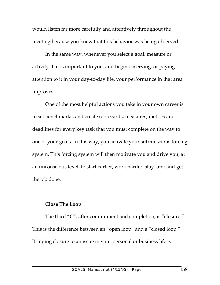would listen far more carefully and attentively throughout the meeting because you knew that this behavior was being observed.

In the same way, whenever you select a goal, measure or activity that is important to you, and begin observing, or paying attention to it in your day-to-day life, your performance in that area improves.

One of the most helpful actions you take in your own career is to set benchmarks, and create scorecards, measures, metrics and deadlines for every key task that you must complete on the way to one of your goals. In this way, you activate your subconscious forcing system. This forcing system will then motivate you and drive you, at an unconscious level, to start earlier, work harder, stay later and get the job done.

### **Close The Loop**

The third "C", after commitment and completion, is "closure." This is the difference between an "open loop" and a "closed loop." Bringing closure to an issue in your personal or business life is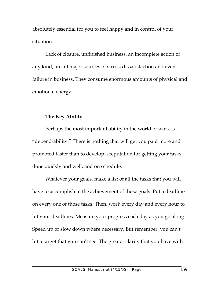absolutely essential for you to feel happy and in control of your situation.

Lack of closure, unfinished business, an incomplete action of any kind, are all major sources of stress, dissatisfaction and even failure in business. They consume enormous amounts of physical and emotional energy.

### **The Key Ability**

Perhaps the most important ability in the world of work is "depend-ability." There is nothing that will get you paid more and promoted faster than to develop a reputation for getting your tasks done quickly and well, and on schedule.

Whatever your goals, make a list of all the tasks that you will have to accomplish in the achievement of those goals. Put a deadline on every one of those tasks. Then, work every day and every hour to hit your deadlines. Measure your progress each day as you go along. Speed up or slow down where necessary. But remember, you can't hit a target that you can't see. The greater clarity that you have with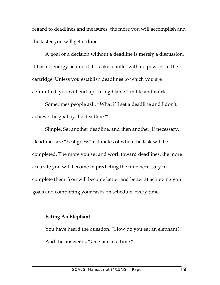regard to deadlines and measures, the more you will accomplish and the faster you will get it done.

A goal or a decision without a deadline is merely a discussion. It has no energy behind it. It is like a bullet with no powder in the cartridge. Unless you establish deadlines to which you are committed, you will end up "firing blanks" in life and work.

Sometimes people ask, "What if I set a deadline and I don't achieve the goal by the deadline?"

Simple. Set another deadline, and then another, if necessary. Deadlines are "best guess" estimates of when the task will be completed. The more you set and work toward deadlines, the more accurate you will become in predicting the time necessary to complete them. You will become better and better at achieving your goals and completing your tasks on schedule, every time.

### **Eating An Elephant**

You have heard the question, "How do you eat an elephant?" And the answer is, "One bite at a time."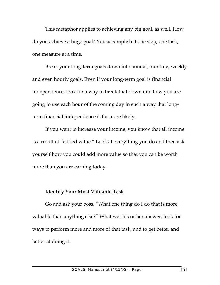This metaphor applies to achieving any big goal, as well. How do you achieve a huge goal? You accomplish it one step, one task, one measure at a time.

Break your long-term goals down into annual, monthly, weekly and even hourly goals. Even if your long-term goal is financial independence, look for a way to break that down into how you are going to use each hour of the coming day in such a way that longterm financial independence is far more likely.

If you want to increase your income, you know that all income is a result of "added value." Look at everything you do and then ask yourself how you could add more value so that you can be worth more than you are earning today.

### **Identify Your Most Valuable Task**

Go and ask your boss, "What one thing do I do that is more valuable than anything else?" Whatever his or her answer, look for ways to perform more and more of that task, and to get better and better at doing it.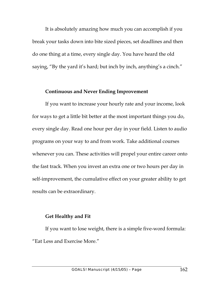It is absolutely amazing how much you can accomplish if you break your tasks down into bite sized pieces, set deadlines and then do one thing at a time, every single day. You have heard the old saying, "By the yard it's hard; but inch by inch, anything's a cinch."

### **Continuous and Never Ending Improvement**

If you want to increase your hourly rate and your income, look for ways to get a little bit better at the most important things you do, every single day. Read one hour per day in your field. Listen to audio programs on your way to and from work. Take additional courses whenever you can. These activities will propel your entire career onto the fast track. When you invest an extra one or two hours per day in self-improvement, the cumulative effect on your greater ability to get results can be extraordinary.

## **Get Healthy and Fit**

If you want to lose weight, there is a simple five-word formula: "Eat Less and Exercise More."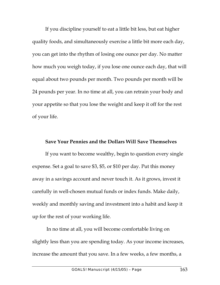If you discipline yourself to eat a little bit less, but eat higher quality foods, and simultaneously exercise a little bit more each day, you can get into the rhythm of losing one ounce per day. No matter how much you weigh today, if you lose one ounce each day, that will equal about two pounds per month. Two pounds per month will be 24 pounds per year. In no time at all, you can retrain your body and your appetite so that you lose the weight and keep it off for the rest of your life.

### **Save Your Pennies and the Dollars Will Save Themselves**

If you want to become wealthy, begin to question every single expense. Set a goal to save \$3, \$5, or \$10 per day. Put this money away in a savings account and never touch it. As it grows, invest it carefully in well-chosen mutual funds or index funds. Make daily, weekly and monthly saving and investment into a habit and keep it up for the rest of your working life.

 In no time at all, you will become comfortable living on slightly less than you are spending today. As your income increases, increase the amount that you save. In a few weeks, a few months, a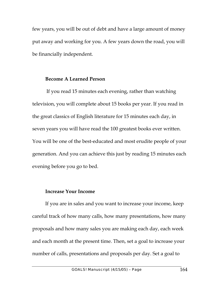few years, you will be out of debt and have a large amount of money put away and working for you. A few years down the road, you will be financially independent.

#### **Become A Learned Person**

 If you read 15 minutes each evening, rather than watching television, you will complete about 15 books per year. If you read in the great classics of English literature for 15 minutes each day, in seven years you will have read the 100 greatest books ever written. You will be one of the best-educated and most erudite people of your generation. And you can achieve this just by reading 15 minutes each evening before you go to bed.

#### **Increase Your Income**

If you are in sales and you want to increase your income, keep careful track of how many calls, how many presentations, how many proposals and how many sales you are making each day, each week and each month at the present time. Then, set a goal to increase your number of calls, presentations and proposals per day. Set a goal to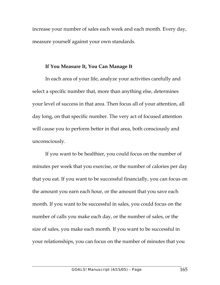increase your number of sales each week and each month. Every day, measure yourself against your own standards.

### **If You Measure It, You Can Manage It**

In each area of your life, analyze your activities carefully and select a specific number that, more than anything else, determines your level of success in that area. Then focus all of your attention, all day long, on that specific number. The very act of focused attention will cause you to perform better in that area, both consciously and unconsciously.

If you want to be healthier, you could focus on the number of minutes per week that you exercise, or the number of calories per day that you eat. If you want to be successful financially, you can focus on the amount you earn each hour, or the amount that you save each month. If you want to be successful in sales, you could focus on the number of calls you make each day, or the number of sales, or the size of sales, you make each month. If you want to be successful in your relationships, you can focus on the number of minutes that you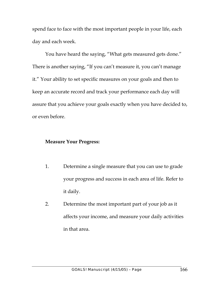spend face to face with the most important people in your life, each day and each week.

You have heard the saying, "What gets measured gets done." There is another saying, "If you can't measure it, you can't manage it." Your ability to set specific measures on your goals and then to keep an accurate record and track your performance each day will assure that you achieve your goals exactly when you have decided to, or even before.

### **Measure Your Progress:**

- 1. Determine a single measure that you can use to grade your progress and success in each area of life. Refer to it daily.
- 2. Determine the most important part of your job as it affects your income, and measure your daily activities in that area.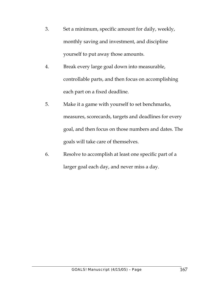- 3. Set a minimum, specific amount for daily, weekly, monthly saving and investment, and discipline yourself to put away those amounts.
- 4. Break every large goal down into measurable, controllable parts, and then focus on accomplishing each part on a fixed deadline.
- 5. Make it a game with yourself to set benchmarks, measures, scorecards, targets and deadlines for every goal, and then focus on those numbers and dates. The goals will take care of themselves.
- 6. Resolve to accomplish at least one specific part of a larger goal each day, and never miss a day.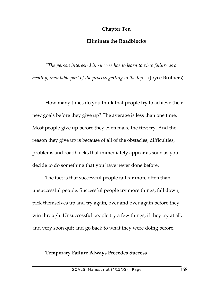# **Chapter Ten**

# **Eliminate the Roadblocks**

*"The person interested in success has to learn to view failure as a healthy, inevitable part of the process getting to the top."* (Joyce Brothers)

How many times do you think that people try to achieve their new goals before they give up? The average is less than one time. Most people give up before they even make the first try. And the reason they give up is because of all of the obstacles, difficulties, problems and roadblocks that immediately appear as soon as you decide to do something that you have never done before.

The fact is that successful people fail far more often than unsuccessful people. Successful people try more things, fall down, pick themselves up and try again, over and over again before they win through. Unsuccessful people try a few things, if they try at all, and very soon quit and go back to what they were doing before.

## **Temporary Failure Always Precedes Success**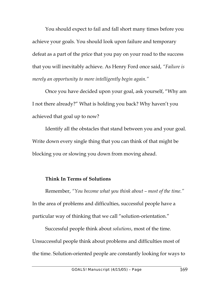You should expect to fail and fall short many times before you achieve your goals. You should look upon failure and temporary defeat as a part of the price that you pay on your road to the success that you will inevitably achieve. As Henry Ford once said, *"Failure is merely an opportunity to more intelligently begin again."* 

Once you have decided upon your goal, ask yourself, "Why am I not there already?" What is holding you back? Why haven't you achieved that goal up to now?

Identify all the obstacles that stand between you and your goal. Write down every single thing that you can think of that might be blocking you or slowing you down from moving ahead.

## **Think In Terms of Solutions**

Remember, *"You become what you think about – most of the time."* In the area of problems and difficulties, successful people have a particular way of thinking that we call "solution-orientation."

Successful people think about *solutions*, most of the time. Unsuccessful people think about problems and difficulties most of the time. Solution-oriented people are constantly looking for ways to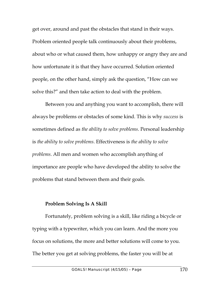get over, around and past the obstacles that stand in their ways. Problem oriented people talk continuously about their problems, about who or what caused them, how unhappy or angry they are and how unfortunate it is that they have occurred. Solution oriented people, on the other hand, simply ask the question, "How can we solve this?" and then take action to deal with the problem.

Between you and anything you want to accomplish, there will always be problems or obstacles of some kind. This is why *success* is sometimes defined as *the ability to solve problems*. Personal leadership is *the ability to solve problems*. Effectiveness is *the ability to solve problems*. All men and women who accomplish anything of importance are people who have developed the ability to solve the problems that stand between them and their goals.

#### **Problem Solving Is A Skill**

Fortunately, problem solving is a skill, like riding a bicycle or typing with a typewriter, which you can learn. And the more you focus on solutions, the more and better solutions will come to you. The better you get at solving problems, the faster you will be at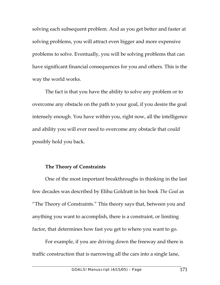solving each subsequent problem. And as you get better and faster at solving problems, you will attract even bigger and more expensive problems to solve. Eventually, you will be solving problems that can have significant financial consequences for you and others. This is the way the world works.

The fact is that you have the ability to solve any problem or to overcome any obstacle on the path to your goal, if you desire the goal intensely enough. You have within you, right now, all the intelligence and ability you will ever need to overcome any obstacle that could possibly hold you back.

## **The Theory of Constraints**

One of the most important breakthroughs in thinking in the last few decades was described by Elihu Goldratt in his book *The Goal* as "The Theory of Constraints." This theory says that, between you and anything you want to accomplish, there is a constraint, or limiting factor, that determines how fast you get to where you want to go.

For example, if you are driving down the freeway and there is traffic construction that is narrowing all the cars into a single lane,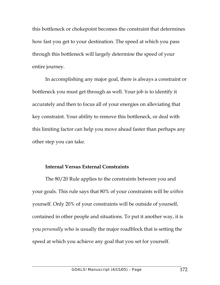this bottleneck or chokepoint becomes the constraint that determines how fast you get to your destination. The speed at which you pass through this bottleneck will largely determine the speed of your entire journey.

In accomplishing any major goal, there is always a constraint or bottleneck you must get through as well. Your job is to identify it accurately and then to focus all of your energies on alleviating that key constraint. Your ability to remove this bottleneck, or deal with this limiting factor can help you move ahead faster than perhaps any other step you can take.

### **Internal Versus External Constraints**

The 80/20 Rule applies to the constraints between you and your goals. This rule says that 80% of your constraints will be *within* yourself. Only 20% of your constraints will be outside of yourself, contained in other people and situations. To put it another way, it is you *personally* who is usually the major roadblock that is setting the speed at which you achieve any goal that you set for yourself.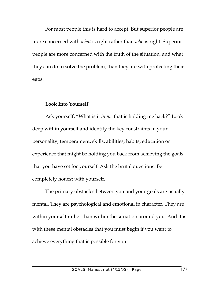For most people this is hard to accept. But superior people are more concerned with *what* is right rather than *who* is right. Superior people are more concerned with the truth of the situation, and what they can do to solve the problem, than they are with protecting their egos.

### **Look Into Yourself**

Ask yourself, "What is it *in me* that is holding me back?" Look deep within yourself and identify the key constraints in your personality, temperament, skills, abilities, habits, education or experience that might be holding you back from achieving the goals that you have set for yourself. Ask the brutal questions. Be completely honest with yourself.

The primary obstacles between you and your goals are usually mental. They are psychological and emotional in character. They are within yourself rather than within the situation around you. And it is with these mental obstacles that you must begin if you want to achieve everything that is possible for you.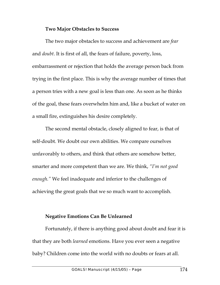## **Two Major Obstacles to Success**

The two major obstacles to success and achievement are *fear* and *doubt*. It is first of all, the fears of failure, poverty, loss, embarrassment or rejection that holds the average person back from trying in the first place. This is why the average number of times that a person tries with a new goal is less than one. As soon as he thinks of the goal, these fears overwhelm him and, like a bucket of water on a small fire, extinguishes his desire completely.

The second mental obstacle, closely aligned to fear, is that of self-doubt. We doubt our own abilities. We compare ourselves unfavorably to others, and think that others are somehow better, smarter and more competent than we are. We think, *"I'm not good enough."* We feel inadequate and inferior to the challenges of achieving the great goals that we so much want to accomplish.

# **Negative Emotions Can Be Unlearned**

Fortunately, if there is anything good about doubt and fear it is that they are both *learned* emotions. Have you ever seen a negative baby? Children come into the world with no doubts or fears at all.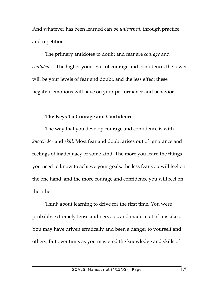And whatever has been learned can be *unlearned*, through practice and repetition.

The primary antidotes to doubt and fear are *courage* and *confidence*. The higher your level of courage and confidence, the lower will be your levels of fear and doubt, and the less effect these negative emotions will have on your performance and behavior.

### **The Keys To Courage and Confidence**

The way that you develop courage and confidence is with *knowledge* and *skill*. Most fear and doubt arises out of ignorance and feelings of inadequacy of some kind. The more you learn the things you need to know to achieve your goals, the less fear you will feel on the one hand, and the more courage and confidence you will feel on the other.

Think about learning to drive for the first time. You were probably extremely tense and nervous, and made a lot of mistakes. You may have driven erratically and been a danger to yourself and others. But over time, as you mastered the knowledge and skills of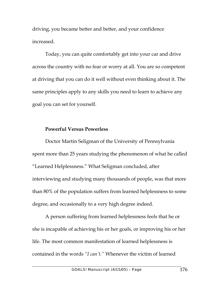driving, you became better and better, and your confidence increased.

Today, you can quite comfortably get into your car and drive across the country with no fear or worry at all. You are so competent at driving that you can do it well without even thinking about it. The same principles apply to any skills you need to learn to achieve any goal you can set for yourself.

### **Powerful Versus Powerless**

Doctor Martin Seligman of the University of Pennsylvania spent more than 25 years studying the phenomenon of what he called "Learned Helplessness." What Seligman concluded, after interviewing and studying many thousands of people, was that more than 80% of the population suffers from learned helplessness to some degree, and occasionally to a very high degree indeed.

A person suffering from learned helplessness feels that he or she is incapable of achieving his or her goals, or improving his or her life. The most common manifestation of learned helplessness is contained in the words *"I can't."* Whenever the victim of learned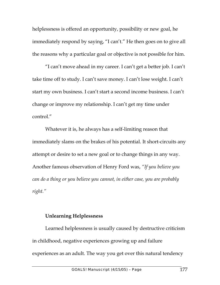helplessness is offered an opportunity, possibility or new goal, he immediately respond by saying, "I can't." He then goes on to give all the reasons why a particular goal or objective is not possible for him.

"I can't move ahead in my career. I can't get a better job. I can't take time off to study. I can't save money. I can't lose weight. I can't start my own business. I can't start a second income business. I can't change or improve my relationship. I can't get my time under control."

Whatever it is, he always has a self-limiting reason that immediately slams on the brakes of his potential. It short-circuits any attempt or desire to set a new goal or to change things in any way. Another famous observation of Henry Ford was, *"If you believe you can do a thing or you believe you cannot, in either case, you are probably right."* 

# **Unlearning Helplessness**

Learned helplessness is usually caused by destructive criticism in childhood, negative experiences growing up and failure experiences as an adult. The way you get over this natural tendency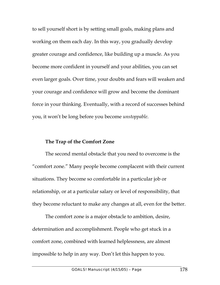to sell yourself short is by setting small goals, making plans and working on them each day. In this way, you gradually develop greater courage and confidence, like building up a muscle. As you become more confident in yourself and your abilities, you can set even larger goals. Over time, your doubts and fears will weaken and your courage and confidence will grow and become the dominant force in your thinking. Eventually, with a record of successes behind you, it won't be long before you become *unstoppable*.

### **The Trap of the Comfort Zone**

The second mental obstacle that you need to overcome is the "comfort zone." Many people become complacent with their current situations. They become so comfortable in a particular job or relationship, or at a particular salary or level of responsibility, that they become reluctant to make any changes at all, even for the better.

The comfort zone is a major obstacle to ambition, desire, determination and accomplishment. People who get stuck in a comfort zone, combined with learned helplessness, are almost impossible to help in any way. Don't let this happen to you.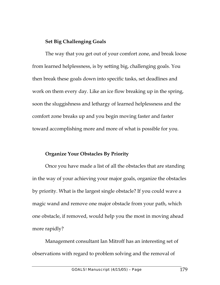# **Set Big Challenging Goals**

The way that you get out of your comfort zone, and break loose from learned helplessness, is by setting big, challenging goals. You then break these goals down into specific tasks, set deadlines and work on them every day. Like an ice flow breaking up in the spring, soon the sluggishness and lethargy of learned helplessness and the comfort zone breaks up and you begin moving faster and faster toward accomplishing more and more of what is possible for you.

# **Organize Your Obstacles By Priority**

Once you have made a list of all the obstacles that are standing in the way of your achieving your major goals, organize the obstacles by priority. What is the largest single obstacle? If you could wave a magic wand and remove one major obstacle from your path, which one obstacle, if removed, would help you the most in moving ahead more rapidly?

Management consultant Ian Mitroff has an interesting set of observations with regard to problem solving and the removal of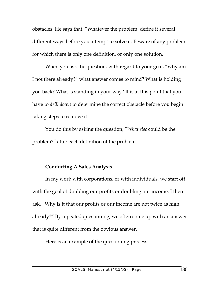obstacles. He says that, "Whatever the problem, define it several different ways before you attempt to solve it. Beware of any problem for which there is only one definition, or only one solution."

When you ask the question, with regard to your goal, "why am I not there already?" what answer comes to mind? What is holding you back? What is standing in your way? It is at this point that you have to *drill down* to determine the correct obstacle before you begin taking steps to remove it.

You do this by asking the question, "*What else* could be the problem?" after each definition of the problem.

# **Conducting A Sales Analysis**

In my work with corporations, or with individuals, we start off with the goal of doubling our profits or doubling our income. I then ask, "Why is it that our profits or our income are not twice as high already?" By repeated questioning, we often come up with an answer that is quite different from the obvious answer.

Here is an example of the questioning process: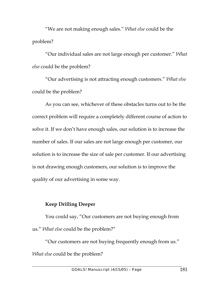"We are not making enough sales." *What else* could be the problem?

"Our individual sales are not large enough per customer." *What else* could be the problem?

"Our advertising is not attracting enough customers." *What else* could be the problem?

As you can see, whichever of these obstacles turns out to be the correct problem will require a completely different course of action to solve it. If we don't have enough sales, our solution is to increase the number of sales. If our sales are not large enough per customer, our solution is to increase the size of sale per customer. If our advertising is not drawing enough customers, our solution is to improve the quality of our advertising in some way.

## **Keep Drilling Deeper**

You could say, "Our customers are not buying enough from us." *What else* could be the problem?"

"Our customers are not buying frequently enough from us." *What else* could be the problem?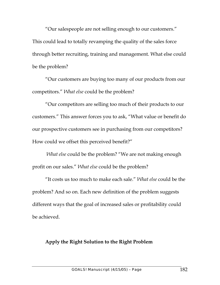"Our salespeople are not selling enough to our customers." This could lead to totally revamping the quality of the sales force through better recruiting, training and management. What else could be the problem?

"Our customers are buying too many of our products from our competitors." *What else* could be the problem?

"Our competitors are selling too much of their products to our customers." This answer forces you to ask, "What value or benefit do our prospective customers see in purchasing from our competitors? How could we offset this perceived benefit?"

*What else* could be the problem? "We are not making enough profit on our sales." *What else* could be the problem?

"It costs us too much to make each sale." *What else* could be the problem? And so on. Each new definition of the problem suggests different ways that the goal of increased sales or profitability could be achieved.

# **Apply the Right Solution to the Right Problem**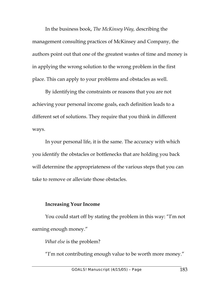In the business book, *The McKinsey Way,* describing the management consulting practices of McKinsey and Company, the authors point out that one of the greatest wastes of time and money is in applying the wrong solution to the wrong problem in the first place. This can apply to your problems and obstacles as well.

By identifying the constraints or reasons that you are not achieving your personal income goals, each definition leads to a different set of solutions. They require that you think in different ways.

In your personal life, it is the same. The accuracy with which you identify the obstacles or bottlenecks that are holding you back will determine the appropriateness of the various steps that you can take to remove or alleviate those obstacles.

### **Increasing Your Income**

You could start off by stating the problem in this way: "I'm not earning enough money."

*What else* is the problem?

"I'm not contributing enough value to be worth more money."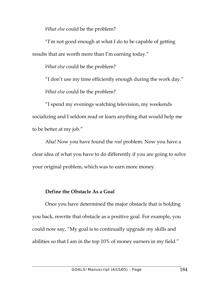*What else* could be the problem?

"I'm not good enough at what I do to be capable of getting results that are worth more than I'm earning today."

*What else* could be the problem?

"I don't use my time efficiently enough during the work day."

*What else* could be the problem?

"I spend my evenings watching television, my weekends socializing and I seldom read or learn anything that would help me to be better at my job."

Aha! Now you have found the *real* problem. Now you have a clear idea of what you have to do differently if you are going to solve your original problem, which was to earn more money.

# **Define the Obstacle As a Goal**

Once you have determined the major obstacle that is holding you back, rewrite that obstacle as a positive goal. For example, you could now say, "My goal is to continually upgrade my skills and abilities so that I am in the top 10% of money earners in my field."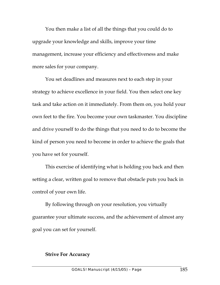You then make a list of all the things that you could do to upgrade your knowledge and skills, improve your time management, increase your efficiency and effectiveness and make more sales for your company.

You set deadlines and measures next to each step in your strategy to achieve excellence in your field. You then select one key task and take action on it immediately. From them on, you hold your own feet to the fire. You become your own taskmaster. You discipline and drive yourself to do the things that you need to do to become the kind of person you need to become in order to achieve the goals that you have set for yourself.

This exercise of identifying what is holding you back and then setting a clear, written goal to remove that obstacle puts you back in control of your own life.

By following through on your resolution, you virtually guarantee your ultimate success, and the achievement of almost any goal you can set for yourself.

#### **Strive For Accuracy**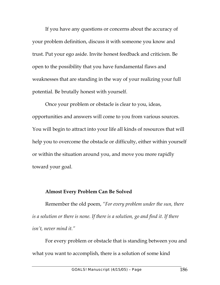If you have any questions or concerns about the accuracy of your problem definition, discuss it with someone you know and trust. Put your ego aside. Invite honest feedback and criticism. Be open to the possibility that you have fundamental flaws and weaknesses that are standing in the way of your realizing your full potential. Be brutally honest with yourself.

Once your problem or obstacle is clear to you, ideas, opportunities and answers will come to you from various sources. You will begin to attract into your life all kinds of resources that will help you to overcome the obstacle or difficulty, either within yourself or within the situation around you, and move you more rapidly toward your goal.

### **Almost Every Problem Can Be Solved**

Remember the old poem, *"For every problem under the sun, there is a solution or there is none. If there is a solution, go and find it. If there isn't, never mind it."* 

For every problem or obstacle that is standing between you and what you want to accomplish, there is a solution of some kind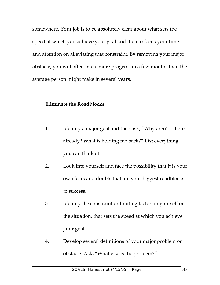somewhere. Your job is to be absolutely clear about what sets the speed at which you achieve your goal and then to focus your time and attention on alleviating that constraint. By removing your major obstacle, you will often make more progress in a few months than the average person might make in several years.

## **Eliminate the Roadblocks:**

- 1. Identify a major goal and then ask, "Why aren't I there already? What is holding me back?" List everything you can think of.
- 2. Look into yourself and face the possibility that it is your own fears and doubts that are your biggest roadblocks to success.
- 3. Identify the constraint or limiting factor, in yourself or the situation, that sets the speed at which you achieve your goal.
- 4. Develop several definitions of your major problem or obstacle. Ask, "What else is the problem?"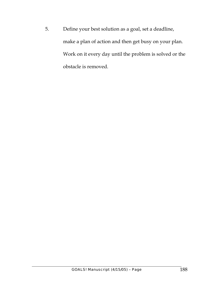5. Define your best solution as a goal, set a deadline, make a plan of action and then get busy on your plan. Work on it every day until the problem is solved or the obstacle is removed.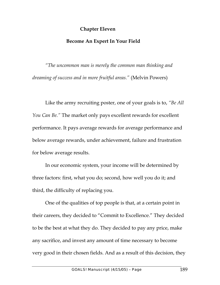## **Chapter Eleven**

### **Become An Expert In Your Field**

*"The uncommon man is merely the common man thinking and dreaming of success and in more fruitful areas."* (Melvin Powers)

Like the army recruiting poster, one of your goals is to, *"Be All You Can Be."* The market only pays excellent rewards for excellent performance. It pays average rewards for average performance and below average rewards, under achievement, failure and frustration for below average results.

In our economic system, your income will be determined by three factors: first, what you do; second, how well you do it; and third, the difficulty of replacing you.

One of the qualities of top people is that, at a certain point in their careers, they decided to "Commit to Excellence." They decided to be the best at what they do. They decided to pay any price, make any sacrifice, and invest any amount of time necessary to become very good in their chosen fields. And as a result of this decision, they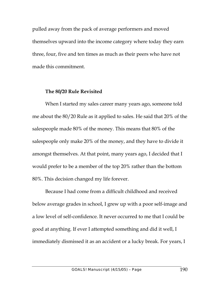pulled away from the pack of average performers and moved themselves upward into the income category where today they earn three, four, five and ten times as much as their peers who have not made this commitment.

#### **The 80/20 Rule Revisited**

When I started my sales career many years ago, someone told me about the 80/20 Rule as it applied to sales. He said that 20% of the salespeople made 80% of the money. This means that 80% of the salespeople only make 20% of the money, and they have to divide it amongst themselves. At that point, many years ago, I decided that I would prefer to be a member of the top 20% rather than the bottom 80%. This decision changed my life forever.

Because I had come from a difficult childhood and received below average grades in school, I grew up with a poor self-image and a low level of self-confidence. It never occurred to me that I could be good at anything. If ever I attempted something and did it well, I immediately dismissed it as an accident or a lucky break. For years, I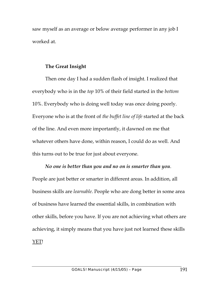saw myself as an average or below average performer in any job I worked at.

### **The Great Insight**

Then one day I had a sudden flash of insight. I realized that everybody who is in the *top* 10% of their field started in the *bottom* 10%. Everybody who is doing well today was once doing poorly. Everyone who is at the front of *the buffet line of life* started at the back of the line. And even more importantly, it dawned on me that whatever others have done, within reason, I could do as well. And this turns out to be true for just about everyone.

#### *No one is better than you and no on is smarter than you*.

People are just better or smarter in different areas. In addition, all business skills are *learnable*. People who are dong better in some area of business have learned the essential skills, in combination with other skills, before you have. If you are not achieving what others are achieving, it simply means that you have just not learned these skills YET!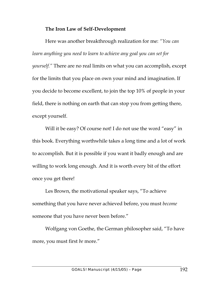## **The Iron Law of Self-Development**

Here was another breakthrough realization for me: *"You can learn anything you need to learn to achieve any goal you can set for yourself."* There are no real limits on what you can accomplish, except for the limits that you place on own your mind and imagination. If you decide to become excellent, to join the top 10% of people in your field, there is nothing on earth that can stop you from getting there, except yourself.

Will it be easy? Of course not! I do not use the word "easy" in this book. Everything worthwhile takes a long time and a lot of work to accomplish. But it is possible if you want it badly enough and are willing to work long enough. And it is worth every bit of the effort once you get there!

Les Brown, the motivational speaker says, "To achieve something that you have never achieved before, you must *become* someone that you have never been before."

Wolfgang von Goethe, the German philosopher said, "To have more, you must first *be* more."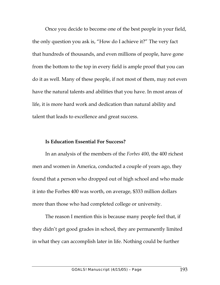Once you decide to become one of the best people in your field, the only question you ask is, "How do I achieve it?" The very fact that hundreds of thousands, and even millions of people, have gone from the bottom to the top in every field is ample proof that you can do it as well. Many of these people, if not most of them, may not even have the natural talents and abilities that you have. In most areas of life, it is more hard work and dedication than natural ability and talent that leads to excellence and great success.

#### **Is Education Essential For Success?**

In an analysis of the members of the *Forbes 400*, the 400 richest men and women in America, conducted a couple of years ago, they found that a person who dropped out of high school and who made it into the Forbes 400 was worth, on average, \$333 million dollars more than those who had completed college or university.

The reason I mention this is because many people feel that, if they didn't get good grades in school, they are permanently limited in what they can accomplish later in life. Nothing could be further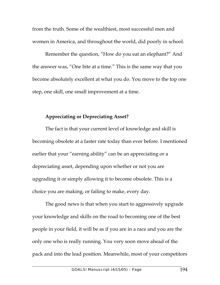from the truth. Some of the wealthiest, most successful men and women in America, and throughout the world, did poorly in school.

Remember the question, "How do you eat an elephant?" And the answer was, "One bite at a time." This is the same way that you become absolutely excellent at what you do. You move to the top one step, one skill, one small improvement at a time.

### **Appreciating or Depreciating Asset?**

The fact is that your current level of knowledge and skill is becoming obsolete at a faster rate today than ever before. I mentioned earlier that your "earning ability" can be an appreciating or a depreciating asset, depending upon whether or not you are upgrading it or simply allowing it to become obsolete. This is a choice you are making, or failing to make, every day.

The good news is that when you start to aggressively upgrade your knowledge and skills on the road to becoming one of the best people in your field, it will be as if you are in a race and you are the only one who is really running. You very soon move ahead of the pack and into the lead position. Meanwhile, most of your competitors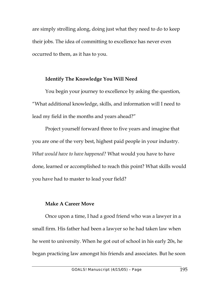are simply strolling along, doing just what they need to do to keep their jobs. The idea of committing to excellence has never even occurred to them, as it has to you.

### **Identify The Knowledge You Will Need**

You begin your journey to excellence by asking the question, "What additional knowledge, skills, and information will I need to lead my field in the months and years ahead?"

Project yourself forward three to five years and imagine that you are one of the very best, highest paid people in your industry. *What would have to have happened?* What would you have to have done, learned or accomplished to reach this point? What skills would you have had to master to lead your field?

#### **Make A Career Move**

Once upon a time, I had a good friend who was a lawyer in a small firm. His father had been a lawyer so he had taken law when he went to university. When he got out of school in his early 20s, he began practicing law amongst his friends and associates. But he soon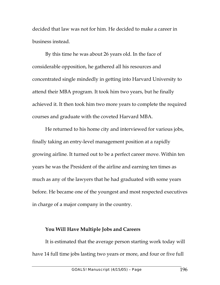decided that law was not for him. He decided to make a career in business instead.

By this time he was about 26 years old. In the face of considerable opposition, he gathered all his resources and concentrated single mindedly in getting into Harvard University to attend their MBA program. It took him two years, but he finally achieved it. It then took him two more years to complete the required courses and graduate with the coveted Harvard MBA.

He returned to his home city and interviewed for various jobs, finally taking an entry-level management position at a rapidly growing airline. It turned out to be a perfect career move. Within ten years he was the President of the airline and earning ten times as much as any of the lawyers that he had graduated with some years before. He became one of the youngest and most respected executives in charge of a major company in the country.

### **You Will Have Multiple Jobs and Careers**

It is estimated that the average person starting work today will have 14 full time jobs lasting two years or more, and four or five full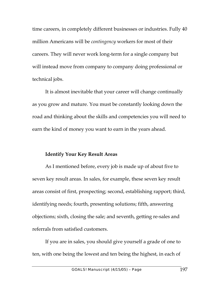time careers, in completely different businesses or industries. Fully 40 million Americans will be *contingency* workers for most of their careers. They will never work long-term for a single company but will instead move from company to company doing professional or technical jobs.

It is almost inevitable that your career will change continually as you grow and mature. You must be constantly looking down the road and thinking about the skills and competencies you will need to earn the kind of money you want to earn in the years ahead.

## **Identify Your Key Result Areas**

As I mentioned before, every job is made up of about five to seven key result areas. In sales, for example, these seven key result areas consist of first, prospecting; second, establishing rapport; third, identifying needs; fourth, presenting solutions; fifth, answering objections; sixth, closing the sale; and seventh, getting re-sales and referrals from satisfied customers.

If you are in sales, you should give yourself a grade of one to ten, with one being the lowest and ten being the highest, in each of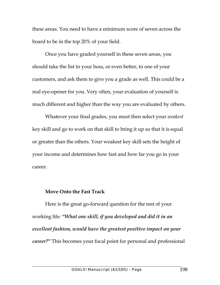these areas. You need to have a minimum score of seven across the board to be in the top 20% of your field.

Once you have graded yourself in these seven areas, you should take the list to your boss, or even better, to one of your customers, and ask them to give you a grade as well. This could be a real eye-opener for you. Very often, your evaluation of yourself is much different and higher than the way you are evaluated by others.

Whatever your final grades, you must then select your *weakest* key skill and go to work on that skill to bring it up so that it is equal or greater than the others. Your weakest key skill sets the height of your income and determines how fast and how far you go in your career.

#### **Move Onto the Fast Track**

Here is the great go-forward question for the rest of your working life: *"What one skill, if you developed and did it in an excellent fashion, would have the greatest positive impact on your career?"* This becomes your focal point for personal and professional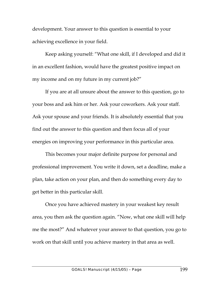development. Your answer to this question is essential to your achieving excellence in your field.

Keep asking yourself: "What one skill, if I developed and did it in an excellent fashion, would have the greatest positive impact on my income and on my future in my current job?"

If you are at all unsure about the answer to this question, go to your boss and ask him or her. Ask your coworkers. Ask your staff. Ask your spouse and your friends. It is absolutely essential that you find out the answer to this question and then focus all of your energies on improving your performance in this particular area.

This becomes your major definite purpose for personal and professional improvement. You write it down, set a deadline, make a plan, take action on your plan, and then do something every day to get better in this particular skill.

Once you have achieved mastery in your weakest key result area, you then ask the question again. "Now, what one skill will help me the most?" And whatever your answer to that question, you go to work on that skill until you achieve mastery in that area as well.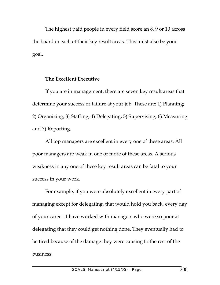The highest paid people in every field score an 8, 9 or 10 across the board in each of their key result areas. This must also be your goal.

#### **The Excellent Executive**

If you are in management, there are seven key result areas that determine your success or failure at your job. These are: 1) Planning; 2) Organizing; 3) Staffing; 4) Delegating; 5) Supervising; 6) Measuring and 7) Reporting.

All top managers are excellent in every one of these areas. All poor managers are weak in one or more of these areas. A serious weakness in any one of these key result areas can be fatal to your success in your work.

For example, if you were absolutely excellent in every part of managing except for delegating, that would hold you back, every day of your career. I have worked with managers who were so poor at delegating that they could get nothing done. They eventually had to be fired because of the damage they were causing to the rest of the business.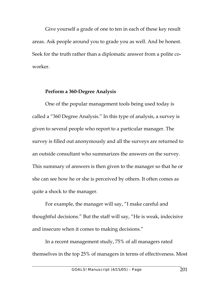Give yourself a grade of one to ten in each of these key result areas. Ask people around you to grade you as well. And be honest. Seek for the truth rather than a diplomatic answer from a polite coworker.

#### **Perform a 360-Degree Analysis**

One of the popular management tools being used today is called a "360 Degree Analysis." In this type of analysis, a survey is given to several people who report to a particular manager. The survey is filled out anonymously and all the surveys are returned to an outside consultant who summarizes the answers on the survey. This summary of answers is then given to the manager so that he or she can see how he or she is perceived by others. It often comes as quite a shock to the manager.

For example, the manager will say, "I make careful and thoughtful decisions." But the staff will say, "He is weak, indecisive and insecure when it comes to making decisions."

In a recent management study, 75% of all managers rated themselves in the top 25% of managers in terms of effectiveness. Most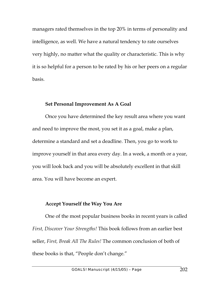managers rated themselves in the top 20% in terms of personality and intelligence, as well. We have a natural tendency to rate ourselves very highly, no matter what the quality or characteristic. This is why it is so helpful for a person to be rated by his or her peers on a regular basis.

### **Set Personal Improvement As A Goal**

Once you have determined the key result area where you want and need to improve the most, you set it as a goal, make a plan, determine a standard and set a deadline. Then, you go to work to improve yourself in that area every day. In a week, a month or a year, you will look back and you will be absolutely excellent in that skill area. You will have become an expert.

### **Accept Yourself the Way You Are**

One of the most popular business books in recent years is called *First, Discover Your Strengths!* This book follows from an earlier best seller, *First, Break All The Rules!* The common conclusion of both of these books is that, "People don't change."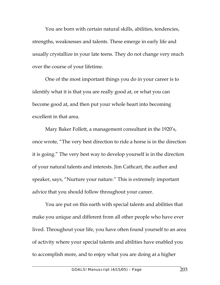You are born with certain natural skills, abilities, tendencies, strengths, weaknesses and talents. These emerge in early life and usually crystallize in your late teens. They do not change very much over the course of your lifetime.

One of the most important things you do in your career is to identify what it is that you are really good at, or what you can become good at, and then put your whole heart into becoming excellent in that area.

Mary Baker Follett, a management consultant in the 1920's, once wrote, "The very best direction to ride a horse is in the direction it is going." The very best way to develop yourself is in the direction of your natural talents and interests. Jim Cathcart, the author and speaker, says, "Nurture your nature." This is extremely important advice that you should follow throughout your career.

You are put on this earth with special talents and abilities that make you unique and different from all other people who have ever lived. Throughout your life, you have often found yourself to an area of activity where your special talents and abilities have enabled you to accomplish more, and to enjoy what you are doing at a higher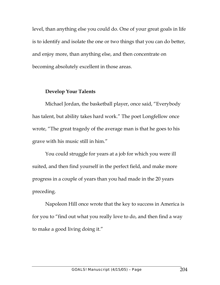level, than anything else you could do. One of your great goals in life is to identify and isolate the one or two things that you can do better, and enjoy more, than anything else, and then concentrate on becoming absolutely excellent in those areas.

## **Develop Your Talents**

Michael Jordan, the basketball player, once said, "Everybody has talent, but ability takes hard work." The poet Longfellow once wrote, "The great tragedy of the average man is that he goes to his grave with his music still in him."

You could struggle for years at a job for which you were ill suited, and then find yourself in the perfect field, and make more progress in a couple of years than you had made in the 20 years preceding.

Napoleon Hill once wrote that the key to success in America is for you to "find out what you really love to do, and then find a way to make a good living doing it."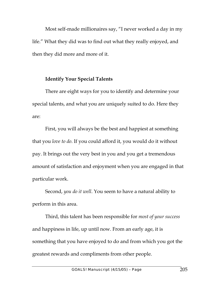Most self-made millionaires say, "I never worked a day in my life." What they did was to find out what they really enjoyed, and then they did more and more of it.

## **Identify Your Special Talents**

There are eight ways for you to identify and determine your special talents, and what you are uniquely suited to do. Here they are:

First, you will always be the best and happiest at something that you *love to do*. If you could afford it, you would do it without pay. It brings out the very best in you and you get a tremendous amount of satisfaction and enjoyment when you are engaged in that particular work.

Second, *you do it well*. You seem to have a natural ability to perform in this area.

Third, this talent has been responsible for *most of your success* and happiness in life, up until now. From an early age, it is something that you have enjoyed to do and from which you got the greatest rewards and compliments from other people.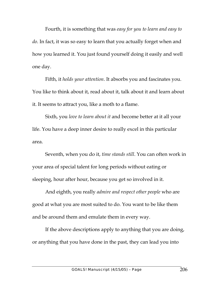Fourth, it is something that was *easy for you to learn and easy to do*. In fact, it was so easy to learn that you actually forget when and how you learned it. You just found yourself doing it easily and well one day.

Fifth, it *holds your attention*. It absorbs you and fascinates you. You like to think about it, read about it, talk about it and learn about it. It seems to attract you, like a moth to a flame.

Sixth, you *love to learn about it* and become better at it all your life. You have a deep inner desire to really excel in this particular area.

Seventh, when you do it, *time stands still*. You can often work in your area of special talent for long periods without eating or sleeping, hour after hour, because you get so involved in it.

And eighth, you really *admire and respect other people* who are good at what you are most suited to do. You want to be like them and be around them and emulate them in every way.

If the above descriptions apply to anything that you are doing, or anything that you have done in the past, they can lead you into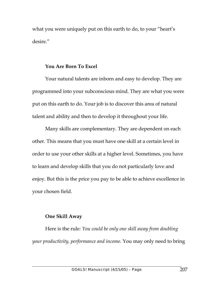what you were uniquely put on this earth to do, to your "heart's desire."

### **You Are Born To Excel**

Your natural talents are inborn and easy to develop. They are programmed into your subconscious mind. They are what you were put on this earth to do. Your job is to discover this area of natural talent and ability and then to develop it throughout your life.

Many skills are complementary. They are dependent on each other. This means that you must have one skill at a certain level in order to use your other skills at a higher level. Sometimes, you have to learn and develop skills that you do not particularly love and enjoy. But this is the price you pay to be able to achieve excellence in your chosen field.

## **One Skill Away**

Here is the rule*: You could be only one skill away from doubling your productivity, performance and income.* You may only need to bring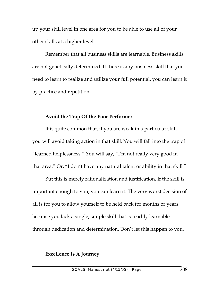up your skill level in one area for you to be able to use all of your other skills at a higher level.

Remember that all business skills are learnable. Business skills are not genetically determined. If there is any business skill that you need to learn to realize and utilize your full potential, you can learn it by practice and repetition.

## **Avoid the Trap Of the Poor Performer**

It is quite common that, if you are weak in a particular skill, you will avoid taking action in that skill. You will fall into the trap of "learned helplessness." You will say, "I'm not really very good in that area." Or, "I don't have any natural talent or ability in that skill."

But this is merely rationalization and justification. If the skill is important enough to you, you can learn it. The very worst decision of all is for you to allow yourself to be held back for months or years because you lack a single, simple skill that is readily learnable through dedication and determination. Don't let this happen to you.

## **Excellence Is A Journey**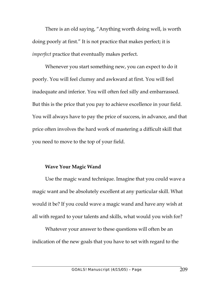There is an old saying, "Anything worth doing well, is worth doing poorly at first." It is not practice that makes perfect; it is *imperfect* practice that eventually makes perfect.

Whenever you start something new, you can expect to do it poorly. You will feel clumsy and awkward at first. You will feel inadequate and inferior. You will often feel silly and embarrassed. But this is the price that you pay to achieve excellence in your field. You will always have to pay the price of success, in advance, and that price often involves the hard work of mastering a difficult skill that you need to move to the top of your field.

## **Wave Your Magic Wand**

Use the magic wand technique. Imagine that you could wave a magic want and be absolutely excellent at any particular skill. What would it be? If you could wave a magic wand and have any wish at all with regard to your talents and skills, what would you wish for?

Whatever your answer to these questions will often be an indication of the new goals that you have to set with regard to the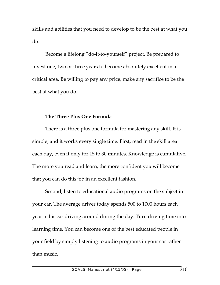skills and abilities that you need to develop to be the best at what you do.

Become a lifelong "do-it-to-yourself" project. Be prepared to invest one, two or three years to become absolutely excellent in a critical area. Be willing to pay any price, make any sacrifice to be the best at what you do.

## **The Three Plus One Formula**

There is a three plus one formula for mastering any skill. It is simple, and it works every single time. First, read in the skill area each day, even if only for 15 to 30 minutes. Knowledge is cumulative. The more you read and learn, the more confident you will become that you can do this job in an excellent fashion.

Second, listen to educational audio programs on the subject in your car. The average driver today spends 500 to 1000 hours each year in his car driving around during the day. Turn driving time into learning time. You can become one of the best educated people in your field by simply listening to audio programs in your car rather than music.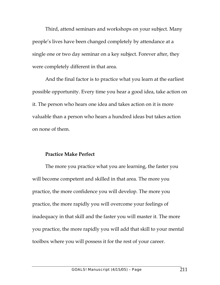Third, attend seminars and workshops on your subject. Many people's lives have been changed completely by attendance at a single one or two day seminar on a key subject. Forever after, they were completely different in that area.

And the final factor is to practice what you learn at the earliest possible opportunity. Every time you hear a good idea, take action on it. The person who hears one idea and takes action on it is more valuable than a person who hears a hundred ideas but takes action on none of them.

#### **Practice Make Perfect**

The more you practice what you are learning, the faster you will become competent and skilled in that area. The more you practice, the more confidence you will develop. The more you practice, the more rapidly you will overcome your feelings of inadequacy in that skill and the faster you will master it. The more you practice, the more rapidly you will add that skill to your mental toolbox where you will possess it for the rest of your career.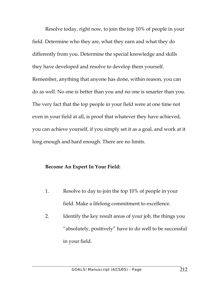Resolve today, right now, to join the top 10% of people in your field. Determine who they are, what they earn and what they do differently from you. Determine the special knowledge and skills they have developed and resolve to develop them yourself. Remember, anything that anyone has done, within reason, you can do as well. No one is better than you and no one is smarter than you. The very fact that the top people in your field were at one time not even in your field at all, is proof that whatever they have achieved, you can achieve yourself, if you simply set it as a goal, and work at it long enough and hard enough. There are no limits.

### **Become An Expert In Your Field:**

- 1. Resolve to day to join the top 10% of people in your field. Make a lifelong commitment to excellence.
- 2. Identify the key result areas of your job, the things you "absolutely, positively" have to do well to be successful in your field.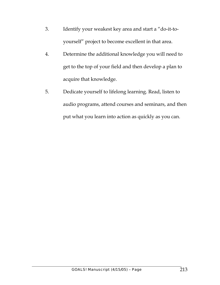- 3. Identify your weakest key area and start a "do-it-toyourself" project to become excellent in that area.
- 4. Determine the additional knowledge you will need to get to the top of your field and then develop a plan to acquire that knowledge.
- 5. Dedicate yourself to lifelong learning. Read, listen to audio programs, attend courses and seminars, and then put what you learn into action as quickly as you can.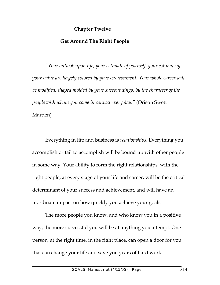## **Chapter Twelve**

#### **Get Around The Right People**

*"Your outlook upon life, your estimate of yourself, your estimate of your value are largely colored by your environment. Your whole career will be modified, shaped molded by your surroundings, by the character of the people with whom you come in contact every day."* (Orison Swett Marden)

Everything in life and business is *relationships*. Everything you accomplish or fail to accomplish will be bound up with other people in some way. Your ability to form the right relationships, with the right people, at every stage of your life and career, will be the critical determinant of your success and achievement, and will have an inordinate impact on how quickly you achieve your goals.

The more people you know, and who know you in a positive way, the more successful you will be at anything you attempt. One person, at the right time, in the right place, can open a door for you that can change your life and save you years of hard work.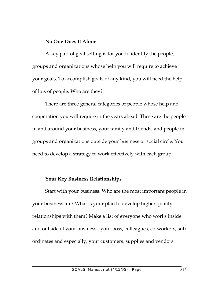### **No One Does It Alone**

A key part of goal setting is for you to identify the people, groups and organizations whose help you will require to achieve your goals. To accomplish goals of any kind, you will need the help of lots of people. Who are they?

There are three general categories of people whose help and cooperation you will require in the years ahead. These are the people in and around your business, your family and friends, and people in groups and organizations outside your business or social circle. You need to develop a strategy to work effectively with each group.

#### **Your Key Business Relationships**

Start with your business. Who are the most important people in your business life? What is your plan to develop higher quality relationships with them? Make a list of everyone who works inside and outside of your business - your boss, colleagues, co-workers, subordinates and especially, your customers, supplies and vendors.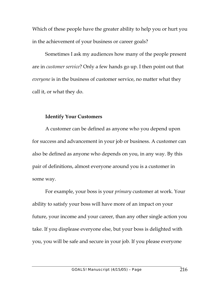Which of these people have the greater ability to help you or hurt you in the achievement of your business or career goals?

Sometimes I ask my audiences how many of the people present are in *customer service*? Only a few hands go up. I then point out that *everyone* is in the business of customer service, no matter what they call it, or what they do.

#### **Identify Your Customers**

A customer can be defined as anyone who you depend upon for success and advancement in your job or business. A customer can also be defined as anyone who depends on you, in any way. By this pair of definitions, almost everyone around you is a customer in some way.

For example, your boss is your *primary* customer at work. Your ability to satisfy your boss will have more of an impact on your future, your income and your career, than any other single action you take. If you displease everyone else, but your boss is delighted with you, you will be safe and secure in your job. If you please everyone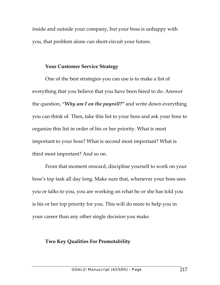inside and outside your company, but your boss is unhappy with you, that problem alone can short-circuit your future.

#### **Your Customer Service Strategy**

One of the best strategies you can use is to make a list of everything that you believe that you have been hired to do. Answer the question, *"Why am I on the payroll?"* and write down everything you can think of. Then, take this list to your boss and ask your boss to organize this list in order of his or her priority. What is most important to your boss? What is second most important? What is third most important? And so on.

From that moment onward, discipline yourself to work on your boss's top task all day long. Make sure that, whenever your boss sees you or talks to you, you are working on what he or she has told you is his or her top priority for you. This will do more to help you in your career than any other single decision you make.

#### **Two Key Qualities For Promotability**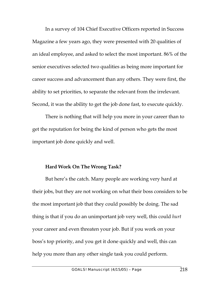In a survey of 104 Chief Executive Officers reported in Success Magazine a few years ago, they were presented with 20 qualities of an ideal employee, and asked to select the most important. 86% of the senior executives selected two qualities as being more important for career success and advancement than any others. They were first, the ability to set priorities, to separate the relevant from the irrelevant. Second, it was the ability to get the job done fast, to execute quickly.

There is nothing that will help you more in your career than to get the reputation for being the kind of person who gets the most important job done quickly and well.

## **Hard Work On The Wrong Task?**

But here's the catch. Many people are working very hard at their jobs, but they are not working on what their boss considers to be the most important job that they could possibly be doing. The sad thing is that if you do an unimportant job very well, this could *hurt* your career and even threaten your job. But if you work on your boss's top priority, and you get it done quickly and well, this can help you more than any other single task you could perform.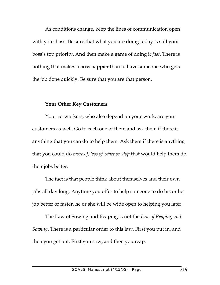As conditions change, keep the lines of communication open with your boss. Be sure that what you are doing today is still your boss's top priority. And then make a game of doing it *fast*. There is nothing that makes a boss happier than to have someone who gets the job done quickly. Be sure that you are that person.

#### **Your Other Key Customers**

Your co-workers, who also depend on your work, are your customers as well. Go to each one of them and ask them if there is anything that you can do to help them. Ask them if there is anything that you could do *more of, less of, start or stop* that would help them do their jobs better.

The fact is that people think about themselves and their own jobs all day long. Anytime you offer to help someone to do his or her job better or faster, he or she will be wide open to helping you later.

The Law of Sowing and Reaping is not the *Law of Reaping and Sowing*. There is a particular order to this law. First you put in, and then you get out. First you sow, and then you reap.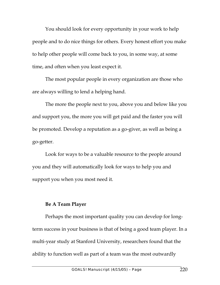You should look for every opportunity in your work to help people and to do nice things for others. Every honest effort you make to help other people will come back to you, in some way, at some time, and often when you least expect it.

The most popular people in every organization are those who are always willing to lend a helping hand.

The more the people next to you, above you and below like you and support you, the more you will get paid and the faster you will be promoted. Develop a reputation as a go-giver, as well as being a go-getter.

Look for ways to be a valuable resource to the people around you and they will automatically look for ways to help you and support you when you most need it.

#### **Be A Team Player**

Perhaps the most important quality you can develop for longterm success in your business is that of being a good team player. In a multi-year study at Stanford University, researchers found that the ability to function well as part of a team was the most outwardly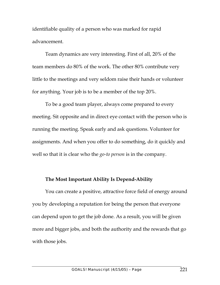identifiable quality of a person who was marked for rapid advancement.

Team dynamics are very interesting. First of all, 20% of the team members do 80% of the work. The other 80% contribute very little to the meetings and very seldom raise their hands or volunteer for anything. Your job is to be a member of the top 20%.

To be a good team player, always come prepared to every meeting. Sit opposite and in direct eye contact with the person who is running the meeting. Speak early and ask questions. Volunteer for assignments. And when you offer to do something, do it quickly and well so that it is clear who the *go-to person* is in the company.

## **The Most Important Ability Is Depend-Ability**

You can create a positive, attractive force field of energy around you by developing a reputation for being the person that everyone can depend upon to get the job done. As a result, you will be given more and bigger jobs, and both the authority and the rewards that go with those jobs.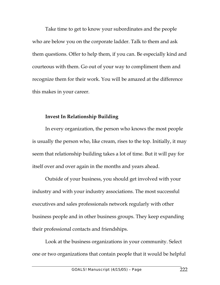Take time to get to know your subordinates and the people who are below you on the corporate ladder. Talk to them and ask them questions. Offer to help them, if you can. Be especially kind and courteous with them. Go out of your way to compliment them and recognize them for their work. You will be amazed at the difference this makes in your career.

## **Invest In Relationship Building**

In every organization, the person who knows the most people is usually the person who, like cream, rises to the top. Initially, it may seem that relationship building takes a lot of time. But it will pay for itself over and over again in the months and years ahead.

Outside of your business, you should get involved with your industry and with your industry associations. The most successful executives and sales professionals network regularly with other business people and in other business groups. They keep expanding their professional contacts and friendships.

Look at the business organizations in your community. Select one or two organizations that contain people that it would be helpful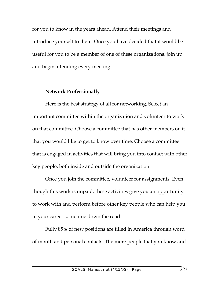for you to know in the years ahead. Attend their meetings and introduce yourself to them. Once you have decided that it would be useful for you to be a member of one of these organizations, join up and begin attending every meeting.

## **Network Professionally**

Here is the best strategy of all for networking. Select an important committee within the organization and volunteer to work on that committee. Choose a committee that has other members on it that you would like to get to know over time. Choose a committee that is engaged in activities that will bring you into contact with other key people, both inside and outside the organization.

Once you join the committee, volunteer for assignments. Even though this work is unpaid, these activities give you an opportunity to work with and perform before other key people who can help you in your career sometime down the road.

Fully 85% of new positions are filled in America through word of mouth and personal contacts. The more people that you know and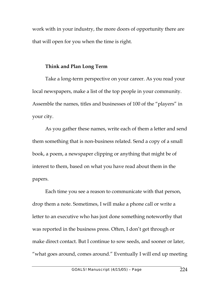work with in your industry, the more doors of opportunity there are that will open for you when the time is right.

#### **Think and Plan Long Term**

Take a long-term perspective on your career. As you read your local newspapers, make a list of the top people in your community. Assemble the names, titles and businesses of 100 of the "players" in your city.

As you gather these names, write each of them a letter and send them something that is non-business related. Send a copy of a small book, a poem, a newspaper clipping or anything that might be of interest to them, based on what you have read about them in the papers.

Each time you see a reason to communicate with that person, drop them a note. Sometimes, I will make a phone call or write a letter to an executive who has just done something noteworthy that was reported in the business press. Often, I don't get through or make direct contact. But I continue to sow seeds, and sooner or later, "what goes around, comes around." Eventually I will end up meeting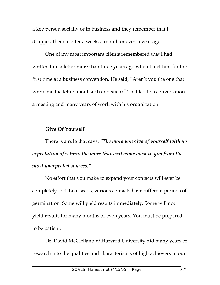a key person socially or in business and they remember that I dropped them a letter a week, a month or even a year ago.

One of my most important clients remembered that I had written him a letter more than three years ago when I met him for the first time at a business convention. He said, "Aren't you the one that wrote me the letter about such and such?" That led to a conversation, a meeting and many years of work with his organization.

## **Give Of Yourself**

There is a rule that says, *"The more you give of yourself with no expectation of return, the more that will come back to you from the most unexpected sources."* 

No effort that you make to expand your contacts will ever be completely lost. Like seeds, various contacts have different periods of germination. Some will yield results immediately. Some will not yield results for many months or even years. You must be prepared to be patient.

Dr. David McClelland of Harvard University did many years of research into the qualities and characteristics of high achievers in our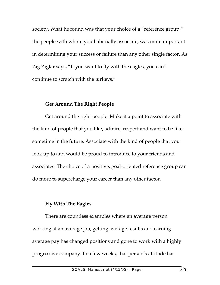society. What he found was that your choice of a "reference group," the people with whom you habitually associate, was more important in determining your success or failure than any other single factor. As Zig Ziglar says, "If you want to fly with the eagles, you can't continue to scratch with the turkeys."

## **Get Around The Right People**

Get around the right people. Make it a point to associate with the kind of people that you like, admire, respect and want to be like sometime in the future. Associate with the kind of people that you look up to and would be proud to introduce to your friends and associates. The choice of a positive, goal-oriented reference group can do more to supercharge your career than any other factor.

# **Fly With The Eagles**

There are countless examples where an average person working at an average job, getting average results and earning average pay has changed positions and gone to work with a highly progressive company. In a few weeks, that person's attitude has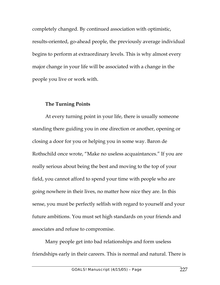completely changed. By continued association with optimistic, results-oriented, go-ahead people, the previously average individual begins to perform at extraordinary levels. This is why almost every major change in your life will be associated with a change in the people you live or work with.

## **The Turning Points**

At every turning point in your life, there is usually someone standing there guiding you in one direction or another, opening or closing a door for you or helping you in some way. Baron de Rothschild once wrote, "Make no useless acquaintances." If you are really serious about being the best and moving to the top of your field, you cannot afford to spend your time with people who are going nowhere in their lives, no matter how nice they are. In this sense, you must be perfectly selfish with regard to yourself and your future ambitions. You must set high standards on your friends and associates and refuse to compromise.

Many people get into bad relationships and form useless friendships early in their careers. This is normal and natural. There is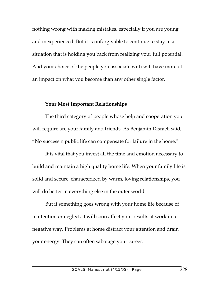nothing wrong with making mistakes, especially if you are young and inexperienced. But it is unforgivable to continue to stay in a situation that is holding you back from realizing your full potential. And your choice of the people you associate with will have more of an impact on what you become than any other single factor.

#### **Your Most Important Relationships**

The third category of people whose help and cooperation you will require are your family and friends. As Benjamin Disraeli said, "No success n public life can compensate for failure in the home."

It is vital that you invest all the time and emotion necessary to build and maintain a high quality home life. When your family life is solid and secure, characterized by warm, loving relationships, you will do better in everything else in the outer world.

But if something goes wrong with your home life because of inattention or neglect, it will soon affect your results at work in a negative way. Problems at home distract your attention and drain your energy. They can often sabotage your career.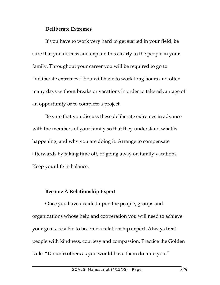## **Deliberate Extremes**

If you have to work very hard to get started in your field, be sure that you discuss and explain this clearly to the people in your family. Throughout your career you will be required to go to "deliberate extremes." You will have to work long hours and often many days without breaks or vacations in order to take advantage of an opportunity or to complete a project.

Be sure that you discuss these deliberate extremes in advance with the members of your family so that they understand what is happening, and why you are doing it. Arrange to compensate afterwards by taking time off, or going away on family vacations. Keep your life in balance.

# **Become A Relationship Expert**

Once you have decided upon the people, groups and organizations whose help and cooperation you will need to achieve your goals, resolve to become a relationship expert. Always treat people with kindness, courtesy and compassion. Practice the Golden Rule. "Do unto others as you would have them do unto you."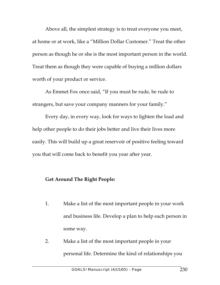Above all, the simplest strategy is to treat everyone you meet, at home or at work, like a "Million Dollar Customer." Treat the other person as though he or she is the most important person in the world. Treat them as though they were capable of buying a million dollars worth of your product or service.

As Emmet Fox once said, "If you must be rude, be rude to strangers, but save your company manners for your family."

Every day, in every way, look for ways to lighten the load and help other people to do their jobs better and live their lives more easily. This will build up a great reservoir of positive feeling toward you that will come back to benefit you year after year.

#### **Get Around The Right People:**

- 1. Make a list of the most important people in your work and business life. Develop a plan to help each person in some way.
- 2. Make a list of the most important people in your personal life. Determine the kind of relationships you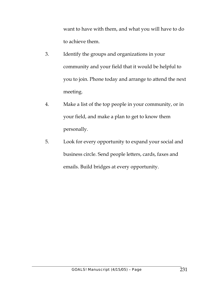want to have with them, and what you will have to do to achieve them.

- 3. Identify the groups and organizations in your community and your field that it would be helpful to you to join. Phone today and arrange to attend the next meeting.
- 4. Make a list of the top people in your community, or in your field, and make a plan to get to know them personally.
- 5. Look for every opportunity to expand your social and business circle. Send people letters, cards, faxes and emails. Build bridges at every opportunity.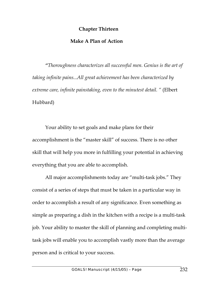## **Chapter Thirteen**

#### **Make A Plan of Action**

*"Thoroughness characterizes all successful men. Genius is the art of taking infinite pains...All great achievement has been characterized by extreme care, infinite painstaking, even to the minutest detail. "* (Elbert Hubbard)

Your ability to set goals and make plans for their accomplishment is the "master skill" of success. There is no other skill that will help you more in fulfilling your potential in achieving everything that you are able to accomplish.

All major accomplishments today are "multi-task jobs." They consist of a series of steps that must be taken in a particular way in order to accomplish a result of any significance. Even something as simple as preparing a dish in the kitchen with a recipe is a multi-task job. Your ability to master the skill of planning and completing multitask jobs will enable you to accomplish vastly more than the average person and is critical to your success.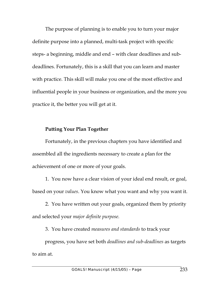The purpose of planning is to enable you to turn your major definite purpose into a planned, multi-task project with specific steps- a beginning, middle and end – with clear deadlines and subdeadlines. Fortunately, this is a skill that you can learn and master with practice. This skill will make you one of the most effective and influential people in your business or organization, and the more you practice it, the better you will get at it.

# **Putting Your Plan Together**

Fortunately, in the previous chapters you have identified and assembled all the ingredients necessary to create a plan for the achievement of one or more of your goals.

1. You now have a clear vision of your ideal end result, or goal, based on your *values*. You know what you want and why you want it.

2. You have written out your goals, organized them by priority and selected your *major definite purpose.* 

3. You have created *measures and standards* to track your

 progress, you have set both *deadlines and sub-deadlines* as targets to aim at.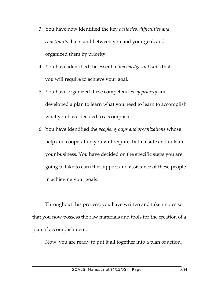- 3. You have now identified the key *obstacles, difficulties and constraints* that stand between you and your goal, and organized them by priority.
- 4. You have identified the essential *knowledge and skills* that you will require to achieve your goal.
- 5. You have organized these competencies *by priority* and developed a plan to learn what you need to learn to accomplish what you have decided to accomplish.
- 6. You have identified the *people, groups and organizations* whose help and cooperation you will require, both inside and outside your business. You have decided on the specific steps you are going to take to earn the support and assistance of these people in achieving your goals.

Throughout this process, you have written and taken notes so that you now possess the raw materials and tools for the creation of a plan of accomplishment.

Now, you are ready to put it all together into a plan of action.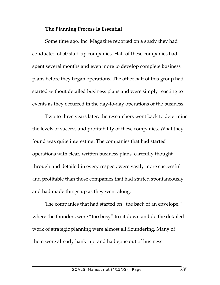#### **The Planning Process Is Essential**

Some time ago, Inc. Magazine reported on a study they had conducted of 50 start-up companies. Half of these companies had spent several months and even more to develop complete business plans before they began operations. The other half of this group had started without detailed business plans and were simply reacting to events as they occurred in the day-to-day operations of the business.

Two to three years later, the researchers went back to determine the levels of success and profitability of these companies. What they found was quite interesting. The companies that had started operations with clear, written business plans, carefully thought through and detailed in every respect, were vastly more successful and profitable than those companies that had started spontaneously and had made things up as they went along.

The companies that had started on "the back of an envelope," where the founders were "too busy" to sit down and do the detailed work of strategic planning were almost all floundering. Many of them were already bankrupt and had gone out of business.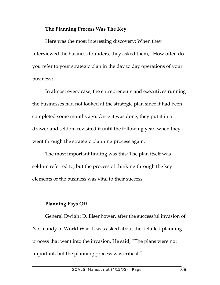### **The Planning Process Was The Key**

Here was the most interesting discovery: When they interviewed the business founders, they asked them, "How often do you refer to your strategic plan in the day to day operations of your business?"

In almost every case, the entrepreneurs and executives running the businesses had not looked at the strategic plan since it had been completed some months ago. Once it was done, they put it in a drawer and seldom revisited it until the following year, when they went through the strategic planning process again.

The most important finding was this: The plan itself was seldom referred to, but the process of thinking through the key elements of the business was vital to their success.

## **Planning Pays Off**

General Dwight D. Eisenhower, after the successful invasion of Normandy in World War II, was asked about the detailed planning process that went into the invasion. He said, "The plans were not important, but the planning process was critical."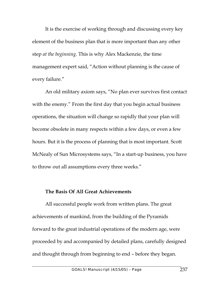It is the exercise of working through and discussing every key element of the business plan that is more important than any other step *at the beginning*. This is why Alex Mackenzie, the time management expert said, "Action without planning is the cause of every failure."

An old military axiom says, "No plan ever survives first contact with the enemy." From the first day that you begin actual business operations, the situation will change so rapidly that your plan will become obsolete in many respects within a few days, or even a few hours. But it is the process of planning that is most important. Scott McNealy of Sun Microsystems says, "In a start-up business, you have to throw out all assumptions every three weeks."

#### **The Basis Of All Great Achievements**

All successful people work from written plans. The great achievements of mankind, from the building of the Pyramids forward to the great industrial operations of the modern age, were proceeded by and accompanied by detailed plans, carefully designed and thought through from beginning to end – before they began.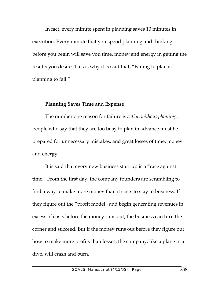In fact, every minute spent in planning saves 10 minutes in execution. Every minute that you spend planning and thinking before you begin will save you time, money and energy in getting the results you desire. This is why it is said that, "Failing to plan is planning to fail."

#### **Planning Saves Time and Expense**

The number one reason for failure is *action without planning*. People who say that they are too busy to plan in advance must be prepared for unnecessary mistakes, and great losses of time, money and energy.

It is said that every new business start-up is a "race against time." From the first day, the company founders are scrambling to find a way to make more money than it costs to stay in business. If they figure out the "profit model" and begin generating revenues in excess of costs before the money runs out, the business can turn the corner and succeed. But if the money runs out before they figure out how to make more profits than losses, the company, like a plane in a dive, will crash and burn.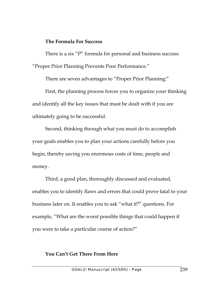### **The Formula For Success**

There is a six "P" formula for personal and business success: "Proper Prior Planning Prevents Poor Performance."

There are seven advantages to "Proper Prior Planning:"

First, the planning process forces you to organize your thinking and identify all the key issues that must be dealt with if you are ultimately going to be successful.

Second, thinking through what you must do to accomplish your goals enables you to plan your actions carefully before you begin, thereby saving you enormous costs of time, people and money.

Third, a good plan, thoroughly discussed and evaluated, enables you to identify flaws and errors that could prove fatal to your business later on. It enables you to ask "what if?" questions. For example, "What are the worst possible things that could happen if you were to take a particular course of action?"

# **You Can't Get There From Here**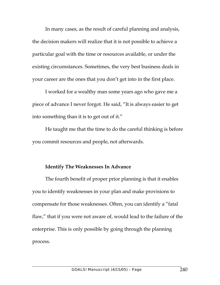In many cases, as the result of careful planning and analysis, the decision makers will realize that it is not possible to achieve a particular goal with the time or resources available, or under the existing circumstances. Sometimes, the very best business deals in your career are the ones that you don't get into in the first place.

I worked for a wealthy man some years ago who gave me a piece of advance I never forgot. He said, "It is always easier to get into something than it is to get out of it."

He taught me that the time to do the careful thinking is before you commit resources and people, not afterwards.

## **Identify The Weaknesses In Advance**

The fourth benefit of proper prior planning is that it enables you to identify weaknesses in your plan and make provisions to compensate for those weaknesses. Often, you can identify a "fatal flaw," that if you were not aware of, would lead to the failure of the enterprise. This is only possible by going through the planning process.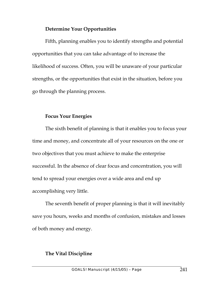# **Determine Your Opportunities**

Fifth, planning enables you to identify strengths and potential opportunities that you can take advantage of to increase the likelihood of success. Often, you will be unaware of your particular strengths, or the opportunities that exist in the situation, before you go through the planning process.

# **Focus Your Energies**

The sixth benefit of planning is that it enables you to focus your time and money, and concentrate all of your resources on the one or two objectives that you must achieve to make the enterprise successful. In the absence of clear focus and concentration, you will tend to spread your energies over a wide area and end up accomplishing very little.

The seventh benefit of proper planning is that it will inevitably save you hours, weeks and months of confusion, mistakes and losses of both money and energy.

# **The Vital Discipline**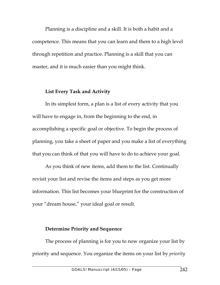Planning is a discipline and a skill. It is both a habit and a competence. This means that you can learn and them to a high level through repetition and practice. Planning is a skill that you can master, and it is much easier than you might think.

## **List Every Task and Activity**

In its simplest form, a plan is a list of every activity that you will have to engage in, from the beginning to the end, in accomplishing a specific goal or objective. To begin the process of planning, you take a sheet of paper and you make a list of everything that you can think of that you will have to do to achieve your goal.

As you think of new items, add them to the list. Continually revisit your list and revise the items and steps as you get more information. This list becomes your blueprint for the construction of your "dream house," your ideal goal or result.

## **Determine Priority and Sequence**

The process of planning is for you to now organize your list by priority and sequence. You organize the items on your list by *priority*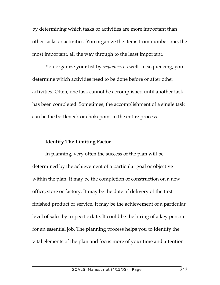by determining which tasks or activities are more important than other tasks or activities. You organize the items from number one, the most important, all the way through to the least important.

You organize your list by *sequence*, as well. In sequencing, you determine which activities need to be done before or after other activities. Often, one task cannot be accomplished until another task has been completed. Sometimes, the accomplishment of a single task can be the bottleneck or chokepoint in the entire process.

#### **Identify The Limiting Factor**

In planning, very often the success of the plan will be determined by the achievement of a particular goal or objective within the plan. It may be the completion of construction on a new office, store or factory. It may be the date of delivery of the first finished product or service. It may be the achievement of a particular level of sales by a specific date. It could be the hiring of a key person for an essential job. The planning process helps you to identify the vital elements of the plan and focus more of your time and attention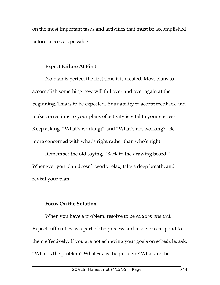on the most important tasks and activities that must be accomplished before success is possible.

# **Expect Failure At First**

No plan is perfect the first time it is created. Most plans to accomplish something new will fail over and over again at the beginning. This is to be expected. Your ability to accept feedback and make corrections to your plans of activity is vital to your success. Keep asking, "What's working?" and "What's not working?" Be more concerned with what's right rather than who's right.

Remember the old saying, "Back to the drawing board!" Whenever you plan doesn't work, relax, take a deep breath, and revisit your plan.

# **Focus On the Solution**

When you have a problem, resolve to be *solution oriented.*  Expect difficulties as a part of the process and resolve to respond to them effectively. If you are not achieving your goals on schedule, ask, "What is the problem? What *else* is the problem? What are the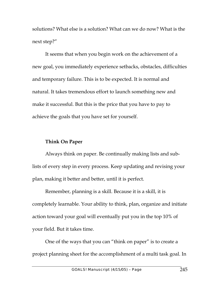solutions? What else is a solution? What can we do now? What is the next step?"

It seems that when you begin work on the achievement of a new goal, you immediately experience setbacks, obstacles, difficulties and temporary failure. This is to be expected. It is normal and natural. It takes tremendous effort to launch something new and make it successful. But this is the price that you have to pay to achieve the goals that you have set for yourself.

## **Think On Paper**

Always think on paper. Be continually making lists and sublists of every step in every process. Keep updating and revising your plan, making it better and better, until it is perfect.

Remember, planning is a skill. Because it is a skill, it is completely learnable. Your ability to think, plan, organize and initiate action toward your goal will eventually put you in the top 10% of your field. But it takes time.

One of the ways that you can "think on paper" is to create a project planning sheet for the accomplishment of a multi task goal. In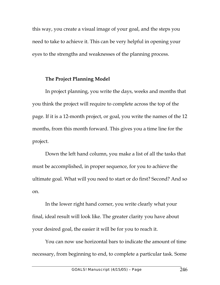this way, you create a visual image of your goal, and the steps you need to take to achieve it. This can be very helpful in opening your eyes to the strengths and weaknesses of the planning process.

### **The Project Planning Model**

In project planning, you write the days, weeks and months that you think the project will require to complete across the top of the page. If it is a 12-month project, or goal, you write the names of the 12 months, from this month forward. This gives you a time line for the project.

Down the left hand column, you make a list of all the tasks that must be accomplished, in proper sequence, for you to achieve the ultimate goal. What will you need to start or do first? Second? And so on.

In the lower right hand corner, you write clearly what your final, ideal result will look like. The greater clarity you have about your desired goal, the easier it will be for you to reach it.

You can now use horizontal bars to indicate the amount of time necessary, from beginning to end, to complete a particular task. Some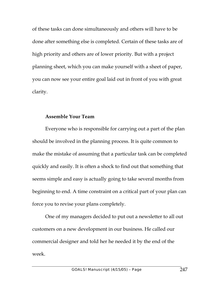of these tasks can done simultaneously and others will have to be done after something else is completed. Certain of these tasks are of high priority and others are of lower priority. But with a project planning sheet, which you can make yourself with a sheet of paper, you can now see your entire goal laid out in front of you with great clarity.

## **Assemble Your Team**

Everyone who is responsible for carrying out a part of the plan should be involved in the planning process. It is quite common to make the mistake of assuming that a particular task can be completed quickly and easily. It is often a shock to find out that something that seems simple and easy is actually going to take several months from beginning to end. A time constraint on a critical part of your plan can force you to revise your plans completely.

One of my managers decided to put out a newsletter to all out customers on a new development in our business. He called our commercial designer and told her he needed it by the end of the week.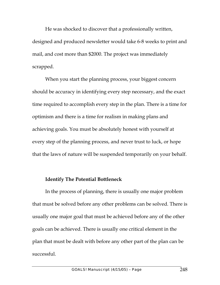He was shocked to discover that a professionally written, designed and produced newsletter would take 6-8 weeks to print and mail, and cost more than \$2000. The project was immediately scrapped.

When you start the planning process, your biggest concern should be accuracy in identifying every step necessary, and the exact time required to accomplish every step in the plan. There is a time for optimism and there is a time for realism in making plans and achieving goals. You must be absolutely honest with yourself at every step of the planning process, and never trust to luck, or hope that the laws of nature will be suspended temporarily on your behalf.

#### **Identify The Potential Bottleneck**

In the process of planning, there is usually one major problem that must be solved before any other problems can be solved. There is usually one major goal that must be achieved before any of the other goals can be achieved. There is usually one critical element in the plan that must be dealt with before any other part of the plan can be successful.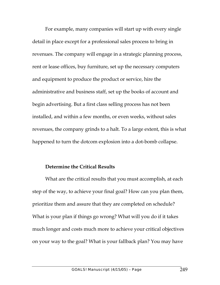For example, many companies will start up with every single detail in place except for a professional sales process to bring in revenues. The company will engage in a strategic planning process, rent or lease offices, buy furniture, set up the necessary computers and equipment to produce the product or service, hire the administrative and business staff, set up the books of account and begin advertising. But a first class selling process has not been installed, and within a few months, or even weeks, without sales revenues, the company grinds to a halt. To a large extent, this is what happened to turn the dotcom explosion into a dot-bomb collapse.

#### **Determine the Critical Results**

What are the critical results that you must accomplish, at each step of the way, to achieve your final goal? How can you plan them, prioritize them and assure that they are completed on schedule? What is your plan if things go wrong? What will you do if it takes much longer and costs much more to achieve your critical objectives on your way to the goal? What is your fallback plan? You may have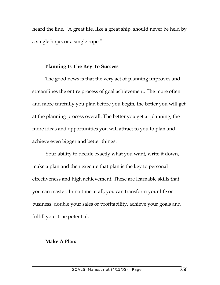heard the line, "A great life, like a great ship, should never be held by a single hope, or a single rope."

## **Planning Is The Key To Success**

The good news is that the very act of planning improves and streamlines the entire process of goal achievement. The more often and more carefully you plan before you begin, the better you will get at the planning process overall. The better you get at planning, the more ideas and opportunities you will attract to you to plan and achieve even bigger and better things.

Your ability to decide exactly what you want, write it down, make a plan and then execute that plan is the key to personal effectiveness and high achievement. These are learnable skills that you can master. In no time at all, you can transform your life or business, double your sales or profitability, achieve your goals and fulfill your true potential.

# **Make A Plan:**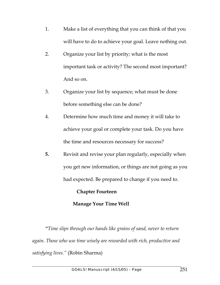- 1. Make a list of everything that you can think of that you will have to do to achieve your goal. Leave nothing out.
- 2. Organize your list by priority; what is the most important task or activity? The second most important? And so on.
- 3. Organize your list by sequence; what must be done before something else can be done?
- 4. Determine how much time and money it will take to achieve your goal or complete your task. Do you have the time and resources necessary for success?
- **5.** Revisit and revise your plan regularly, especially when you get new information, or things are not going as you had expected. Be prepared to change if you need to.

# **Chapter Fourteen**

# **Manage Your Time Well**

*"Time slips through our hands like grains of sand, never to return again. Those who use time wisely are rewarded with rich, productive and satisfying lives."* (Robin Sharma)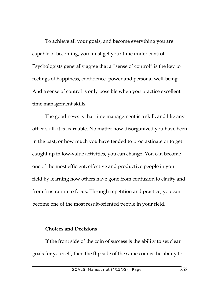To achieve all your goals, and become everything you are capable of becoming, you must get your time under control. Psychologists generally agree that a "sense of control" is the key to feelings of happiness, confidence, power and personal well-being. And a sense of control is only possible when you practice excellent time management skills.

The good news is that time management is a skill, and like any other skill, it is learnable. No matter how disorganized you have been in the past, or how much you have tended to procrastinate or to get caught up in low-value activities, you can change. You can become one of the most efficient, effective and productive people in your field by learning how others have gone from confusion to clarity and from frustration to focus. Through repetition and practice, you can become one of the most result-oriented people in your field.

#### **Choices and Decisions**

If the front side of the coin of success is the ability to set clear goals for yourself, then the flip side of the same coin is the ability to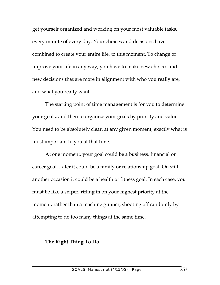get yourself organized and working on your most valuable tasks, every minute of every day. Your choices and decisions have combined to create your entire life, to this moment. To change or improve your life in any way, you have to make new choices and new decisions that are more in alignment with who you really are, and what you really want.

The starting point of time management is for you to determine your goals, and then to organize your goals by priority and value. You need to be absolutely clear, at any given moment, exactly what is most important to you at that time.

At one moment, your goal could be a business, financial or career goal. Later it could be a family or relationship goal. On still another occasion it could be a health or fitness goal. In each case, you must be like a sniper, rifling in on your highest priority at the moment, rather than a machine gunner, shooting off randomly by attempting to do too many things at the same time.

# **The Right Thing To Do**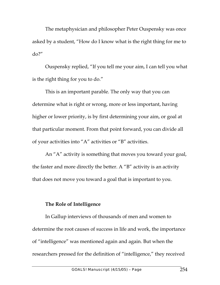The metaphysician and philosopher Peter Ouspensky was once asked by a student, "How do I know what is the right thing for me to do?"

Ouspensky replied, "If you tell me your aim, I can tell you what is the right thing for you to do."

This is an important parable. The only way that you can determine what is right or wrong, more or less important, having higher or lower priority, is by first determining your aim, or goal at that particular moment. From that point forward, you can divide all of your activities into "A" activities or "B" activities.

An "A" activity is something that moves you toward your goal, the faster and more directly the better. A "B" activity is an activity that does not move you toward a goal that is important to you.

### **The Role of Intelligence**

In Gallup interviews of thousands of men and women to determine the root causes of success in life and work, the importance of "intelligence" was mentioned again and again. But when the researchers pressed for the definition of "intelligence," they received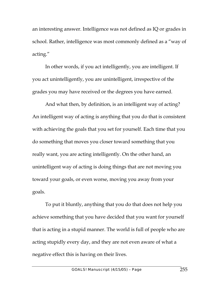an interesting answer. Intelligence was not defined as IQ or grades in school. Rather, intelligence was most commonly defined as a "way of acting."

In other words, if you act intelligently, you are intelligent. If you act unintelligently, you are unintelligent, irrespective of the grades you may have received or the degrees you have earned.

And what then, by definition, is an intelligent way of acting? An intelligent way of acting is anything that you do that is consistent with achieving the goals that you set for yourself. Each time that you do something that moves you closer toward something that you really want, you are acting intelligently. On the other hand, an unintelligent way of acting is doing things that are not moving you toward your goals, or even worse, moving you away from your goals.

To put it bluntly, anything that you do that does not help you achieve something that you have decided that you want for yourself that is acting in a stupid manner. The world is full of people who are acting stupidly every day, and they are not even aware of what a negative effect this is having on their lives.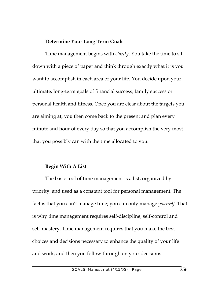### **Determine Your Long Term Goals**

Time management begins with *clarity*. You take the time to sit down with a piece of paper and think through exactly what it is you want to accomplish in each area of your life. You decide upon your ultimate, long-term goals of financial success, family success or personal health and fitness. Once you are clear about the targets you are aiming at, you then come back to the present and plan every minute and hour of every day so that you accomplish the very most that you possibly can with the time allocated to you.

# **Begin With A List**

The basic tool of time management is a list, organized by priority, and used as a constant tool for personal management. The fact is that you can't manage time; you can only manage *yourself*. That is why time management requires self-discipline, self-control and self-mastery. Time management requires that you make the best choices and decisions necessary to enhance the quality of your life and work, and then you follow through on your decisions.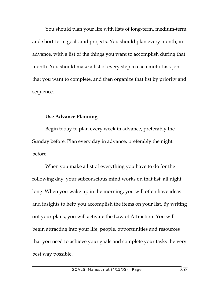You should plan your life with lists of long-term, medium-term and short-term goals and projects. You should plan every month, in advance, with a list of the things you want to accomplish during that month. You should make a list of every step in each multi-task job that you want to complete, and then organize that list by priority and sequence.

# **Use Advance Planning**

Begin today to plan every week in advance, preferably the Sunday before. Plan every day in advance, preferably the night before.

When you make a list of everything you have to do for the following day, your subconscious mind works on that list, all night long. When you wake up in the morning, you will often have ideas and insights to help you accomplish the items on your list. By writing out your plans, you will activate the Law of Attraction. You will begin attracting into your life, people, opportunities and resources that you need to achieve your goals and complete your tasks the very best way possible.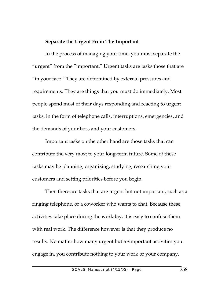### **Separate the Urgent From The Important**

In the process of managing your time, you must separate the "urgent" from the "important." Urgent tasks are tasks those that are "in your face." They are determined by external pressures and requirements. They are things that you must do immediately. Most people spend most of their days responding and reacting to urgent tasks, in the form of telephone calls, interruptions, emergencies, and the demands of your boss and your customers.

Important tasks on the other hand are those tasks that can contribute the very most to your long-term future. Some of these tasks may be planning, organizing, studying, researching your customers and setting priorities before you begin.

Then there are tasks that are urgent but not important, such as a ringing telephone, or a coworker who wants to chat. Because these activities take place during the workday, it is easy to confuse them with real work. The difference however is that they produce no results. No matter how many urgent but *un*important activities you engage in, you contribute nothing to your work or your company.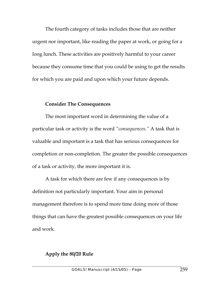The fourth category of tasks includes those that are neither urgent nor important, like reading the paper at work, or going for a long lunch. These activities are positively harmful to your career because they consume time that you could be using to get the results for which you are paid and upon which your future depends.

### **Consider The Consequences**

The most important word in determining the value of a particular task or activity is the word *"consequences."* A task that is valuable and important is a task that has serious consequences for completion or non-completion. The greater the possible consequences of a task or activity, the more important it is.

A task for which there are few if any consequences is by definition not particularly important. Your aim in personal management therefore is to spend more time doing more of those things that can have the greatest possible consequences on your life and work.

# **Apply the 80/20 Rule**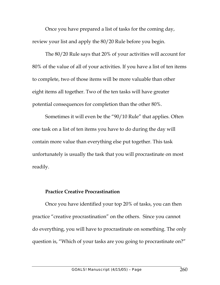Once you have prepared a list of tasks for the coming day, review your list and apply the 80/20 Rule before you begin.

The 80/20 Rule says that 20% of your activities will account for 80% of the value of all of your activities. If you have a list of ten items to complete, two of those items will be more valuable than other eight items all together. Two of the ten tasks will have greater potential consequences for completion than the other 80%.

Sometimes it will even be the "90/10 Rule" that applies. Often one task on a list of ten items you have to do during the day will contain more value than everything else put together. This task unfortunately is usually the task that you will procrastinate on most readily.

#### **Practice Creative Procrastination**

Once you have identified your top 20% of tasks, you can then practice "creative procrastination" on the others. Since you cannot do everything, you will have to procrastinate on something. The only question is, "Which of your tasks are you going to procrastinate on?"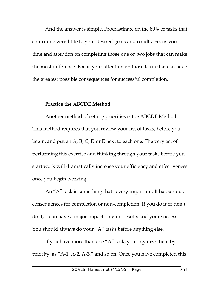And the answer is simple. Procrastinate on the 80% of tasks that contribute very little to your desired goals and results. Focus your time and attention on completing those one or two jobs that can make the most difference. Focus your attention on those tasks that can have the greatest possible consequences for successful completion.

# **Practice the ABCDE Method**

Another method of setting priorities is the ABCDE Method. This method requires that you review your list of tasks, before you begin, and put an A, B, C, D or E next to each one. The very act of performing this exercise and thinking through your tasks before you start work will dramatically increase your efficiency and effectiveness once you begin working.

An "A" task is something that is very important. It has serious consequences for completion or non-completion. If you do it or don't do it, it can have a major impact on your results and your success. You should always do your "A" tasks before anything else.

If you have more than one "A" task, you organize them by priority, as "A-1, A-2, A-3," and so on. Once you have completed this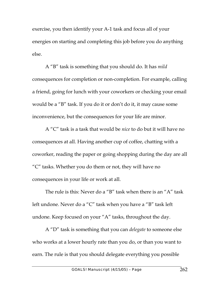exercise, you then identify your A-1 task and focus all of your energies on starting and completing this job before you do anything else.

A "B" task is something that you should do. It has *mild* consequences for completion or non-completion. For example, calling a friend, going for lunch with your coworkers or checking your email would be a "B" task. If you do it or don't do it, it may cause some inconvenience, but the consequences for your life are minor.

A "C" task is a task that would be *nice* to do but it will have no consequences at all. Having another cup of coffee, chatting with a coworker, reading the paper or going shopping during the day are all "C" tasks. Whether you do them or not, they will have no consequences in your life or work at all.

The rule is this: Never do a "B" task when there is an "A" task left undone. Never do a "C" task when you have a "B" task left undone. Keep focused on your "A" tasks, throughout the day.

A "D" task is something that you can *delegate* to someone else who works at a lower hourly rate than you do, or than you want to earn. The rule is that you should delegate everything you possible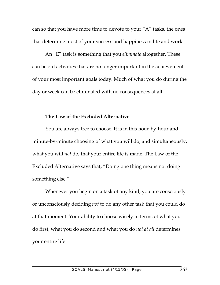can so that you have more time to devote to your "A" tasks, the ones that determine most of your success and happiness in life and work.

An "E" task is something that you *eliminate* altogether. These can be old activities that are no longer important in the achievement of your most important goals today. Much of what you do during the day or week can be eliminated with no consequences at all.

### **The Law of the Excluded Alternative**

You are always free to choose. It is in this hour-by-hour and minute-by-minute choosing of what you will do, and simultaneously, what you will *not* do, that your entire life is made. The Law of the Excluded Alternative says that, "Doing one thing means not doing something else."

Whenever you begin on a task of any kind, you are consciously or unconsciously deciding *not* to do any other task that you could do at that moment. Your ability to choose wisely in terms of what you do first, what you do second and what you do *not at all* determines your entire life.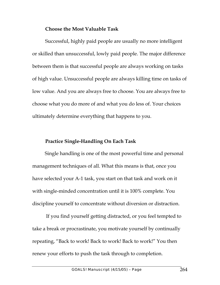# **Choose the Most Valuable Task**

Successful, highly paid people are usually no more intelligent or skilled than unsuccessful, lowly paid people. The major difference between them is that successful people are always working on tasks of high value. Unsuccessful people are always killing time on tasks of low value. And you are always free to choose. You are always free to choose what you do more of and what you do less of. Your choices ultimately determine everything that happens to you.

# **Practice Single-Handling On Each Task**

 Single handling is one of the most powerful time and personal management techniques of all. What this means is that, once you have selected your A-1 task, you start on that task and work on it with single-minded concentration until it is 100% complete. You discipline yourself to concentrate without diversion or distraction.

 If you find yourself getting distracted, or you feel tempted to take a break or procrastinate, you motivate yourself by continually repeating, "Back to work! Back to work! Back to work!" You then renew your efforts to push the task through to completion.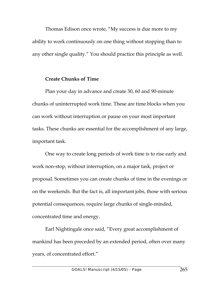Thomas Edison once wrote, "My success is due more to my ability to work continuously on one thing without stopping than to any other single quality." You should practice this principle as well.

# **Create Chunks of Time**

Plan your day in advance and create 30, 60 and 90-minute chunks of uninterrupted work time. These are time blocks when you can work without interruption or pause on your most important tasks. These chunks are essential for the accomplishment of any large, important task.

One way to create long periods of work time is to rise early and work non-stop, without interruption, on a major task, project or proposal. Sometimes you can create chunks of time in the evenings or on the weekends. But the fact is, all important jobs, those with serious potential consequences, require large chunks of single-minded, concentrated time and energy.

Earl Nightingale once said, "Every great accomplishment of mankind has been preceded by an extended period, often over many years, of concentrated effort."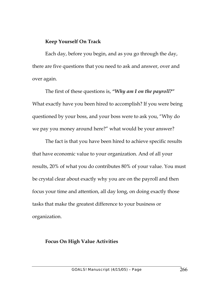### **Keep Yourself On Track**

Each day, before you begin, and as you go through the day, there are five questions that you need to ask and answer, over and over again.

The first of these questions is, *"Why am I on the payroll?"* What exactly have you been hired to accomplish? If you were being questioned by your boss, and your boss were to ask you, "Why do we pay you money around here?" what would be your answer?

The fact is that you have been hired to achieve specific results that have economic value to your organization. And of all your results, 20% of what you do contributes 80% of your value. You must be crystal clear about exactly why you are on the payroll and then focus your time and attention, all day long, on doing exactly those tasks that make the greatest difference to your business or organization.

# **Focus On High Value Activities**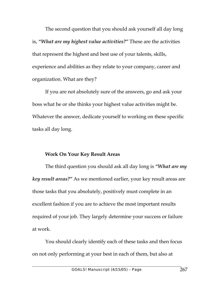The second question that you should ask yourself all day long is, *"What are my highest value activities?"* These are the activities that represent the highest and best use of your talents, skills, experience and abilities as they relate to your company, career and organization. What are they?

If you are not absolutely sure of the answers, go and ask your boss what he or she thinks your highest value activities might be. Whatever the answer, dedicate yourself to working on these specific tasks all day long.

# **Work On Your Key Result Areas**

The third question you should ask all day long is *"What are my key result areas?"* As we mentioned earlier, your key result areas are those tasks that you absolutely, positively must complete in an excellent fashion if you are to achieve the most important results required of your job. They largely determine your success or failure at work.

You should clearly identify each of these tasks and then focus on not only performing at your best in each of them, but also at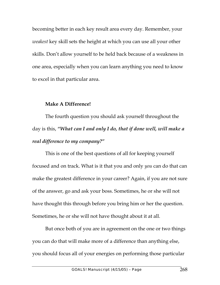becoming better in each key result area every day. Remember, your *weakest* key skill sets the height at which you can use all your other skills. Don't allow yourself to be held back because of a weakness in one area, especially when you can learn anything you need to know to excel in that particular area.

# **Make A Difference!**

The fourth question you should ask yourself throughout the day is this, *"What can I and only I do, that if done well, will make a real difference to my company?"*

This is one of the best questions of all for keeping yourself focused and on track. What is it that you and only *you* can do that can make the greatest difference in your career? Again, if you are not sure of the answer, go and ask your boss. Sometimes, he or she will not have thought this through before you bring him or her the question. Sometimes, he or she will not have thought about it at all.

But once both of you are in agreement on the one or two things you can do that will make more of a difference than anything else, you should focus all of your energies on performing those particular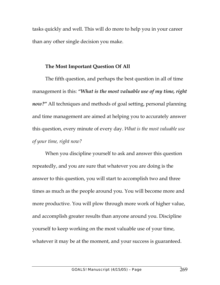tasks quickly and well. This will do more to help you in your career than any other single decision you make.

### **The Most Important Question Of All**

The fifth question, and perhaps the best question in all of time management is this: *"What is the most valuable use of my time, right now?"* All techniques and methods of goal setting, personal planning and time management are aimed at helping you to accurately answer this question, every minute of every day. *What is the most valuable use of your time, right now?* 

When you discipline yourself to ask and answer this question repeatedly, and you are sure that whatever you are doing is the answer to this question, you will start to accomplish two and three times as much as the people around you. You will become more and more productive. You will plow through more work of higher value, and accomplish greater results than anyone around you. Discipline yourself to keep working on the most valuable use of your time, whatever it may be at the moment, and your success is guaranteed.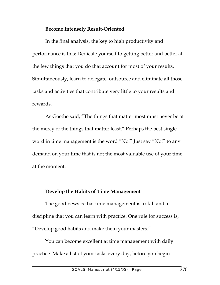# **Become Intensely Result-Oriented**

In the final analysis, the key to high productivity and performance is this: Dedicate yourself to getting better and better at the few things that you do that account for most of your results. Simultaneously, learn to delegate, outsource and eliminate all those tasks and activities that contribute very little to your results and rewards.

As Goethe said, "The things that matter most must never be at the mercy of the things that matter least." Perhaps the best single word in time management is the word "No!" Just say "No!" to any demand on your time that is not the most valuable use of your time at the moment.

# **Develop the Habits of Time Management**

The good news is that time management is a skill and a discipline that you can learn with practice. One rule for success is, "Develop good habits and make them your masters."

You can become excellent at time management with daily practice. Make a list of your tasks every day, before you begin.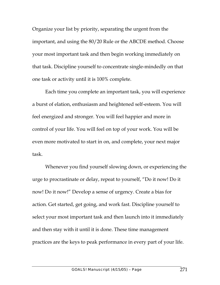Organize your list by priority, separating the urgent from the important, and using the 80/20 Rule or the ABCDE method. Choose your most important task and then begin working immediately on that task. Discipline yourself to concentrate single-mindedly on that one task or activity until it is 100% complete.

Each time you complete an important task, you will experience a burst of elation, enthusiasm and heightened self-esteem. You will feel energized and stronger. You will feel happier and more in control of your life. You will feel on top of your work. You will be even more motivated to start in on, and complete, your next major task.

Whenever you find yourself slowing down, or experiencing the urge to procrastinate or delay, repeat to yourself, "Do it now! Do it now! Do it now!" Develop a sense of urgency. Create a bias for action. Get started, get going, and work fast. Discipline yourself to select your most important task and then launch into it immediately and then stay with it until it is done. These time management practices are the keys to peak performance in every part of your life.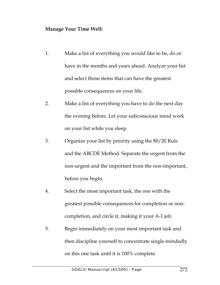# **Manage Your Time Well:**

- 1. Make a list of everything you would like to be, do or have in the months and years ahead. Analyze your list and select those items that can have the greatest possible consequences on your life.
- 2. Make a list of everything you have to do the next day the evening before. Let your subconscious mind work on your list while you sleep.
- 3. Organize your list by priority using the 80/20 Rule and the ABCDE Method. Separate the urgent from the non-urgent and the important from the non-important, before you begin.
- 4. Select the most important task, the one with the greatest possible consequences for completion or noncompletion, and circle it, making it your A-1 job.
- 5. Begin immediately on your most important task and then discipline yourself to concentrate single-mindedly on this one task until it is 100% complete.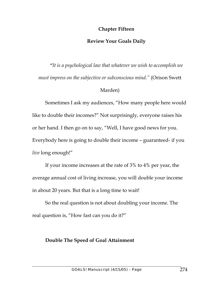# **Chapter Fifteen**

# **Review Your Goals Daily**

*"It is a psychological law that whatever we wish to accomplish we must impress on the subjective or subconscious mind."* (Orison Swett Marden)

Sometimes I ask my audiences, "How many people here would like to double their incomes?" Not surprisingly, everyone raises his or her hand. I then go on to say, "Well, I have good news for you. Everybody here is going to double their income – guaranteed- if you *live* long enough!"

If your income increases at the rate of 3% to 4% per year, the average annual cost of living increase, you will double your income in about 20 years. But that is a long time to wait!

So the real question is not about doubling your income. The real question is, "How fast can you do it?"

### **Double The Speed of Goal Attainment**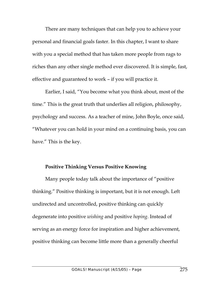There are many techniques that can help you to achieve your personal and financial goals faster. In this chapter, I want to share with you a special method that has taken more people from rags to riches than any other single method ever discovered. It is simple, fast, effective and guaranteed to work – if you will practice it.

Earlier, I said, "You become what you think about, most of the time." This is the great truth that underlies all religion, philosophy, psychology and success. As a teacher of mine, John Boyle, once said, "Whatever you can hold in your mind on a continuing basis, you can have." This is the key.

### **Positive Thinking Versus Positive Knowing**

Many people today talk about the importance of "positive thinking." Positive thinking is important, but it is not enough. Left undirected and uncontrolled, positive thinking can quickly degenerate into positive *wishing* and positive *hoping*. Instead of serving as an energy force for inspiration and higher achievement, positive thinking can become little more than a generally cheerful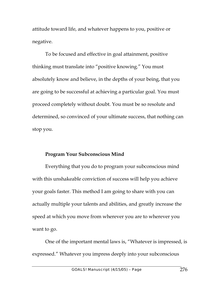attitude toward life, and whatever happens to you, positive or negative.

To be focused and effective in goal attainment, positive thinking must translate into "positive knowing." You must absolutely know and believe, in the depths of your being, that you are going to be successful at achieving a particular goal. You must proceed completely without doubt. You must be so resolute and determined, so convinced of your ultimate success, that nothing can stop you.

# **Program Your Subconscious Mind**

Everything that you do to program your subconscious mind with this unshakeable conviction of success will help you achieve your goals faster. This method I am going to share with you can actually multiple your talents and abilities, and greatly increase the speed at which you move from wherever you are to wherever you want to go.

One of the important mental laws is, "Whatever is impressed, is expressed." Whatever you impress deeply into your subconscious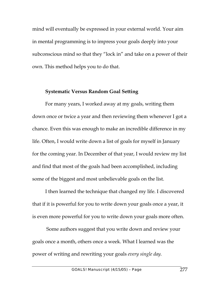mind will eventually be expressed in your external world. Your aim in mental programming is to impress your goals deeply into your subconscious mind so that they "lock in" and take on a power of their own. This method helps you to do that.

### **Systematic Versus Random Goal Setting**

For many years, I worked away at my goals, writing them down once or twice a year and then reviewing them whenever I got a chance. Even this was enough to make an incredible difference in my life. Often, I would write down a list of goals for myself in January for the coming year. In December of that year, I would review my list and find that most of the goals had been accomplished, including some of the biggest and most unbelievable goals on the list.

I then learned the technique that changed my life. I discovered that if it is powerful for you to write down your goals once a year, it is even more powerful for you to write down your goals more often.

 Some authors suggest that you write down and review your goals once a month, others once a week. What I learned was the power of writing and rewriting your goals *every single day.*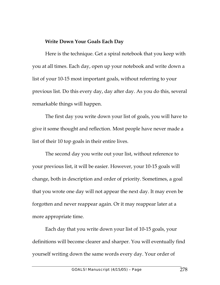# **Write Down Your Goals Each Day**

Here is the technique. Get a spiral notebook that you keep with you at all times. Each day, open up your notebook and write down a list of your 10-15 most important goals, without referring to your previous list. Do this every day, day after day. As you do this, several remarkable things will happen.

The first day you write down your list of goals, you will have to give it some thought and reflection. Most people have never made a list of their 10 top goals in their entire lives.

The second day you write out your list, without reference to your previous list, it will be easier. However, your 10-15 goals will change, both in description and order of priority. Sometimes, a goal that you wrote one day will not appear the next day. It may even be forgotten and never reappear again. Or it may reappear later at a more appropriate time.

Each day that you write down your list of 10-15 goals, your definitions will become clearer and sharper. You will eventually find yourself writing down the same words every day. Your order of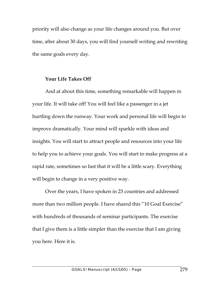priority will also change as your life changes around you. But over time, after about 30 days, you will find yourself writing and rewriting the same goals every day.

# **Your Life Takes Off**

And at about this time, something remarkable will happen in your life. It will take off! You will feel like a passenger in a jet hurtling down the runway. Your work and personal life will begin to improve dramatically. Your mind will sparkle with ideas and insights. You will start to attract people and resources into your life to help you to achieve your goals. You will start to make progress at a rapid rate, sometimes so fast that it will be a little scary. Everything will begin to change in a very positive way.

Over the years, I have spoken in 23 countries and addressed more than two million people. I have shared this "10 Goal Exercise" with hundreds of thousands of seminar participants. The exercise that I give them is a little simpler than the exercise that I am giving you here. Here it is.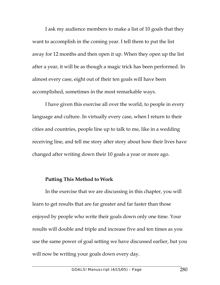I ask my audience members to make a list of 10 goals that they want to accomplish in the coming year. I tell them to put the list away for 12 months and then open it up. When they open up the list after a year, it will be as though a magic trick has been performed. In almost every case, eight out of their ten goals will have been accomplished, sometimes in the most remarkable ways.

I have given this exercise all over the world, to people in every language and culture. In virtually every case, when I return to their cities and countries, people line up to talk to me, like in a wedding receiving line, and tell me story after story about how their lives have changed after writing down their 10 goals a year or more ago.

### **Putting This Method to Work**

In the exercise that we are discussing in this chapter, you will learn to get results that are far greater and far faster than those enjoyed by people who write their goals down only one time. Your results will double and triple and increase five and ten times as you use the same power of goal setting we have discussed earlier, but you will now be writing your goals down every day.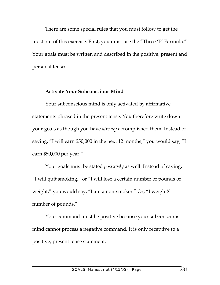There are some special rules that you must follow to get the most out of this exercise. First, you must use the "Three 'P' Formula." Your goals must be written and described in the positive, present and personal tenses.

#### **Activate Your Subconscious Mind**

Your subconscious mind is only activated by affirmative statements phrased in the present tense. You therefore write down your goals as though you have *already* accomplished them. Instead of saying, "I will earn \$50,000 in the next 12 months," you would say, "I earn \$50,000 per year."

Your goals must be stated *positively* as well. Instead of saying, "I will quit smoking," or "I will lose a certain number of pounds of weight," you would say, "I am a non-smoker." Or, "I weigh X number of pounds."

Your command must be positive because your subconscious mind cannot process a negative command. It is only receptive to a positive, present tense statement.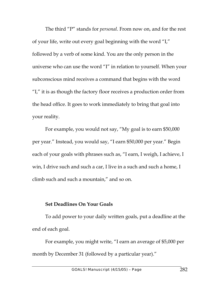The third "P" stands for *personal*. From now on, and for the rest of your life, write out every goal beginning with the word "I," followed by a verb of some kind. You are the only person in the universe who can use the word "I" in relation to yourself. When your subconscious mind receives a command that begins with the word "I," it is as though the factory floor receives a production order from the head office. It goes to work immediately to bring that goal into your reality.

For example, you would not say, "My goal is to earn \$50,000 per year." Instead, you would say, "I earn \$50,000 per year." Begin each of your goals with phrases such as, "I earn, I weigh, I achieve, I win, I drive such and such a car, I live in a such and such a home, I climb such and such a mountain," and so on.

### **Set Deadlines On Your Goals**

To add power to your daily written goals, put a deadline at the end of each goal.

For example, you might write, "I earn an average of \$5,000 per month by December 31 (followed by a particular year)."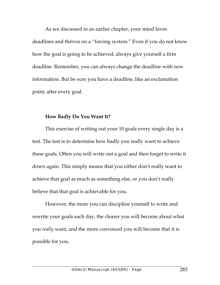As we discussed in an earlier chapter, your mind loves deadlines and thrives on a "forcing system." Even if you do not know how the goal is going to be achieved, always give yourself a firm deadline. Remember, you can always change the deadline with new information. But be sure you have a deadline, like an exclamation point, after every goal.

# **How Badly Do You Want It?**

This exercise of writing out your 10 goals every single day is a test. The test is to determine how badly you really want to achieve these goals. Often you will write out a goal and then forget to write it down again. This simply means that you either don't really want to achieve that goal as much as something else, or you don't really believe that that goal is achievable for you.

However, the more you can discipline yourself to write and rewrite your goals each day, the clearer you will become about what you *really* want, and the more convinced you will become that it is possible for you.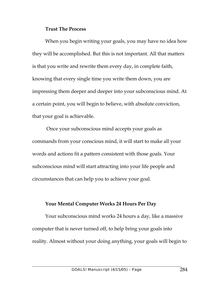### **Trust The Process**

When you begin writing your goals, you may have no idea how they will be accomplished. But this is not important. All that matters is that you write and rewrite them every day, in complete faith, knowing that every single time you write them down, you are impressing them deeper and deeper into your subconscious mind. At a certain point, you will begin to believe, with absolute conviction, that your goal is achievable.

 Once your subconscious mind accepts your goals as commands from your conscious mind, it will start to make all your words and actions fit a pattern consistent with those goals. Your subconscious mind will start attracting into your life people and circumstances that can help you to achieve your goal.

# **Your Mental Computer Works 24 Hours Per Day**

Your subconscious mind works 24 hours a day, like a massive computer that is never turned off, to help bring your goals into reality. Almost without your doing anything, your goals will begin to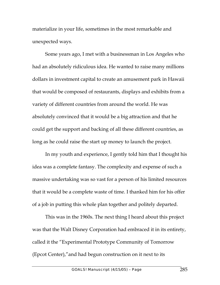materialize in your life, sometimes in the most remarkable and unexpected ways.

Some years ago, I met with a businessman in Los Angeles who had an absolutely ridiculous idea. He wanted to raise many millions dollars in investment capital to create an amusement park in Hawaii that would be composed of restaurants, displays and exhibits from a variety of different countries from around the world. He was absolutely convinced that it would be a big attraction and that he could get the support and backing of all these different countries, as long as he could raise the start up money to launch the project.

In my youth and experience, I gently told him that I thought his idea was a complete fantasy. The complexity and expense of such a massive undertaking was so vast for a person of his limited resources that it would be a complete waste of time. I thanked him for his offer of a job in putting this whole plan together and politely departed.

This was in the 1960s. The next thing I heard about this project was that the Walt Disney Corporation had embraced it in its entirety, called it the "Experimental Prototype Community of Tomorrow (Epcot Center),"and had begun construction on it next to its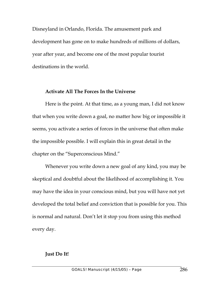Disneyland in Orlando, Florida. The amusement park and development has gone on to make hundreds of millions of dollars, year after year, and become one of the most popular tourist destinations in the world.

### **Activate All The Forces In the Universe**

Here is the point. At that time, as a young man, I did not know that when you write down a goal, no matter how big or impossible it seems, you activate a series of forces in the universe that often make the impossible possible. I will explain this in great detail in the chapter on the "Superconscious Mind."

Whenever you write down a new goal of any kind, you may be skeptical and doubtful about the likelihood of accomplishing it. You may have the idea in your conscious mind, but you will have not yet developed the total belief and conviction that is possible for you. This is normal and natural. Don't let it stop you from using this method every day.

# **Just Do It!**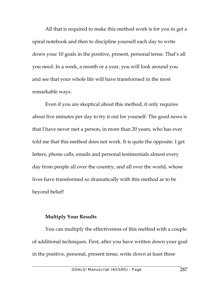All that is required to make this method work is for you to get a spiral notebook and then to discipline yourself each day to write down your 10 goals in the positive, present, personal tense. That's all you need. In a week, a month or a year, you will look around you and see that your whole life will have transformed in the most remarkable ways.

Even if you are skeptical about this method, it only requires about five minutes per day to try it out for yourself. The good news is that I have never met a person, in more than 20 years, who has ever told me that this method does not work. It is quite the opposite. I get letters, phone calls, emails and personal testimonials almost every day from people all over the country, and all over the world, whose lives have transformed so dramatically with this method as to be beyond belief!

### **Multiply Your Results**

You can multiply the effectiveness of this method with a couple of additional techniques. First, after you have written down your goal in the positive, personal, present tense, write down at least three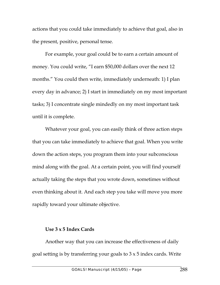actions that you could take immediately to achieve that goal, also in the present, positive, personal tense.

For example, your goal could be to earn a certain amount of money. You could write, "I earn \$50,000 dollars over the next 12 months." You could then write, immediately underneath: 1) I plan every day in advance; 2) I start in immediately on my most important tasks; 3) I concentrate single mindedly on my most important task until it is complete.

Whatever your goal, you can easily think of three action steps that you can take immediately to achieve that goal. When you write down the action steps, you program them into your subconscious mind along with the goal. At a certain point, you will find yourself actually taking the steps that you wrote down, sometimes without even thinking about it. And each step you take will move you more rapidly toward your ultimate objective.

### **Use 3 x 5 Index Cards**

Another way that you can increase the effectiveness of daily goal setting is by transferring your goals to  $3 \times 5$  index cards. Write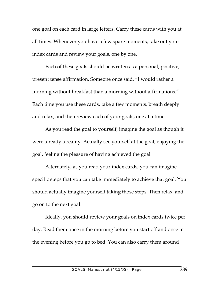one goal on each card in large letters. Carry these cards with you at all times. Whenever you have a few spare moments, take out your index cards and review your goals, one by one.

Each of these goals should be written as a personal, positive, present tense affirmation. Someone once said, "I would rather a morning without breakfast than a morning without affirmations." Each time you use these cards, take a few moments, breath deeply and relax, and then review each of your goals, one at a time.

As you read the goal to yourself, imagine the goal as though it were already a reality. Actually see yourself at the goal, enjoying the goal, feeling the pleasure of having achieved the goal.

Alternately, as you read your index cards, you can imagine specific steps that you can take immediately to achieve that goal. You should actually imagine yourself taking those steps. Then relax, and go on to the next goal.

Ideally, you should review your goals on index cards twice per day. Read them once in the morning before you start off and once in the evening before you go to bed. You can also carry them around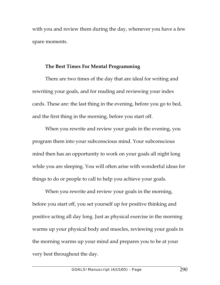with you and review them during the day, whenever you have a few spare moments.

## **The Best Times For Mental Programming**

There are two times of the day that are ideal for writing and rewriting your goals, and for reading and reviewing your index cards. These are: the last thing in the evening, before you go to bed, and the first thing in the morning, before you start off.

When you rewrite and review your goals in the evening, you program them into your subconscious mind. Your subconscious mind then has an opportunity to work on your goals all night long while you are sleeping. You will often arise with wonderful ideas for things to do or people to call to help you achieve your goals.

When you rewrite and review your goals in the morning, before you start off, you set yourself up for positive thinking and positive acting all day long. Just as physical exercise in the morning warms up your physical body and muscles, reviewing your goals in the morning warms up your mind and prepares you to be at your very best throughout the day.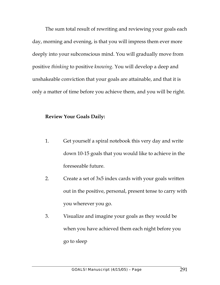The sum total result of rewriting and reviewing your goals each day, morning and evening, is that you will impress them ever more deeply into your subconscious mind. You will gradually move from positive *thinking* to positive *knowing*. You will develop a deep and unshakeable conviction that your goals are attainable, and that it is only a matter of time before you achieve them, and you will be right.

## **Review Your Goals Daily:**

- 1. Get yourself a spiral notebook this very day and write down 10-15 goals that you would like to achieve in the foreseeable future.
- 2. Create a set of 3x5 index cards with your goals written out in the positive, personal, present tense to carry with you wherever you go.
- 3. Visualize and imagine your goals as they would be when you have achieved them each night before you go to sleep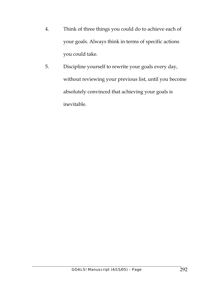- 4. Think of three things you could do to achieve each of your goals. Always think in terms of specific actions you could take.
- 5. Discipline yourself to rewrite your goals every day, without reviewing your previous list, until you become absolutely convinced that achieving your goals is inevitable.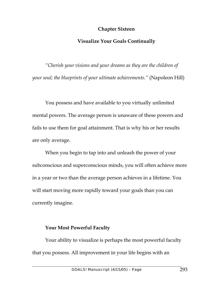## **Chapter Sixteen**

## **Visualize Your Goals Continually**

*"Cherish your visions and your dreams as they are the children of your soul; the blueprints of your ultimate achievements."* (Napoleon Hill)

You possess and have available to you virtually unlimited mental powers. The average person is unaware of these powers and fails to use them for goal attainment. That is why his or her results are only average.

When you begin to tap into and unleash the power of your subconscious and superconscious minds, you will often achieve more in a year or two than the average person achieves in a lifetime. You will start moving more rapidly toward your goals than you can currently imagine.

#### **Your Most Powerful Faculty**

Your ability to visualize is perhaps the most powerful faculty that you possess. All improvement in your life begins with an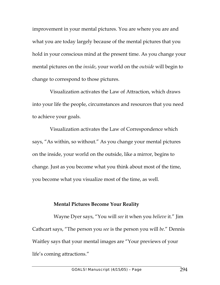improvement in your mental pictures. You are where you are and what you are today largely because of the mental pictures that you hold in your conscious mind at the present time. As you change your mental pictures on the *inside*, your world on the *outside* will begin to change to correspond to those pictures.

 Visualization activates the Law of Attraction, which draws into your life the people, circumstances and resources that you need to achieve your goals.

 Visualization activates the Law of Correspondence which says, "As within, so without." As you change your mental pictures on the inside, your world on the outside, like a mirror, begins to change. Just as you become what you think about most of the time, you become what you visualize most of the time, as well.

#### **Mental Pictures Become Your Reality**

 Wayne Dyer says, "You will *see* it when you *believe* it." Jim Cathcart says, "The person you *see* is the person you will *be*." Dennis Waitley says that your mental images are "Your previews of your life's coming attractions."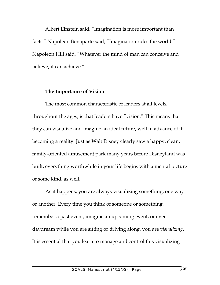Albert Einstein said, "Imagination is more important than facts." Napoleon Bonaparte said, "Imagination rules the world." Napoleon Hill said, "Whatever the mind of man can conceive and believe, it can achieve."

#### **The Importance of Vision**

The most common characteristic of leaders at all levels, throughout the ages, is that leaders have "vision." This means that they can visualize and imagine an ideal future, well in advance of it becoming a reality. Just as Walt Disney clearly saw a happy, clean, family-oriented amusement park many years before Disneyland was built, everything worthwhile in your life begins with a mental picture of some kind, as well.

As it happens, you are always visualizing something, one way or another. Every time you think of someone or something, remember a past event, imagine an upcoming event, or even daydream while you are sitting or driving along, you are *visualizing*. It is essential that you learn to manage and control this visualizing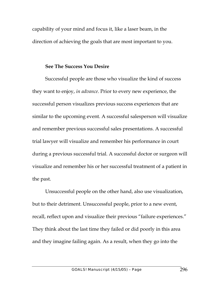capability of your mind and focus it, like a laser beam, in the direction of achieving the goals that are most important to you.

#### **See The Success You Desire**

Successful people are those who visualize the kind of success they want to enjoy, *in advance*. Prior to every new experience, the successful person visualizes previous success experiences that are similar to the upcoming event. A successful salesperson will visualize and remember previous successful sales presentations. A successful trial lawyer will visualize and remember his performance in court during a previous successful trial. A successful doctor or surgeon will visualize and remember his or her successful treatment of a patient in the past.

Unsuccessful people on the other hand, also use visualization, but to their detriment. Unsuccessful people, prior to a new event, recall, reflect upon and visualize their previous "failure experiences." They think about the last time they failed or did poorly in this area and they imagine failing again. As a result, when they go into the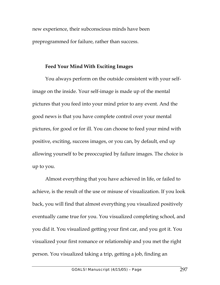new experience, their subconscious minds have been preprogrammed for failure, rather than success.

### **Feed Your Mind With Exciting Images**

You always perform on the outside consistent with your selfimage on the inside. Your self-image is made up of the mental pictures that you feed into your mind prior to any event. And the good news is that you have complete control over your mental pictures, for good or for ill. You can choose to feed your mind with positive, exciting, success images, or you can, by default, end up allowing yourself to be preoccupied by failure images. The choice is up to you.

Almost everything that you have achieved in life, or failed to achieve, is the result of the use or misuse of visualization. If you look back, you will find that almost everything you visualized positively eventually came true for you. You visualized completing school, and you did it. You visualized getting your first car, and you got it. You visualized your first romance or relationship and you met the right person. You visualized taking a trip, getting a job, finding an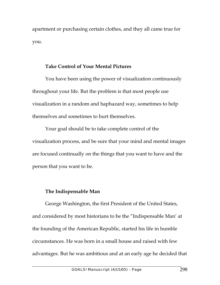apartment or purchasing certain clothes, and they all came true for you.

## **Take Control of Your Mental Pictures**

You have been using the power of visualization continuously throughout your life. But the problem is that most people use visualization in a random and haphazard way, sometimes to help themselves and sometimes to hurt themselves.

Your goal should be to take complete control of the visualization process, and be sure that your mind and mental images are focused continually on the things that you want to have and the person that you want to be.

# **The Indispensable Man**

George Washington, the first President of the United States, and considered by most historians to be the "Indispensable Man' at the founding of the American Republic, started his life in humble circumstances. He was born in a small house and raised with few advantages. But he was ambitious and at an early age he decided that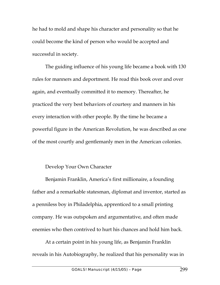he had to mold and shape his character and personality so that he could become the kind of person who would be accepted and successful in society.

The guiding influence of his young life became a book with 130 rules for manners and deportment. He read this book over and over again, and eventually committed it to memory. Thereafter, he practiced the very best behaviors of courtesy and manners in his every interaction with other people. By the time he became a powerful figure in the American Revolution, he was described as one of the most courtly and gentlemanly men in the American colonies.

## Develop Your Own Character

Benjamin Franklin, America's first millionaire, a founding father and a remarkable statesman, diplomat and inventor, started as a penniless boy in Philadelphia, apprenticed to a small printing company. He was outspoken and argumentative, and often made enemies who then contrived to hurt his chances and hold him back.

At a certain point in his young life, as Benjamin Franklin reveals in his Autobiography, he realized that his personality was in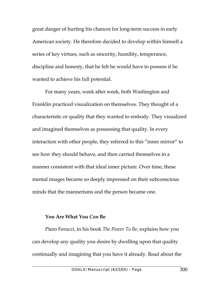great danger of hurting his chances for long-term success in early American society. He therefore decided to develop within himself a series of key virtues, such as sincerity, humility, temperance, discipline and honesty, that he felt he would have to possess if he wanted to achieve his full potential.

For many years, week after week, both Washington and Franklin practiced visualization on themselves. They thought of a characteristic or quality that they wanted to embody. They visualized and imagined themselves as possessing that quality. In every interaction with other people, they referred to this "inner mirror" to see how they should behave, and then carried themselves in a manner consistent with that ideal inner picture. Over time, these mental images became so deeply impressed on their subconscious minds that the mannerisms and the person became one.

#### **You Are What You** *Can* **Be**

Piero Ferucci, in his book *The Power To Be,* explains how you can develop any quality you desire by dwelling upon that quality continually and imagining that you have it already. Read about the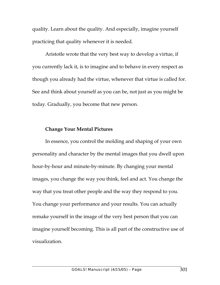quality. Learn about the quality. And especially, imagine yourself practicing that quality whenever it is needed.

Aristotle wrote that the very best way to develop a virtue, if you currently lack it, is to imagine and to behave in every respect as though you already had the virtue, whenever that virtue is called for. See and think about yourself as you can be, not just as you might be today. Gradually, you become that new person.

### **Change Your Mental Pictures**

In essence, you control the molding and shaping of your own personality and character by the mental images that you dwell upon hour-by-hour and minute-by-minute. By changing your mental images, you change the way you think, feel and act. You change the way that you treat other people and the way they respond to you. You change your performance and your results. You can actually remake yourself in the image of the very best person that you can imagine yourself becoming. This is all part of the constructive use of visualization.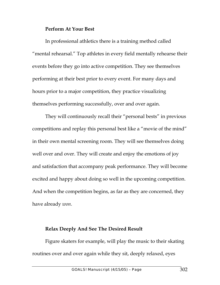### **Perform At Your Best**

In professional athletics there is a training method called "mental rehearsal." Top athletes in every field mentally rehearse their events before they go into active competition. They see themselves performing at their best prior to every event. For many days and hours prior to a major competition, they practice visualizing themselves performing successfully, over and over again.

They will continuously recall their "personal bests" in previous competitions and replay this personal best like a "movie of the mind" in their own mental screening room. They will see themselves doing well over and over. They will create and enjoy the emotions of joy and satisfaction that accompany peak performance. They will become excited and happy about doing so well in the upcoming competition. And when the competition begins, as far as they are concerned, they have already *won*.

## **Relax Deeply And See The Desired Result**

Figure skaters for example, will play the music to their skating routines over and over again while they sit, deeply relaxed, eyes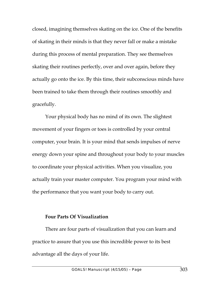closed, imagining themselves skating on the ice. One of the benefits of skating in their minds is that they never fall or make a mistake during this process of mental preparation. They see themselves skating their routines perfectly, over and over again, before they actually go onto the ice. By this time, their subconscious minds have been trained to take them through their routines smoothly and gracefully.

Your physical body has no mind of its own. The slightest movement of your fingers or toes is controlled by your central computer, your brain. It is your mind that sends impulses of nerve energy down your spine and throughout your body to your muscles to coordinate your physical activities. When you visualize, you actually train your master computer. You program your mind with the performance that you want your body to carry out.

#### **Four Parts Of Visualization**

There are four parts of visualization that you can learn and practice to assure that you use this incredible power to its best advantage all the days of your life.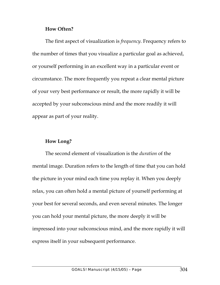## **How Often?**

The first aspect of visualization is *frequency*. Frequency refers to the number of times that you visualize a particular goal as achieved, or yourself performing in an excellent way in a particular event or circumstance. The more frequently you repeat a clear mental picture of your very best performance or result, the more rapidly it will be accepted by your subconscious mind and the more readily it will appear as part of your reality.

## **How Long?**

The second element of visualization is the *duration* of the mental image. Duration refers to the length of time that you can hold the picture in your mind each time you replay it. When you deeply relax, you can often hold a mental picture of yourself performing at your best for several seconds, and even several minutes. The longer you can hold your mental picture, the more deeply it will be impressed into your subconscious mind, and the more rapidly it will express itself in your subsequent performance.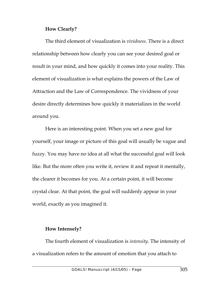## **How Clearly?**

The third element of visualization is *vividness*. There is a direct relationship between how clearly you can see your desired goal or result in your mind, and how quickly it comes into your reality. This element of visualization is what explains the powers of the Law of Attraction and the Law of Correspondence. The vividness of your desire directly determines how quickly it materializes in the world around you.

Here is an interesting point. When you set a new goal for yourself, your image or picture of this goal will usually be vague and fuzzy. You may have no idea at all what the successful goal will look like. But the more often you write it, review it and repeat it mentally, the clearer it becomes for you. At a certain point, it will become crystal clear. At that point, the goal will suddenly appear in your world, exactly as you imagined it.

## **How Intensely?**

The fourth element of visualization is *intensity*. The intensity of a visualization refers to the amount of emotion that you attach to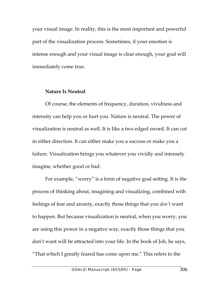your visual image. In reality, this is the most important and powerful part of the visualization process. Sometimes, if your emotion is intense enough and your visual image is clear enough, your goal will immediately come true.

#### **Nature Is Neutral**

Of course, the elements of frequency, duration, vividness and intensity can help you or hurt you. Nature is neutral. The power of visualization is neutral as well. It is like a two edged sword. It can cut in either direction. It can either make you a success or make you a failure. Visualization brings you whatever you vividly and intensely imagine, whether good or bad.

For example, "worry" is a form of negative goal setting. It is the process of thinking about, imagining and visualizing, combined with feelings of fear and anxiety, exactly those things that you *don't* want to happen. But because visualization is neutral, when you worry, you are using this power in a negative way, exactly those things that you don't want will be attracted into your life. In the book of Job, he says, "That which I greatly feared has come upon me." This refers to the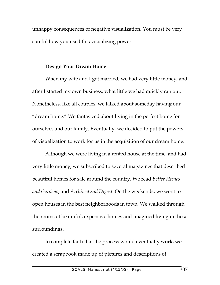unhappy consequences of negative visualization. You must be very careful how you used this visualizing power.

## **Design Your Dream Home**

When my wife and I got married, we had very little money, and after I started my own business, what little we had quickly ran out. Nonetheless, like all couples, we talked about someday having our "dream home." We fantasized about living in the perfect home for ourselves and our family. Eventually, we decided to put the powers of visualization to work for us in the acquisition of our dream home.

Although we were living in a rented house at the time, and had very little money, we subscribed to several magazines that described beautiful homes for sale around the country. We read *Better Homes and Gardens*, and *Architectural Digest*. On the weekends, we went to open houses in the best neighborhoods in town. We walked through the rooms of beautiful, expensive homes and imagined living in those surroundings.

In complete faith that the process would eventually work, we created a scrapbook made up of pictures and descriptions of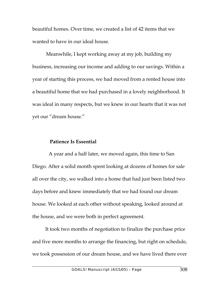beautiful homes. Over time, we created a list of 42 items that we wanted to have in our ideal house.

 Meanwhile, I kept working away at my job, building my business, increasing our income and adding to our savings. Within a year of starting this process, we had moved from a rented house into a beautiful home that we had purchased in a lovely neighborhood. It was ideal in many respects, but we knew in our hearts that it was not yet our "dream house."

#### **Patience Is Essential**

 A year and a half later, we moved again, this time to San Diego. After a solid month spent looking at dozens of homes for sale all over the city, we walked into a home that had just been listed two days before and knew immediately that we had found our dream house. We looked at each other without speaking, looked around at the house, and we were both in perfect agreement.

It took two months of negotiation to finalize the purchase price and five more months to arrange the financing, but right on schedule, we took possession of our dream house, and we have lived there ever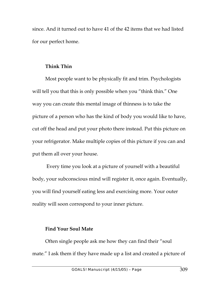since. And it turned out to have 41 of the 42 items that we had listed for our perfect home.

## **Think Thin**

Most people want to be physically fit and trim. Psychologists will tell you that this is only possible when you "think thin." One way you can create this mental image of thinness is to take the picture of a person who has the kind of body you would like to have, cut off the head and put your photo there instead. Put this picture on your refrigerator. Make multiple copies of this picture if you can and put them all over your house.

 Every time you look at a picture of yourself with a beautiful body, your subconscious mind will register it, once again. Eventually, you will find yourself eating less and exercising more. Your outer reality will soon correspond to your inner picture.

## **Find Your Soul Mate**

Often single people ask me how they can find their "soul mate." I ask them if they have made up a list and created a picture of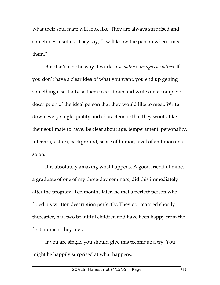what their soul mate will look like. They are always surprised and sometimes insulted. They say, "I will know the person when I meet them."

But that's not the way it works. *Casualness brings casualties*. If you don't have a clear idea of what you want, you end up getting something else. I advise them to sit down and write out a complete description of the ideal person that they would like to meet. Write down every single quality and characteristic that they would like their soul mate to have. Be clear about age, temperament, personality, interests, values, background, sense of humor, level of ambition and so on.

It is absolutely amazing what happens. A good friend of mine, a graduate of one of my three-day seminars, did this immediately after the program. Ten months later, he met a perfect person who fitted his written description perfectly. They got married shortly thereafter, had two beautiful children and have been happy from the first moment they met.

If you are single, you should give this technique a try. You might be happily surprised at what happens.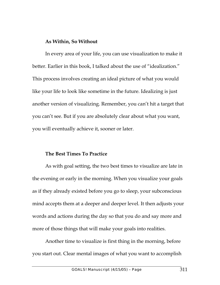### **As Within, So Without**

In every area of your life, you can use visualization to make it better. Earlier in this book, I talked about the use of "idealization." This process involves creating an ideal picture of what you would like your life to look like sometime in the future. Idealizing is just another version of visualizing. Remember, you can't hit a target that you can't see. But if you are absolutely clear about what you want, you will eventually achieve it, sooner or later.

## **The Best Times To Practice**

As with goal setting, the two best times to visualize are late in the evening or early in the morning. When you visualize your goals as if they already existed before you go to sleep, your subconscious mind accepts them at a deeper and deeper level. It then adjusts your words and actions during the day so that you do and say more and more of those things that will make your goals into realities.

Another time to visualize is first thing in the morning, before you start out. Clear mental images of what you want to accomplish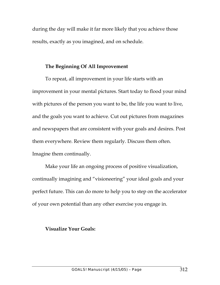during the day will make it far more likely that you achieve those results, exactly as you imagined, and on schedule.

### **The Beginning Of All Improvement**

To repeat, all improvement in your life starts with an improvement in your mental pictures. Start today to flood your mind with pictures of the person you want to be, the life you want to live, and the goals you want to achieve. Cut out pictures from magazines and newspapers that are consistent with your goals and desires. Post them everywhere. Review them regularly. Discuss them often. Imagine them continually.

Make your life an ongoing process of positive visualization, continually imagining and "visioneering" your ideal goals and your perfect future. This can do more to help you to step on the accelerator of your own potential than any other exercise you engage in.

#### **Visualize Your Goals:**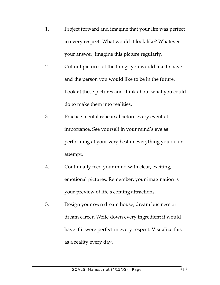- 1. Project forward and imagine that your life was perfect in every respect. What would it look like? Whatever your answer, imagine this picture regularly.
- 2. Cut out pictures of the things you would like to have and the person you would like to be in the future. Look at these pictures and think about what you could do to make them into realities.
- 3. Practice mental rehearsal before every event of importance. See yourself in your mind's eye as performing at your very best in everything you do or attempt.
- 4. Continually feed your mind with clear, exciting, emotional pictures. Remember, your imagination is your preview of life's coming attractions.
- 5. Design your own dream house, dream business or dream career. Write down every ingredient it would have if it were perfect in every respect. Visualize this as a reality every day.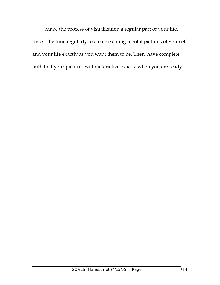Make the process of visualization a regular part of your life. Invest the time regularly to create exciting mental pictures of yourself and your life exactly as you want them to be. Then, have complete faith that your pictures will materialize exactly when you are ready.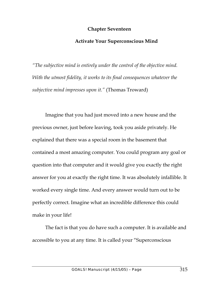## **Chapter Seventeen**

## **Activate Your Superconscious Mind**

*"The subjective mind is entirely under the control of the objective mind. With the utmost fidelity, it works to its final consequences whatever the subjective mind impresses upon it."* (Thomas Troward)

Imagine that you had just moved into a new house and the previous owner, just before leaving, took you aside privately. He explained that there was a special room in the basement that contained a most amazing computer. You could program any goal or question into that computer and it would give you exactly the right answer for you at exactly the right time. It was absolutely infallible. It worked every single time. And every answer would turn out to be perfectly correct. Imagine what an incredible difference this could make in your life!

The fact is that you do have such a computer. It is available and accessible to you at any time. It is called your "Superconscious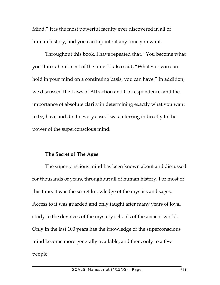Mind." It is the most powerful faculty ever discovered in all of human history, and you can tap into it any time you want.

Throughout this book, I have repeated that, "You become what you think about most of the time." I also said, "Whatever you can hold in your mind on a continuing basis, you can have." In addition, we discussed the Laws of Attraction and Correspondence, and the importance of absolute clarity in determining exactly what you want to be, have and do. In every case, I was referring indirectly to the power of the superconscious mind.

#### **The Secret of The Ages**

The superconscious mind has been known about and discussed for thousands of years, throughout all of human history. For most of this time, it was the secret knowledge of the mystics and sages. Access to it was guarded and only taught after many years of loyal study to the devotees of the mystery schools of the ancient world. Only in the last 100 years has the knowledge of the superconscious mind become more generally available, and then, only to a few people.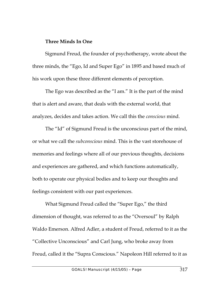## **Three Minds In One**

Sigmund Freud, the founder of psychotherapy, wrote about the three minds, the "Ego, Id and Super Ego" in 1895 and based much of his work upon these three different elements of perception.

The Ego was described as the "I am." It is the part of the mind that is alert and aware, that deals with the external world, that analyzes, decides and takes action. We call this the *conscious* mind.

The "Id" of Sigmund Freud is the unconscious part of the mind, or what we call the *subconscious* mind. This is the vast storehouse of memories and feelings where all of our previous thoughts, decisions and experiences are gathered, and which functions automatically, both to operate our physical bodies and to keep our thoughts and feelings consistent with our past experiences.

What Sigmund Freud called the "Super Ego," the third dimension of thought, was referred to as the "Oversoul" by Ralph Waldo Emerson. Alfred Adler, a student of Freud, referred to it as the "Collective Unconscious" and Carl Jung, who broke away from Freud, called it the "Supra Conscious." Napoleon Hill referred to it as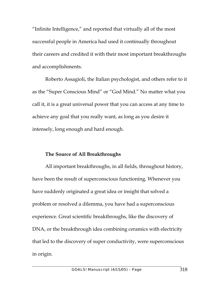"Infinite Intelligence," and reported that virtually all of the most successful people in America had used it continually throughout their careers and credited it with their most important breakthroughs and accomplishments.

Roberto Assagioli, the Italian psychologist, and others refer to it as the "Super Conscious Mind" or "God Mind." No matter what you call it, it is a great universal power that you can access at any time to achieve any goal that you really want, as long as you desire it intensely, long enough and hard enough.

#### **The Source of All Breakthroughs**

All important breakthroughs, in all fields, throughout history, have been the result of superconscious functioning. Whenever you have suddenly originated a great idea or insight that solved a problem or resolved a dilemma, you have had a superconscious experience. Great scientific breakthroughs, like the discovery of DNA, or the breakthrough idea combining ceramics with electricity that led to the discovery of super conductivity, were superconscious in origin.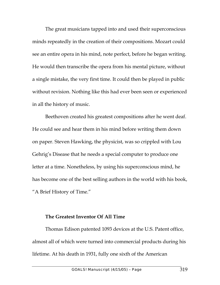The great musicians tapped into and used their superconscious minds repeatedly in the creation of their compositions. Mozart could see an entire opera in his mind, note perfect, before he began writing. He would then transcribe the opera from his mental picture, without a single mistake, the very first time. It could then be played in public without revision. Nothing like this had ever been seen or experienced in all the history of music.

Beethoven created his greatest compositions after he went deaf. He could see and hear them in his mind before writing them down on paper. Steven Hawking, the physicist, was so crippled with Lou Gehrig's Disease that he needs a special computer to produce one letter at a time. Nonetheless, by using his superconscious mind, he has become one of the best selling authors in the world with his book, "A Brief History of Time."

## **The Greatest Inventor Of All Time**

Thomas Edison patented 1093 devices at the U.S. Patent office, almost all of which were turned into commercial products during his lifetime. At his death in 1931, fully one sixth of the American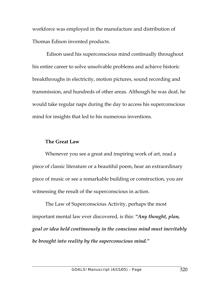workforce was employed in the manufacture and distribution of Thomas Edison invented products.

 Edison used his superconscious mind continually throughout his entire career to solve unsolvable problems and achieve historic breakthroughs in electricity, motion pictures, sound recording and transmission, and hundreds of other areas. Although he was deaf, he would take regular naps during the day to access his superconscious mind for insights that led to his numerous inventions.

#### **The Great Law**

Whenever you see a great and inspiring work of art, read a piece of classic literature or a beautiful poem, hear an extraordinary piece of music or see a remarkable building or construction, you are witnessing the result of the superconscious in action.

The Law of Superconscious Activity, perhaps the most important mental law ever discovered, is this: *"Any thought, plan, goal or idea held continuously in the conscious mind must inevitably be brought into reality by the superconscious mind."*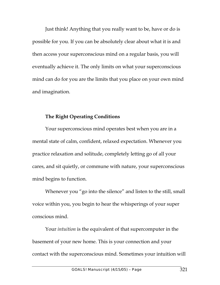Just think! Anything that you really want to be, have or do is possible for you. If you can be absolutely clear about what it is and then access your superconscious mind on a regular basis, you will eventually achieve it. The only limits on what your superconscious mind can do for you are the limits that you place on your own mind and imagination.

# **The Right Operating Conditions**

Your superconscious mind operates best when you are in a mental state of calm, confident, relaxed expectation. Whenever you practice relaxation and solitude, completely letting go of all your cares, and sit quietly, or commune with nature, your superconscious mind begins to function.

Whenever you "go into the silence" and listen to the still, small voice within you, you begin to hear the whisperings of your super conscious mind.

Your *intuition* is the equivalent of that supercomputer in the basement of your new home. This is your connection and your contact with the superconscious mind. Sometimes your intuition will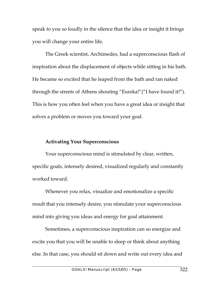speak to you so loudly in the silence that the idea or insight it brings you will change your entire life.

The Greek scientist, Archimedes, had a superconscious flash of inspiration about the displacement of objects while sitting in his bath. He became so excited that he leaped from the bath and ran naked through the streets of Athens shouting "Eureka!"("I have found it!"). This is how you often feel when you have a great idea or insight that solves a problem or moves you toward your goal.

### **Activating Your Superconscious**

Your superconscious mind is stimulated by clear, written, specific goals, intensely desired, visualized regularly and constantly worked toward.

Whenever you relax, visualize and emotionalize a specific result that you intensely desire, you stimulate your superconscious mind into giving you ideas and energy for goal attainment.

Sometimes, a superconscious inspiration can so energize and excite you that you will be unable to sleep or think about anything else. In that case, you should sit down and write out every idea and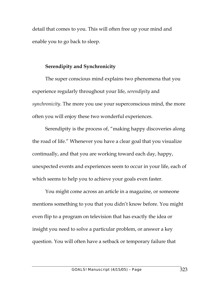detail that comes to you. This will often free up your mind and enable you to go back to sleep.

#### **Serendipity and Synchronicity**

The super conscious mind explains two phenomena that you experience regularly throughout your life, *serendipity* and *synchronicity*. The more you use your superconscious mind, the more often you will enjoy these two wonderful experiences.

Serendipity is the process of, "making happy discoveries along the road of life." Whenever you have a clear goal that you visualize continually, and that you are working toward each day, happy, unexpected events and experiences seem to occur in your life, each of which seems to help you to achieve your goals even faster.

You might come across an article in a magazine, or someone mentions something to you that you didn't know before. You might even flip to a program on television that has exactly the idea or insight you need to solve a particular problem, or answer a key question. You will often have a setback or temporary failure that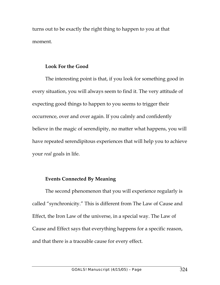turns out to be exactly the right thing to happen to you at that moment.

### **Look For the Good**

The interesting point is that, if you look for something good in every situation, you will always seem to find it. The very attitude of expecting good things to happen to you seems to trigger their occurrence, over and over again. If you calmly and confidently believe in the magic of serendipity, no matter what happens, you will have repeated serendipitous experiences that will help you to achieve your *real* goals in life.

## **Events Connected By Meaning**

The second phenomenon that you will experience regularly is called "synchronicity." This is different from The Law of Cause and Effect, the Iron Law of the universe, in a special way. The Law of Cause and Effect says that everything happens for a specific reason, and that there is a traceable cause for every effect.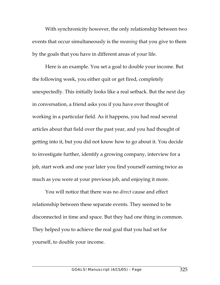With synchronicity however, the only relationship between two events that occur simultaneously is the *meaning* that you give to them by the goals that you have in different areas of your life.

Here is an example. You set a goal to double your income. But the following week, you either quit or get fired, completely unexpectedly. This initially looks like a real setback. But the next day in conversation, a friend asks you if you have ever thought of working in a particular field. As it happens, you had read several articles about that field over the past year, and you had thought of getting into it, but you did not know how to go about it. You decide to investigate further, identify a growing company, interview for a job, start work and one year later you find yourself earning twice as much as you were at your previous job, and enjoying it more.

You will notice that there was no *direct* cause and effect relationship between these separate events. They seemed to be disconnected in time and space. But they had one thing in common. They helped you to achieve the real goal that you had set for yourself, to double your income.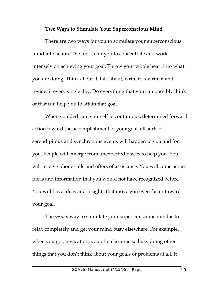## **Two Ways to Stimulate Your Superconscious Mind**

There are two ways for you to stimulate your superconscious mind into action. The first is for you to concentrate and work intensely on achieving your goal. Throw your whole heart into what you are doing. Think about it, talk about, write it, rewrite it and review it every single day. Do everything that you can possibly think of that can help you to attain that goal.

When you dedicate yourself to continuous, determined forward action toward the accomplishment of your goal, all sorts of serendipitous and synchronous events will happen to you and for you. People will emerge from unexpected places to help you. You will receive phone calls and offers of assistance. You will come across ideas and information that you would not have recognized before. You will have ideas and insights that move you even faster toward your goal.

The *second* way to stimulate your super conscious mind is to relax completely and get your mind busy elsewhere. For example, when you go on vacation, you often become so busy doing other things that you don't think about your goals or problems at all. It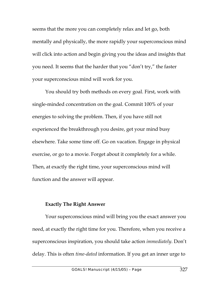seems that the more you can completely relax and let go, both mentally and physically, the more rapidly your superconscious mind will click into action and begin giving you the ideas and insights that you need. It seems that the harder that you "don't try," the faster your superconscious mind will work for you.

You should try both methods on every goal. First, work with single-minded concentration on the goal. Commit 100% of your energies to solving the problem. Then, if you have still not experienced the breakthrough you desire, get your mind busy elsewhere. Take some time off. Go on vacation. Engage in physical exercise, or go to a movie. Forget about it completely for a while. Then, at exactly the right time, your superconscious mind will function and the answer will appear.

## **Exactly The Right Answer**

Your superconscious mind will bring you the exact answer you need, at exactly the right time for you. Therefore, when you receive a superconscious inspiration, you should take action *immediately*. Don't delay. This is often *time-dated* information. If you get an inner urge to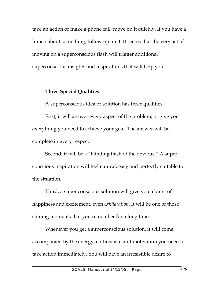take an action or make a phone call, move on it quickly. If you have a hunch about something, follow up on it. It seems that the very act of moving on a superconscious flash will trigger additional superconscious insights and inspirations that will help you.

# **Three Special Qualities**

A superconscious idea or solution has three qualities:

First, it will answer every aspect of the problem, or give you everything you need to achieve your goal. The answer will be complete in every respect.

Second, it will be a "blinding flash of the obvious." A super conscious inspiration will feel natural, easy and perfectly suitable to the situation.

Third, a super conscious solution will give you a burst of happiness and excitement, even *exhilaration*. It will be one of those shining moments that you remember for a long time.

Whenever you get a superconscious solution, it will come accompanied by the energy, enthusiasm and motivation you need to take action immediately. You will have an irresistible desire to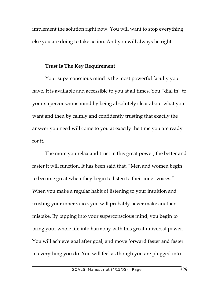implement the solution right now. You will want to stop everything else you are doing to take action. And you will always be right.

## **Trust Is The Key Requirement**

Your superconscious mind is the most powerful faculty you have. It is available and accessible to you at all times. You "dial in" to your superconscious mind by being absolutely clear about what you want and then by calmly and confidently trusting that exactly the answer you need will come to you at exactly the time you are ready for it.

The more you relax and trust in this great power, the better and faster it will function. It has been said that, "Men and women begin to become great when they begin to listen to their inner voices." When you make a regular habit of listening to your intuition and trusting your inner voice, you will probably never make another mistake. By tapping into your superconscious mind, you begin to bring your whole life into harmony with this great universal power. You will achieve goal after goal, and move forward faster and faster in everything you do. You will feel as though you are plugged into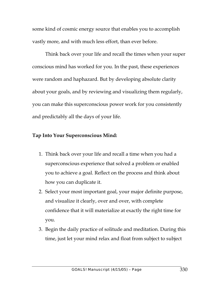some kind of cosmic energy source that enables you to accomplish vastly more, and with much less effort, than ever before.

Think back over your life and recall the times when your super conscious mind has worked for you. In the past, these experiences were random and haphazard. But by developing absolute clarity about your goals, and by reviewing and visualizing them regularly, you can make this superconscious power work for you consistently and predictably all the days of your life.

## **Tap Into Your Superconscious Mind:**

- 1. Think back over your life and recall a time when you had a superconscious experience that solved a problem or enabled you to achieve a goal. Reflect on the process and think about how you can duplicate it.
- 2. Select your most important goal, your major definite purpose, and visualize it clearly, over and over, with complete confidence that it will materialize at exactly the right time for you.
- 3. Begin the daily practice of solitude and meditation. During this time, just let your mind relax and float from subject to subject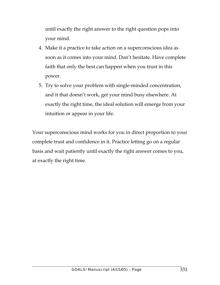until exactly the right answer to the right question pops into your mind.

- 4. Make it a practice to take action on a superconscious idea as soon as it comes into your mind. Don't hesitate. Have complete faith that only the best can happen when you trust in this power.
- 5. Try to solve your problem with single-minded concentration, and it that doesn't work, get your mind busy elsewhere. At exactly the right time, the ideal solution will emerge from your intuition or appear in your life.

Your superconscious mind works for you in direct proportion to your complete trust and confidence in it. Practice letting go on a regular basis and wait patiently until exactly the right answer comes to you, at exactly the right time.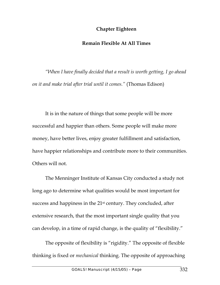# **Chapter Eighteen**

# **Remain Flexible At All Times**

*"When I have finally decided that a result is worth getting, I go ahead on it and make trial after trial until it comes."* (Thomas Edison)

It is in the nature of things that some people will be more successful and happier than others. Some people will make more money, have better lives, enjoy greater fulfillment and satisfaction, have happier relationships and contribute more to their communities. Others will not.

The Menninger Institute of Kansas City conducted a study not long ago to determine what qualities would be most important for success and happiness in the 21<sup>st</sup> century. They concluded, after extensive research, that the most important single quality that you can develop, in a time of rapid change, is the quality of "flexibility."

The opposite of flexibility is "rigidity." The opposite of flexible thinking is fixed or *mechanical* thinking. The opposite of approaching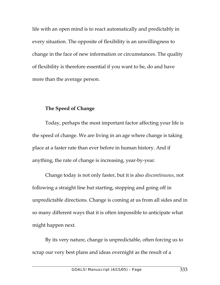life with an open mind is to react automatically and predictably in every situation. The opposite of flexibility is an unwillingness to change in the face of new information or circumstances. The quality of flexibility is therefore essential if you want to be, do and have more than the average person.

# **The Speed of Change**

Today, perhaps the most important factor affecting your life is the speed of change. We are living in an age where change is taking place at a faster rate than ever before in human history. And if anything, the rate of change is increasing, year-by-year.

Change today is not only faster, but it is also *discontinuous*, not following a straight line but starting, stopping and going off in unpredictable directions. Change is coming at us from all sides and in so many different ways that it is often impossible to anticipate what might happen next.

By its very nature, change is unpredictable, often forcing us to scrap our very best plans and ideas overnight as the result of a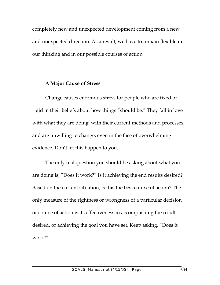completely new and unexpected development coming from a new and unexpected direction. As a result, we have to remain flexible in our thinking and in our possible courses of action.

## **A Major Cause of Stress**

Change causes enormous stress for people who are fixed or rigid in their beliefs about how things "should be." They fall in love with what they are doing, with their current methods and processes, and are unwilling to change, even in the face of overwhelming evidence. Don't let this happen to you.

The only real question you should be asking about what you are doing is, "Does it work?" Is it achieving the end results desired? Based on the current situation, is this the best course of action? The only measure of the rightness or wrongness of a particular decision or course of action is its effectiveness in accomplishing the result desired, or achieving the goal you have set. Keep asking, "Does it work?"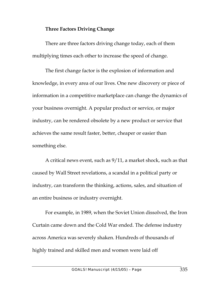# **Three Factors Driving Change**

There are three factors driving change today, each of them multiplying times each other to increase the speed of change.

The first change factor is the explosion of information and knowledge, in every area of our lives. One new discovery or piece of information in a competitive marketplace can change the dynamics of your business overnight. A popular product or service, or major industry, can be rendered obsolete by a new product or service that achieves the same result faster, better, cheaper or easier than something else.

A critical news event, such as 9/11, a market shock, such as that caused by Wall Street revelations, a scandal in a political party or industry, can transform the thinking, actions, sales, and situation of an entire business or industry overnight.

For example, in 1989, when the Soviet Union dissolved, the Iron Curtain came down and the Cold War ended. The defense industry across America was severely shaken. Hundreds of thousands of highly trained and skilled men and women were laid off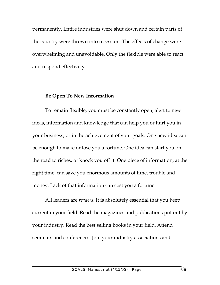permanently. Entire industries were shut down and certain parts of the country were thrown into recession. The effects of change were overwhelming and unavoidable. Only the flexible were able to react and respond effectively.

#### **Be Open To New Information**

To remain flexible, you must be constantly open, alert to new ideas, information and knowledge that can help you or hurt you in your business, or in the achievement of your goals. One new idea can be enough to make or lose you a fortune. One idea can start you on the road to riches, or knock you off it. One piece of information, at the right time, can save you enormous amounts of time, trouble and money. Lack of that information can cost you a fortune.

All leaders are *readers*. It is absolutely essential that you keep current in your field. Read the magazines and publications put out by your industry. Read the best selling books in your field. Attend seminars and conferences. Join your industry associations and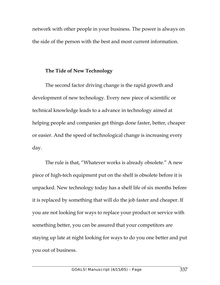network with other people in your business. The power is always on the side of the person with the best and most current information.

## **The Tide of New Technology**

The second factor driving change is the rapid growth and development of new technology. Every new piece of scientific or technical knowledge leads to a advance in technology aimed at helping people and companies get things done faster, better, cheaper or easier. And the speed of technological change is increasing every day.

The rule is that, "Whatever works is already obsolete." A new piece of high-tech equipment put on the shelf is obsolete before it is unpacked. New technology today has a shelf life of six months before it is replaced by something that will do the job faster and cheaper. If you are not looking for ways to replace your product or service with something better, you can be assured that your competitors are staying up late at night looking for ways to do you one better and put you out of business.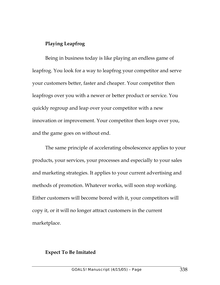# **Playing Leapfrog**

Being in business today is like playing an endless game of leapfrog. You look for a way to leapfrog your competitor and serve your customers better, faster and cheaper. Your competitor then leapfrogs over you with a newer or better product or service. You quickly regroup and leap over your competitor with a new innovation or improvement. Your competitor then leaps over you, and the game goes on without end.

The same principle of accelerating obsolescence applies to your products, your services, your processes and especially to your sales and marketing strategies. It applies to your current advertising and methods of promotion. Whatever works, will soon stop working. Either customers will become bored with it, your competitors will copy it, or it will no longer attract customers in the current marketplace.

## **Expect To Be Imitated**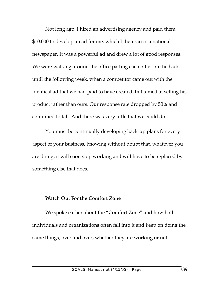Not long ago, I hired an advertising agency and paid them \$10,000 to develop an ad for me, which I then ran in a national newspaper. It was a powerful ad and drew a lot of good responses. We were walking around the office patting each other on the back until the following week, when a competitor came out with the identical ad that we had paid to have created, but aimed at selling his product rather than ours. Our response rate dropped by 50% and continued to fall. And there was very little that we could do.

You must be continually developing back-up plans for every aspect of your business, knowing without doubt that, whatever you are doing, it will soon stop working and will have to be replaced by something else that does.

#### **Watch Out For the Comfort Zone**

We spoke earlier about the "Comfort Zone" and how both individuals and organizations often fall into it and keep on doing the same things, over and over, whether they are working or not.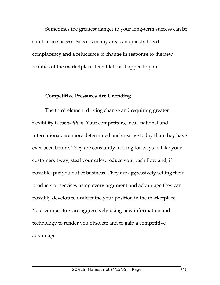Sometimes the greatest danger to your long-term success can be short-term success. Success in any area can quickly breed complacency and a reluctance to change in response to the new realities of the marketplace. Don't let this happen to you.

## **Competitive Pressures Are Unending**

The third element driving change and requiring greater flexibility is *competition*. Your competitors, local, national and international, are more determined and creative today than they have ever been before. They are constantly looking for ways to take your customers away, steal your sales, reduce your cash flow and, if possible, put you out of business. They are aggressively selling their products or services using every argument and advantage they can possibly develop to undermine your position in the marketplace. Your competitors are aggressively using new information and technology to render you obsolete and to gain a competitive advantage.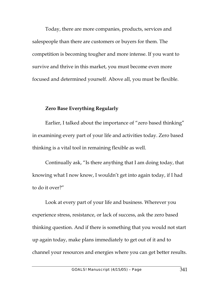Today, there are more companies, products, services and salespeople than there are customers or buyers for them. The competition is becoming tougher and more intense. If you want to survive and thrive in this market, you must become even more focused and determined yourself. Above all, you must be flexible.

## **Zero Base Everything Regularly**

Earlier, I talked about the importance of "zero based thinking" in examining every part of your life and activities today. Zero based thinking is a vital tool in remaining flexible as well.

Continually ask, "Is there anything that I am doing today, that knowing what I now know, I wouldn't get into again today, if I had to do it over?"

Look at every part of your life and business. Wherever you experience stress, resistance, or lack of success, ask the zero based thinking question. And if there is something that you would not start up again today, make plans immediately to get out of it and to channel your resources and energies where you can get better results.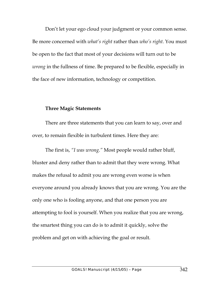Don't let your ego cloud your judgment or your common sense. Be more concerned with *what's right* rather than *who's right*. You must be open to the fact that most of your decisions will turn out to be *wrong* in the fullness of time. Be prepared to be flexible, especially in the face of new information, technology or competition.

#### **Three Magic Statements**

There are three statements that you can learn to say, over and over, to remain flexible in turbulent times. Here they are:

The first is, *"I was wrong."* Most people would rather bluff, bluster and deny rather than to admit that they were wrong. What makes the refusal to admit you are wrong even worse is when everyone around you already knows that you are wrong. You are the only one who is fooling anyone, and that one person you are attempting to fool is yourself. When you realize that you are wrong, the smartest thing you can do is to admit it quickly, solve the problem and get on with achieving the goal or result.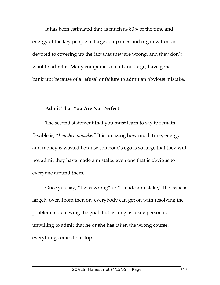It has been estimated that as much as 80% of the time and energy of the key people in large companies and organizations is devoted to covering up the fact that they are wrong, and they don't want to admit it. Many companies, small and large, have gone bankrupt because of a refusal or failure to admit an obvious mistake.

#### **Admit That You Are Not Perfect**

The second statement that you must learn to say to remain flexible is, *"I made a mistake."* It is amazing how much time, energy and money is wasted because someone's ego is so large that they will not admit they have made a mistake, even one that is obvious to everyone around them.

Once you say, "I was wrong" or "I made a mistake," the issue is largely over. From then on, everybody can get on with resolving the problem or achieving the goal. But as long as a key person is unwilling to admit that he or she has taken the wrong course, everything comes to a stop.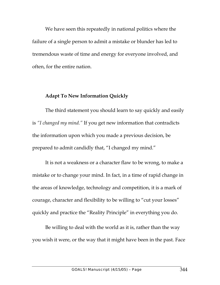We have seen this repeatedly in national politics where the failure of a single person to admit a mistake or blunder has led to tremendous waste of time and energy for everyone involved, and often, for the entire nation.

## **Adapt To New Information Quickly**

The third statement you should learn to say quickly and easily is *"I changed my mind."* If you get new information that contradicts the information upon which you made a previous decision, be prepared to admit candidly that, "I changed my mind."

It is not a weakness or a character flaw to be wrong, to make a mistake or to change your mind. In fact, in a time of rapid change in the areas of knowledge, technology and competition, it is a mark of courage, character and flexibility to be willing to "cut your losses" quickly and practice the "Reality Principle" in everything you do.

Be willing to deal with the world as it is, rather than the way you wish it were, or the way that it might have been in the past. Face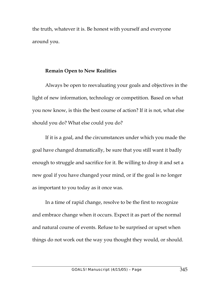the truth, whatever it is. Be honest with yourself and everyone around you.

### **Remain Open to New Realities**

Always be open to reevaluating your goals and objectives in the light of new information, technology or competition. Based on what you now know, is this the best course of action? If it is not, what else should you do? What else could you do?

If it is a goal, and the circumstances under which you made the goal have changed dramatically, be sure that you still want it badly enough to struggle and sacrifice for it. Be willing to drop it and set a new goal if you have changed your mind, or if the goal is no longer as important to you today as it once was.

In a time of rapid change, resolve to be the first to recognize and embrace change when it occurs. Expect it as part of the normal and natural course of events. Refuse to be surprised or upset when things do not work out the way you thought they would, or should.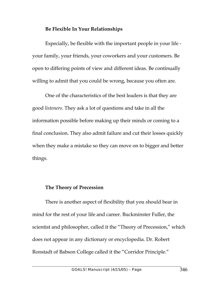# **Be Flexible In Your Relationships**

Especially, be flexible with the important people in your life your family, your friends, your coworkers and your customers. Be open to differing points of view and different ideas. Be continually willing to admit that you could be wrong, because you often are.

One of the characteristics of the best leaders is that they are good *listeners*. They ask a lot of questions and take in all the information possible before making up their minds or coming to a final conclusion. They also admit failure and cut their losses quickly when they make a mistake so they can move on to bigger and better things.

## **The Theory of Precession**

There is another aspect of flexibility that you should bear in mind for the rest of your life and career. Buckminster Fuller, the scientist and philosopher, called it the "Theory of Precession," which does not appear in any dictionary or encyclopedia. Dr. Robert Ronstadt of Babson College called it the "Corridor Principle."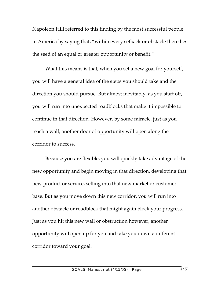Napoleon Hill referred to this finding by the most successful people in America by saying that, "within every setback or obstacle there lies the seed of an equal or greater opportunity or benefit."

What this means is that, when you set a new goal for yourself, you will have a general idea of the steps you should take and the direction you should pursue. But almost inevitably, as you start off, you will run into unexpected roadblocks that make it impossible to continue in that direction. However, by some miracle, just as you reach a wall, another door of opportunity will open along the corridor to success.

Because you are flexible, you will quickly take advantage of the new opportunity and begin moving in that direction, developing that new product or service, selling into that new market or customer base. But as you move down this new corridor, you will run into another obstacle or roadblock that might again block your progress. Just as you hit this new wall or obstruction however, another opportunity will open up for you and take you down a different corridor toward your goal.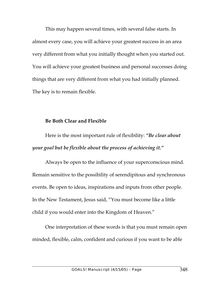This may happen several times, with several false starts. In almost every case, you will achieve your greatest success in an area very different from what you initially thought when you started out. You will achieve your greatest business and personal successes doing things that are very different from what you had initially planned. The key is to remain flexible.

## **Be Both Clear and Flexible**

Here is the most important rule of flexibility: *"Be clear about your goal but be flexible about the process of achieving it."*

Always be open to the influence of your superconscious mind. Remain sensitive to the possibility of serendipitous and synchronous events. Be open to ideas, inspirations and inputs from other people. In the New Testament, Jesus said, "You must become like a little child if you would enter into the Kingdom of Heaven."

One interpretation of these words is that you must remain open minded, flexible, calm, confident and curious if you want to be able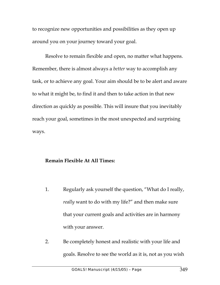to recognize new opportunities and possibilities as they open up around you on your journey toward your goal.

Resolve to remain flexible and open, no matter what happens. Remember, there is almost always a *better* way to accomplish any task, or to achieve any goal. Your aim should be to be alert and aware to what it might be, to find it and then to take action in that new direction as quickly as possible. This will insure that you inevitably reach your goal, sometimes in the most unexpected and surprising ways.

## **Remain Flexible At All Times:**

- 1. Regularly ask yourself the question, "What do I really, *really* want to do with my life?" and then make sure that your current goals and activities are in harmony with your answer.
- 2. Be completely honest and realistic with your life and goals. Resolve to see the world as it is, not as you wish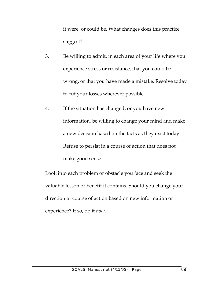it were, or could be. What changes does this practice suggest?

- 3. Be willing to admit, in each area of your life where you experience stress or resistance, that you could be wrong, or that you have made a mistake. Resolve today to cut your losses wherever possible.
- 4. If the situation has changed, or you have new information, be willing to change your mind and make a new decision based on the facts as they exist today. Refuse to persist in a course of action that does not make good sense.

Look into each problem or obstacle you face and seek the valuable lesson or benefit it contains. Should you change your direction or course of action based on new information or experience? If so, do it *now*.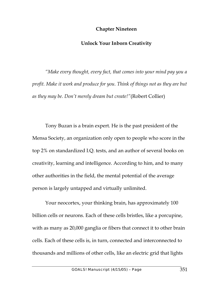# **Chapter Nineteen**

# **Unlock Your Inborn Creativity**

*"Make every thought, every fact, that comes into your mind pay you a profit. Make it work and produce for you. Think of things not as they are but as they may be. Don't merely dream but create!"*(Robert Collier)

Tony Buzan is a brain expert. He is the past president of the Mensa Society, an organization only open to people who score in the top 2% on standardized I.Q. tests, and an author of several books on creativity, learning and intelligence. According to him, and to many other authorities in the field, the mental potential of the average person is largely untapped and virtually unlimited.

Your neocortex, your thinking brain, has approximately 100 billion cells or neurons. Each of these cells bristles, like a porcupine, with as many as 20,000 ganglia or fibers that connect it to other brain cells. Each of these cells is, in turn, connected and interconnected to thousands and millions of other cells, like an electric grid that lights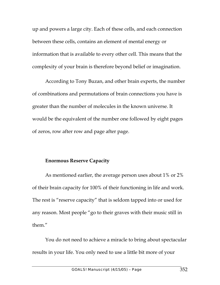up and powers a large city. Each of these cells, and each connection between these cells, contains an element of mental energy or information that is available to every other cell. This means that the complexity of your brain is therefore beyond belief or imagination.

According to Tony Buzan, and other brain experts, the number of combinations and permutations of brain connections you have is greater than the number of molecules in the known universe. It would be the equivalent of the number one followed by eight pages of zeros, row after row and page after page.

#### **Enormous Reserve Capacity**

As mentioned earlier, the average person uses about 1% or 2% of their brain capacity for 100% of their functioning in life and work. The rest is "reserve capacity" that is seldom tapped into or used for any reason. Most people "go to their graves with their music still in them."

You do not need to achieve a miracle to bring about spectacular results in your life. You only need to use a little bit more of your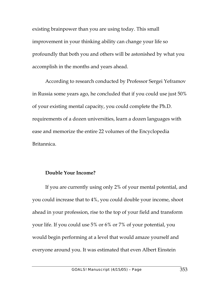existing brainpower than you are using today. This small improvement in your thinking ability can change your life so profoundly that both you and others will be astonished by what you accomplish in the months and years ahead.

According to research conducted by Professor Sergei Yeframov in Russia some years ago, he concluded that if you could use just 50% of your existing mental capacity, you could complete the Ph.D. requirements of a dozen universities, learn a dozen languages with ease and memorize the entire 22 volumes of the Encyclopedia Britannica.

#### **Double Your Income?**

If you are currently using only 2% of your mental potential, and you could increase that to 4%, you could double your income, shoot ahead in your profession, rise to the top of your field and transform your life. If you could use 5% or 6% or 7% of your potential, you would begin performing at a level that would amaze yourself and everyone around you. It was estimated that even Albert Einstein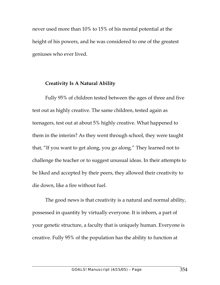never used more than 10% to 15% of his mental potential at the height of his powers, and he was considered to one of the greatest geniuses who ever lived.

#### **Creativity Is A Natural Ability**

Fully 95% of children tested between the ages of three and five test out as highly creative. The same children, tested again as teenagers, test out at about 5% highly creative. What happened to them in the interim? As they went through school, they were taught that, "If you want to get along, you go along." They learned not to challenge the teacher or to suggest unusual ideas. In their attempts to be liked and accepted by their peers, they allowed their creativity to die down, like a fire without fuel.

The good news is that creativity is a natural and normal ability, possessed in quantity by virtually everyone. It is inborn, a part of your genetic structure, a faculty that is uniquely human. Everyone is creative. Fully 95% of the population has the ability to function at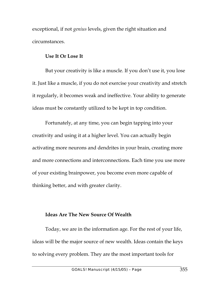exceptional, if not *genius* levels, given the right situation and circumstances.

## **Use It Or Lose It**

But your creativity is like a muscle. If you don't use it, you lose it. Just like a muscle, if you do not exercise your creativity and stretch it regularly, it becomes weak and ineffective. Your ability to generate ideas must be constantly utilized to be kept in top condition.

Fortunately, at any time, you can begin tapping into your creativity and using it at a higher level. You can actually begin activating more neurons and dendrites in your brain, creating more and more connections and interconnections. Each time you use more of your existing brainpower, you become even more capable of thinking better, and with greater clarity.

# **Ideas Are The New Source Of Wealth**

Today, we are in the information age. For the rest of your life, ideas will be the major source of new wealth. Ideas contain the keys to solving every problem. They are the most important tools for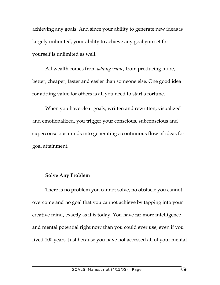achieving any goals. And since your ability to generate new ideas is largely unlimited, your ability to achieve any goal you set for yourself is unlimited as well.

All wealth comes from *adding value*, from producing more, better, cheaper, faster and easier than someone else. One good idea for adding value for others is all you need to start a fortune.

When you have clear goals, written and rewritten, visualized and emotionalized, you trigger your conscious, subconscious and superconscious minds into generating a continuous flow of ideas for goal attainment.

#### **Solve Any Problem**

There is no problem you cannot solve, no obstacle you cannot overcome and no goal that you cannot achieve by tapping into your creative mind, exactly as it is today. You have far more intelligence and mental potential right now than you could ever use, even if you lived 100 years. Just because you have not accessed all of your mental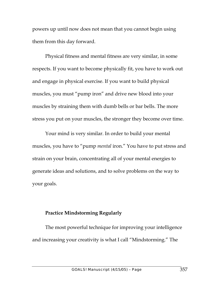powers up until now does not mean that you cannot begin using them from this day forward.

Physical fitness and mental fitness are very similar, in some respects. If you want to become physically fit, you have to work out and engage in physical exercise. If you want to build physical muscles, you must "pump iron" and drive new blood into your muscles by straining them with dumb bells or bar bells. The more stress you put on your muscles, the stronger they become over time.

Your mind is very similar. In order to build your mental muscles, you have to "pump *mental* iron." You have to put stress and strain on your brain, concentrating all of your mental energies to generate ideas and solutions, and to solve problems on the way to your goals.

## **Practice Mindstorming Regularly**

The most powerful technique for improving your intelligence and increasing your creativity is what I call "Mindstorming." The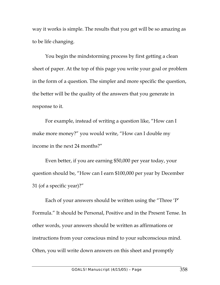way it works is simple. The results that you get will be so amazing as to be life changing.

You begin the mindstorming process by first getting a clean sheet of paper. At the top of this page you write your goal or problem in the form of a question. The simpler and more specific the question, the better will be the quality of the answers that you generate in response to it.

For example, instead of writing a question like, "How can I make more money?" you would write, "How can I double my income in the next 24 months?"

Even better, if you are earning \$50,000 per year today, your question should be, "How can I earn \$100,000 per year by December 31 (of a specific year)?"

Each of your answers should be written using the "Three 'P' Formula." It should be Personal, Positive and in the Present Tense. In other words, your answers should be written as affirmations or instructions from your conscious mind to your subconscious mind. Often, you will write down answers on this sheet and promptly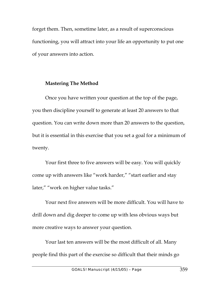forget them. Then, sometime later, as a result of superconscious functioning, you will attract into your life an opportunity to put one of your answers into action.

## **Mastering The Method**

Once you have written your question at the top of the page, you then discipline yourself to generate at least 20 answers to that question. You can write down more than 20 answers to the question, but it is essential in this exercise that you set a goal for a minimum of twenty.

Your first three to five answers will be easy. You will quickly come up with answers like "work harder," "start earlier and stay later," "work on higher value tasks."

Your next five answers will be more difficult. You will have to drill down and dig deeper to come up with less obvious ways but more creative ways to answer your question.

Your last ten answers will be the most difficult of all. Many people find this part of the exercise so difficult that their minds go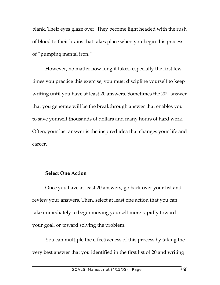blank. Their eyes glaze over. They become light headed with the rush of blood to their brains that takes place when you begin this process of "pumping mental iron."

However, no matter how long it takes, especially the first few times you practice this exercise, you must discipline yourself to keep writing until you have at least 20 answers. Sometimes the 20<sup>th</sup> answer that you generate will be the breakthrough answer that enables you to save yourself thousands of dollars and many hours of hard work. Often, your last answer is the inspired idea that changes your life and career.

#### **Select One Action**

Once you have at least 20 answers, go back over your list and review your answers. Then, select at least one action that you can take immediately to begin moving yourself more rapidly toward your goal, or toward solving the problem.

You can multiple the effectiveness of this process by taking the very best answer that you identified in the first list of 20 and writing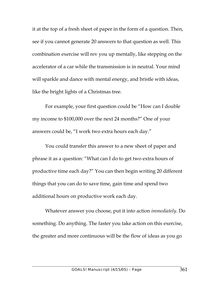it at the top of a fresh sheet of paper in the form of a question. Then, see if you cannot generate 20 answers to that question as well. This combination exercise will rev you up mentally, like stepping on the accelerator of a car while the transmission is in neutral. Your mind will sparkle and dance with mental energy, and bristle with ideas, like the bright lights of a Christmas tree.

For example, your first question could be "How can I double my income to \$100,000 over the next 24 months?" One of your answers could be, "I work two extra hours each day."

You could transfer this answer to a new sheet of paper and phrase it as a question: "What can I do to get two extra hours of productive time each day?" You can then begin writing 20 different things that you can do to save time, gain time and spend two additional hours on productive work each day.

Whatever answer you choose, put it into action *immediately*. Do something. Do anything. The faster you take action on this exercise, the greater and more continuous will be the flow of ideas as you go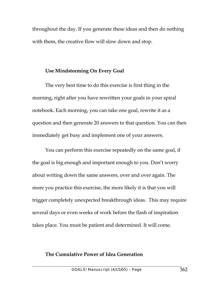throughout the day. If you generate these ideas and then do nothing with them, the creative flow will slow down and stop.

### **Use Mindstorming On Every Goal**

The very best time to do this exercise is first thing in the morning, right after you have rewritten your goals in your spiral notebook. Each morning, you can take one goal, rewrite it as a question and then generate 20 answers to that question. You can then immediately get busy and implement one of your answers.

You can perform this exercise repeatedly on the same goal, if the goal is big enough and important enough to you. Don't worry about writing down the same answers, over and over again. The more you practice this exercise, the more likely it is that you will trigger completely unexpected breakthrough ideas. This may require several days or even weeks of work before the flash of inspiration takes place. You must be patient and determined. It will come.

## **The Cumulative Power of Idea Generation**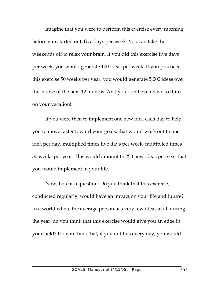Imagine that you were to perform this exercise every morning before you started out, five days per week. You can take the weekends off to relax your brain. If you did this exercise five days per week, you would generate 100 ideas per week. If you practiced this exercise 50 weeks per year, you would generate 5,000 ideas over the course of the next 12 months. And you don't even have to think on your vacation!

If you were then to implement one new idea each day to help you to move faster toward your goals, that would work out to one idea per day, multiplied times five days per week, multiplied times 50 weeks per year. This would amount to 250 new ideas per year that you would implement in your life.

Now, here is a question: Do you think that this exercise, conducted regularly, would have an impact on your life and future? In a world where the average person has very few ideas at all during the year, do you think that this exercise would give you an edge in your field? Do you think that, if you did this every day, you would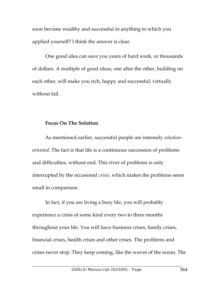soon become wealthy and successful in anything to which you applied yourself? I think the answer is clear.

One good idea can save you years of hard work, or thousands of dollars. A multiple of good ideas, one after the other, building on each other, will make you rich, happy and successful, virtually without fail.

#### **Focus On The Solution**

As mentioned earlier, successful people are intensely *solutionoriented*. The fact is that life is a continuous succession of problems and difficulties, without end. This river of problems is only interrupted by the occasional *crisis*, which makes the problems seem small in comparison.

In fact, if you are living a busy life, you will probably experience a crisis of some kind every two to three months throughout your life. You will have business crises, family crises, financial crises, health crises and other crises. The problems and crises never stop. They keep coming, like the waves of the ocean. The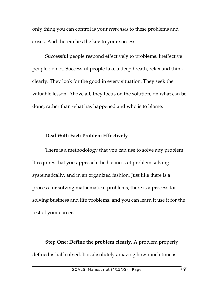only thing you can control is your *responses* to these problems and crises. And therein lies the key to your success.

Successful people respond effectively to problems. Ineffective people do not. Successful people take a deep breath, relax and think clearly. They look for the good in every situation. They seek the valuable lesson. Above all, they focus on the solution, on what can be done, rather than what has happened and who is to blame.

#### **Deal With Each Problem Effectively**

There is a methodology that you can use to solve any problem. It requires that you approach the business of problem solving systematically, and in an organized fashion. Just like there is a process for solving mathematical problems, there is a process for solving business and life problems, and you can learn it use it for the rest of your career.

**Step One: Define the problem clearly**. A problem properly defined is half solved. It is absolutely amazing how much time is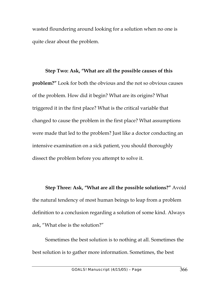wasted floundering around looking for a solution when no one is quite clear about the problem.

## **Step Two: Ask, "What are all the possible causes of this**

**problem?"** Look for both the obvious and the not so obvious causes of the problem. How did it begin? What are its origins? What triggered it in the first place? What is the critical variable that changed to cause the problem in the first place? What assumptions were made that led to the problem? Just like a doctor conducting an intensive examination on a sick patient, you should thoroughly dissect the problem before you attempt to solve it.

**Step Three: Ask, "What are all the possible solutions?"** Avoid the natural tendency of most human beings to leap from a problem definition to a conclusion regarding a solution of some kind. Always ask, "What else is the solution?"

Sometimes the best solution is to nothing at all. Sometimes the best solution is to gather more information. Sometimes, the best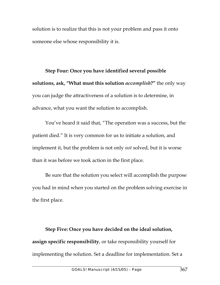solution is to realize that this is not your problem and pass it onto someone else whose responsibility it is.

**Step Four: Once you have identified several possible solutions, ask, "What must this solution** *accomplish***?"** the only way you can judge the attractiveness of a solution is to determine, in advance, what you want the solution to accomplish.

You've heard it said that, "The operation was a success, but the patient died." It is very common for us to initiate a solution, and implement it, but the problem is not only *not* solved, but it is worse than it was before we took action in the first place.

Be sure that the solution you select will accomplish the purpose you had in mind when you started on the problem solving exercise in the first place.

**Step Five: Once you have decided on the ideal solution, assign specific responsibility**, or take responsibility yourself for implementing the solution. Set a deadline for implementation. Set a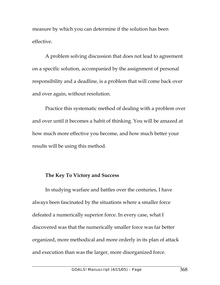measure by which you can determine if the solution has been effective.

A problem solving discussion that does not lead to agreement on a specific solution, accompanied by the assignment of personal responsibility and a deadline, is a problem that will come back over and over again, without resolution.

Practice this systematic method of dealing with a problem over and over until it becomes a habit of thinking. You will be amazed at how much more effective you become, and how much better your results will be using this method.

#### **The Key To Victory and Success**

In studying warfare and battles over the centuries, I have always been fascinated by the situations where a smaller force defeated a numerically superior force. In every case, what I discovered was that the numerically smaller force was far better organized, more methodical and more orderly in its plan of attack and execution than was the larger, more disorganized force.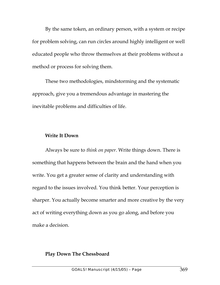By the same token, an ordinary person, with a system or recipe for problem solving, can run circles around highly intelligent or well educated people who throw themselves at their problems without a method or process for solving them.

These two methodologies, mindstorming and the systematic approach, give you a tremendous advantage in mastering the inevitable problems and difficulties of life.

### **Write It Down**

Always be sure to *think on paper*. Write things down. There is something that happens between the brain and the hand when you write. You get a greater sense of clarity and understanding with regard to the issues involved. You think better. Your perception is sharper. You actually become smarter and more creative by the very act of writing everything down as you go along, and before you make a decision.

### **Play Down The Chessboard**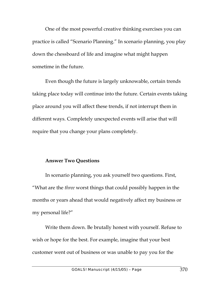One of the most powerful creative thinking exercises you can practice is called "Scenario Planning." In scenario planning, you play down the chessboard of life and imagine what might happen sometime in the future.

Even though the future is largely unknowable, certain trends taking place today will continue into the future. Certain events taking place around you will affect these trends, if not interrupt them in different ways. Completely unexpected events will arise that will require that you change your plans completely.

### **Answer Two Questions**

In scenario planning, you ask yourself two questions. First, "What are the *three* worst things that could possibly happen in the months or years ahead that would negatively affect my business or my personal life?"

Write them down. Be brutally honest with yourself. Refuse to wish or hope for the best. For example, imagine that your best customer went out of business or was unable to pay you for the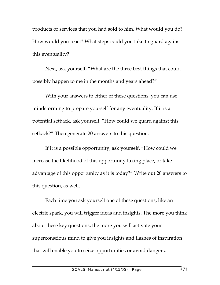products or services that you had sold to him. What would you do? How would you react? What steps could you take to guard against this eventuality?

Next, ask yourself, "What are the three best things that could possibly happen to me in the months and years ahead?"

With your answers to either of these questions, you can use mindstorming to prepare yourself for any eventuality. If it is a potential setback, ask yourself, "How could we guard against this setback?" Then generate 20 answers to this question.

If it is a possible opportunity, ask yourself, "How could we increase the likelihood of this opportunity taking place, or take advantage of this opportunity as it is today?" Write out 20 answers to this question, as well.

Each time you ask yourself one of these questions, like an electric spark, you will trigger ideas and insights. The more you think about these key questions, the more you will activate your superconscious mind to give you insights and flashes of inspiration that will enable you to seize opportunities or avoid dangers.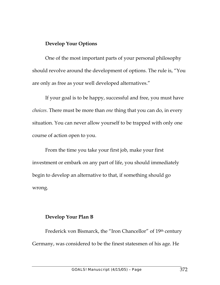## **Develop Your Options**

One of the most important parts of your personal philosophy should revolve around the development of options. The rule is, "You are only as free as your well developed alternatives."

If your goal is to be happy, successful and free, you must have *choices*. There must be more than *one* thing that you can do, in every situation. You can never allow yourself to be trapped with only one course of action open to you.

From the time you take your first job, make your first investment or embark on any part of life, you should immediately begin to develop an alternative to that, if something should go wrong.

## **Develop Your Plan B**

Frederick von Bismarck, the "Iron Chancellor" of 19th century Germany, was considered to be the finest statesmen of his age. He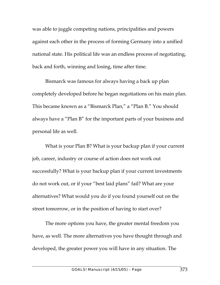was able to juggle competing nations, principalities and powers against each other in the process of forming Germany into a unified national state. His political life was an endless process of negotiating, back and forth, winning and losing, time after time.

Bismarck was famous for always having a back up plan completely developed before he began negotiations on his main plan. This became known as a "Bismarck Plan," a "Plan B." You should always have a "Plan B" for the important parts of your business and personal life as well.

What is your Plan B? What is your backup plan if your current job, career, industry or course of action does not work out successfully? What is your backup plan if your current investments do not work out, or if your "best laid plans" fail? What are your alternatives? What would you do if you found yourself out on the street tomorrow, or in the position of having to start over?

The more options you have, the greater mental freedom you have, as well. The more alternatives you have thought through and developed, the greater power you will have in any situation. The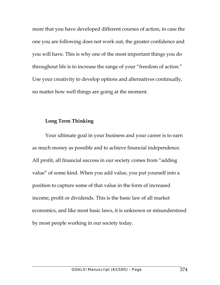more that you have developed different courses of action, in case the one you are following does not work out, the greater confidence and you will have. This is why one of the most important things you do throughout life is to increase the range of your "freedom of action." Use your creativity to develop options and alternatives continually, no matter how well things are going at the moment.

#### **Long Term Thinking**

Your ultimate goal in your business and your career is to earn as much money as possible and to achieve financial independence. All profit, all financial success in our society comes from "adding value" of some kind. When you add value, you put yourself into a position to capture some of that value in the form of increased income, profit or dividends. This is the basic law of all market economics, and like most basic laws, it is unknown or misunderstood by most people working in our society today.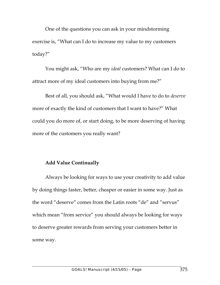One of the questions you can ask in your mindstorming exercise is, "What can I do to increase my value to my customers today?"

You might ask, "Who are my *ideal* customers? What can I do to attract more of my ideal customers into buying from me?"

Best of all, you should ask, "What would I have to do to *deserve* more of exactly the kind of customers that I want to have?" What could you do more of, or start doing, to be more deserving of having more of the customers you really want?

## **Add Value Continually**

Always be looking for ways to use your creativity to add value by doing things faster, better, cheaper or easier in some way. Just as the word "deserve" comes from the Latin roots "de" and "servus" which mean "from service" you should always be looking for ways to deserve greater rewards from serving your customers better in some way.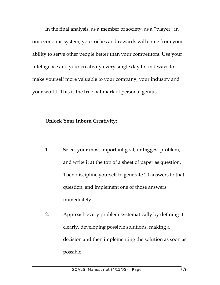In the final analysis, as a member of society, as a "player" in our economic system, your riches and rewards will come from your ability to serve other people better than your competitors. Use your intelligence and your creativity every single day to find ways to make yourself more valuable to your company, your industry and your world. This is the true hallmark of personal genius.

## **Unlock Your Inborn Creativity:**

- 1. Select your most important goal, or biggest problem, and write it at the top of a sheet of paper as question. Then discipline yourself to generate 20 answers to that question, and implement one of those answers immediately.
- 2. Approach every problem systematically by defining it clearly, developing possible solutions, making a decision and then implementing the solution as soon as possible.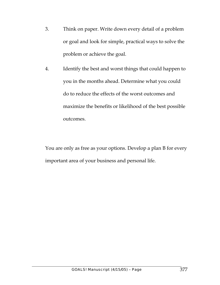- 3. Think on paper. Write down every detail of a problem or goal and look for simple, practical ways to solve the problem or achieve the goal.
- 4. Identify the best and worst things that could happen to you in the months ahead. Determine what you could do to reduce the effects of the worst outcomes and maximize the benefits or likelihood of the best possible outcomes.

You are only as free as your options. Develop a plan B for every important area of your business and personal life.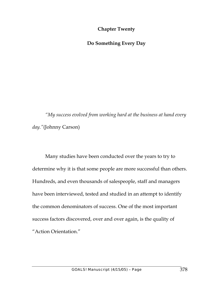**Chapter Twenty** 

**Do Something Every Day** 

*"My success evolved from working hard at the business at hand every day."*(Johnny Carson)

Many studies have been conducted over the years to try to determine why it is that some people are more successful than others. Hundreds, and even thousands of salespeople, staff and managers have been interviewed, tested and studied in an attempt to identify the common denominators of success. One of the most important success factors discovered, over and over again, is the quality of "Action Orientation."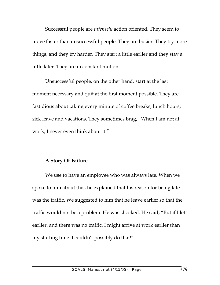Successful people are *intensely* action oriented. They seem to move faster than unsuccessful people. They are busier. They try more things, and they try harder. They start a little earlier and they stay a little later. They are in constant motion.

Unsuccessful people, on the other hand, start at the last moment necessary and quit at the first moment possible. They are fastidious about taking every minute of coffee breaks, lunch hours, sick leave and vacations. They sometimes brag, "When I am not at work, I never even think about it."

#### **A Story Of Failure**

We use to have an employee who was always late. When we spoke to him about this, he explained that his reason for being late was the traffic. We suggested to him that he leave earlier so that the traffic would not be a problem. He was shocked. He said, "But if I left earlier, and there was no traffic, I might arrive at work earlier than my starting time. I couldn't possibly do that!"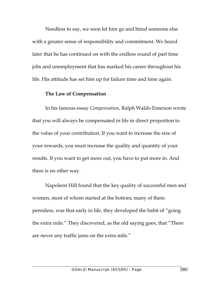Needless to say, we soon let him go and hired someone else with a greater sense of responsibility and commitment. We heard later that he has continued on with the endless round of part time jobs and unemployment that has marked his career throughout his life. His attitude has set him up for failure time and time again.

#### **The Law of Compensation**

In his famous essay *Compensation*, Ralph Waldo Emerson wrote that you will always be compensated in life in direct proportion to the value of your contribution. If you want to increase the size of your rewards, you must increase the quality and quantity of your results. If you want to get more out, you have to put more in. And there is no other way.

Napoleon Hill found that the key quality of successful men and women, most of whom started at the bottom, many of them penniless, was that early in life, they developed the habit of "going the extra mile." They discovered, as the old saying goes, that "There are never any traffic jams on the extra mile."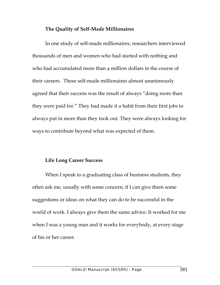### **The Quality of Self-Made Millionaires**

In one study of self-made millionaires, researchers interviewed thousands of men and women who had started with nothing and who had accumulated more than a million dollars in the course of their careers. These self-made millionaires almost unanimously agreed that their success was the result of always "doing more than they were paid for." They had made it a habit from their first jobs to always put in more than they took out. They were always looking for ways to contribute beyond what was expected of them.

#### **Life Long Career Success**

When I speak to a graduating class of business students, they often ask me, usually with some concern, if I can give them some suggestions or ideas on what they can do to be successful in the world of work. I always give them the same advice. It worked for me when I was a young man and it works for everybody, at every stage of his or her career.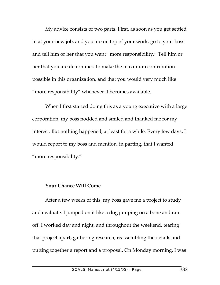My advice consists of two parts. First, as soon as you get settled in at your new job, and you are on top of your work, go to your boss and tell him or her that you want "more responsibility." Tell him or her that you are determined to make the maximum contribution possible in this organization, and that you would very much like "more responsibility" whenever it becomes available.

When I first started doing this as a young executive with a large corporation, my boss nodded and smiled and thanked me for my interest. But nothing happened, at least for a while. Every few days, I would report to my boss and mention, in parting, that I wanted "more responsibility."

#### **Your Chance Will Come**

After a few weeks of this, my boss gave me a project to study and evaluate. I jumped on it like a dog jumping on a bone and ran off. I worked day and night, and throughout the weekend, tearing that project apart, gathering research, reassembling the details and putting together a report and a proposal. On Monday morning, I was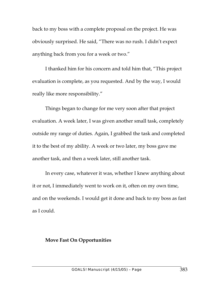back to my boss with a complete proposal on the project. He was obviously surprised. He said, "There was no rush. I didn't expect anything back from you for a week or two."

I thanked him for his concern and told him that, "This project evaluation is complete, as you requested. And by the way, I would really like more responsibility."

Things began to change for me very soon after that project evaluation. A week later, I was given another small task, completely outside my range of duties. Again, I grabbed the task and completed it to the best of my ability. A week or two later, my boss gave me another task, and then a week later, still another task.

In every case, whatever it was, whether I knew anything about it or not, I immediately went to work on it, often on my own time, and on the weekends. I would get it done and back to my boss as fast as I could.

### **Move Fast On Opportunities**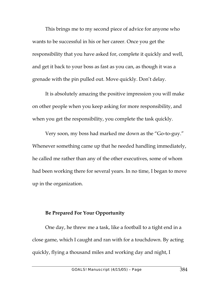This brings me to my second piece of advice for anyone who wants to be successful in his or her career. Once you get the responsibility that you have asked for, complete it quickly and well, and get it back to your boss as fast as you can, as though it was a grenade with the pin pulled out. Move quickly. Don't delay.

It is absolutely amazing the positive impression you will make on other people when you keep asking for more responsibility, and when you get the responsibility, you complete the task quickly.

Very soon, my boss had marked me down as the "Go-to-guy." Whenever something came up that he needed handling immediately, he called me rather than any of the other executives, some of whom had been working there for several years. In no time, I began to move up in the organization.

### **Be Prepared For Your Opportunity**

One day, he threw me a task, like a football to a tight end in a close game, which I caught and ran with for a touchdown. By acting quickly, flying a thousand miles and working day and night, I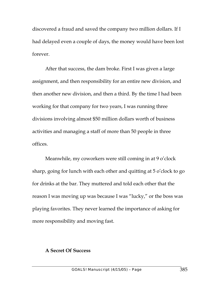discovered a fraud and saved the company two million dollars. If I had delayed even a couple of days, the money would have been lost forever.

After that success, the dam broke. First I was given a large assignment, and then responsibility for an entire new division, and then another new division, and then a third. By the time I had been working for that company for two years, I was running three divisions involving almost \$50 million dollars worth of business activities and managing a staff of more than 50 people in three offices.

Meanwhile, my coworkers were still coming in at 9 o'clock sharp, going for lunch with each other and quitting at 5 o'clock to go for drinks at the bar. They muttered and told each other that the reason I was moving up was because I was "lucky," or the boss was playing favorites. They never learned the importance of asking for more responsibility and moving fast.

#### **A Secret Of Success**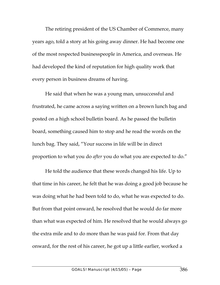The retiring president of the US Chamber of Commerce, many years ago, told a story at his going away dinner. He had become one of the most respected businesspeople in America, and overseas. He had developed the kind of reputation for high quality work that every person in business dreams of having.

He said that when he was a young man, unsuccessful and frustrated, he came across a saying written on a brown lunch bag and posted on a high school bulletin board. As he passed the bulletin board, something caused him to stop and he read the words on the lunch bag. They said, "Your success in life will be in direct proportion to what you do *after* you do what you are expected to do."

He told the audience that these words changed his life. Up to that time in his career, he felt that he was doing a good job because he was doing what he had been told to do, what he was expected to do. But from that point onward, he resolved that he would do far more than what was expected of him. He resolved that he would always go the extra mile and to do more than he was paid for. From that day onward, for the rest of his career, he got up a little earlier, worked a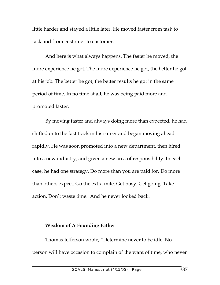little harder and stayed a little later. He moved faster from task to task and from customer to customer.

And here is what always happens. The faster he moved, the more experience he got. The more experience he got, the better he got at his job. The better he got, the better results he got in the same period of time. In no time at all, he was being paid more and promoted faster.

By moving faster and always doing more than expected, he had shifted onto the fast track in his career and began moving ahead rapidly. He was soon promoted into a new department, then hired into a new industry, and given a new area of responsibility. In each case, he had one strategy. Do more than you are paid for. Do more than others expect. Go the extra mile. Get busy. Get going. Take action. Don't waste time. And he never looked back.

#### **Wisdom of A Founding Father**

Thomas Jefferson wrote, "Determine never to be idle. No person will have occasion to complain of the want of time, who never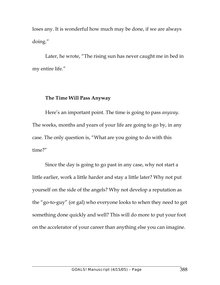loses any. It is wonderful how much may be done, if we are always doing."

Later, he wrote, "The rising sun has never caught me in bed in my entire life."

#### **The Time Will Pass Anyway**

Here's an important point. The time is going to pass *anyway*. The weeks, months and years of your life are going to go by, in any case. The only question is, "What are you going to do with this time?"

Since the day is going to go past in any case, why not start a little earlier, work a little harder and stay a little later? Why not put yourself on the side of the angels? Why not develop a reputation as the "go-to-guy" (or gal) who everyone looks to when they need to get something done quickly and well? This will do more to put your foot on the accelerator of your career than anything else you can imagine.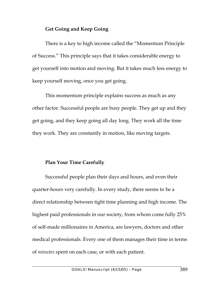## **Get Going and Keep Going**

There is a key to high income called the "Momentum Principle of Success." This principle says that it takes considerable energy to get yourself into motion and moving. But it takes much less energy to keep yourself moving, once you get going.

This momentum principle explains success as much as any other factor. Successful people are busy people. They get up and they get going, and they keep going all day long. They work all the time they work. They are constantly in motion, like moving targets.

## **Plan Your Time Carefully**

Successful people plan their days and hours, and even their quarter-hours very carefully. In every study, there seems to be a direct relationship between tight time planning and high income. The highest paid professionals in our society, from whom come fully 25% of self-made millionaires in America, are lawyers, doctors and other medical professionals. Every one of them manages their time in terms of *minutes* spent on each case, or with each patient.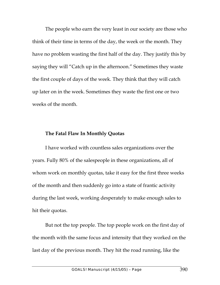The people who earn the very least in our society are those who think of their time in terms of the day, the week or the month. They have no problem wasting the first half of the day. They justify this by saying they will "Catch up in the afternoon." Sometimes they waste the first couple of days of the week. They think that they will catch up later on in the week. Sometimes they waste the first one or two weeks of the month.

### **The Fatal Flaw In Monthly Quotas**

I have worked with countless sales organizations over the years. Fully 80% of the salespeople in these organizations, all of whom work on monthly quotas, take it easy for the first three weeks of the month and then suddenly go into a state of frantic activity during the last week, working desperately to make enough sales to hit their quotas.

But not the top people. The top people work on the first day of the month with the same focus and intensity that they worked on the last day of the previous month. They hit the road running, like the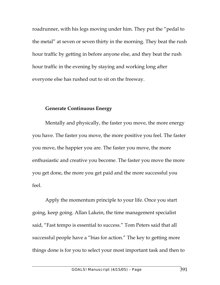roadrunner, with his legs moving under him. They put the "pedal to the metal" at seven or seven thirty in the morning. They beat the rush hour traffic by getting in before anyone else, and they beat the rush hour traffic in the evening by staying and working long after everyone else has rushed out to sit on the freeway.

#### **Generate Continuous Energy**

Mentally and physically, the faster you move, the more energy you have. The faster you move, the more positive you feel. The faster you move, the happier you are. The faster you move, the more enthusiastic and creative you become. The faster you move the more you get done, the more you get paid and the more successful you feel.

Apply the momentum principle to your life. Once you start going, keep going. Allan Lakein, the time management specialist said, "Fast tempo is essential to success." Tom Peters said that all successful people have a "bias for action." The key to getting more things done is for you to select your most important task and then to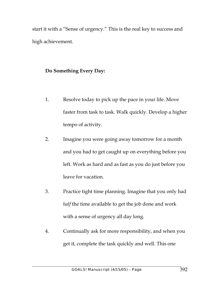start it with a "Sense of urgency." This is the real key to success and high achievement.

# **Do Something Every Day:**

- 1. Resolve today to pick up the pace in your life. Move faster from task to task. Walk quickly. Develop a higher tempo of activity.
- 2. Imagine you were going away tomorrow for a month and you had to get caught up on everything before you left. Work as hard and as fast as you do just before you leave for vacation.
- 3. Practice tight time planning. Imagine that you only had *half* the time available to get the job done and work with a sense of urgency all day long.
- 4. Continually ask for more responsibility, and when you get it, complete the task quickly and well. This one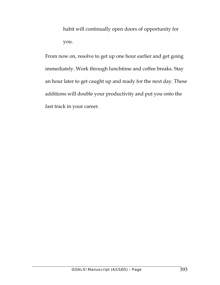habit will continually open doors of opportunity for you.

From now on, resolve to get up one hour earlier and get going immediately. Work through lunchtime and coffee breaks. Stay an hour later to get caught up and ready for the next day. These additions will double your productivity and put you onto the fast track in your career.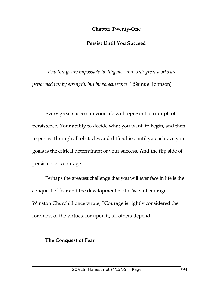## **Chapter Twenty-One**

## **Persist Until You Succeed**

*"Few things are impossible to diligence and skill; great works are performed not by strength, but by perseverance."* (Samuel Johnson)

Every great success in your life will represent a triumph of persistence. Your ability to decide what you want, to begin, and then to persist through all obstacles and difficulties until you achieve your goals is the critical determinant of your success. And the flip side of persistence is courage.

Perhaps the greatest challenge that you will ever face in life is the conquest of fear and the development of the *habit* of courage. Winston Churchill once wrote, "Courage is rightly considered the foremost of the virtues, for upon it, all others depend."

### **The Conquest of Fear**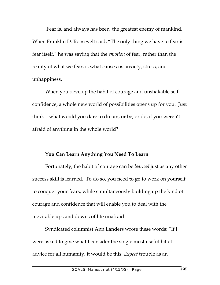Fear is, and always has been, the greatest enemy of mankind. When Franklin D. Roosevelt said, "The only thing we have to fear is fear itself," he was saying that the *emotion* of fear, rather than the reality of what we fear, is what causes us anxiety, stress, and unhappiness.

When you develop the habit of courage and unshakable selfconfidence, a whole new world of possibilities opens up for you. Just think—what would you dare to dream, or be, or do, if you weren't afraid of anything in the whole world?

## **You Can Learn Anything You Need To Learn**

Fortunately, the habit of courage can be *learned* just as any other success skill is learned. To do so, you need to go to work on yourself to conquer your fears, while simultaneously building up the kind of courage and confidence that will enable you to deal with the inevitable ups and downs of life unafraid.

Syndicated columnist Ann Landers wrote these words: "If I were asked to give what I consider the single most useful bit of advice for all humanity, it would be this: *Expect* trouble as an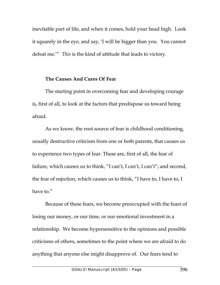inevitable part of life, and when it comes, hold your head high. Look it squarely in the eye, and say, 'I will be bigger than you. You cannot defeat me.'" *This* is the kind of attitude that leads to victory.

### **The Causes And Cures Of Fear**

The starting point in overcoming fear and developing courage is, first of all, to look at the factors that predispose us toward being afraid.

As we know, the root source of fear is childhood conditioning, usually destructive criticism from one or both parents, that causes us to experience two types of fear. These are, first of all, the fear of failure, which causes us to think, "I can't, I can't, I can't"; and second, the fear of rejection, which causes us to think, "I have to, I have to, I have to."

Because of these fears, we become preoccupied with the fears of losing our money, or our time, or our emotional investment in a relationship. We become hypersensitive to the opinions and possible criticisms of others, sometimes to the point where we are afraid to do anything that anyone else might disapprove of. Our fears tend to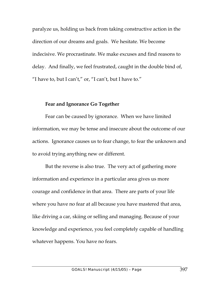paralyze us, holding us back from taking constructive action in the direction of our dreams and goals. We hesitate. We become indecisive. We procrastinate. We make excuses and find reasons to delay. And finally, we feel frustrated, caught in the double bind of, "I have to, but I can't," or, "I can't, but I have to."

#### **Fear and Ignorance Go Together**

Fear can be caused by ignorance. When we have limited information, we may be tense and insecure about the outcome of our actions. Ignorance causes us to fear change, to fear the unknown and to avoid trying anything new or different.

But the reverse is also true. The very act of gathering more information and experience in a particular area gives us more courage and confidence in that area. There are parts of your life where you have no fear at all because you have mastered that area, like driving a car, skiing or selling and managing. Because of your knowledge and experience, you feel completely capable of handling whatever happens. You have no fears.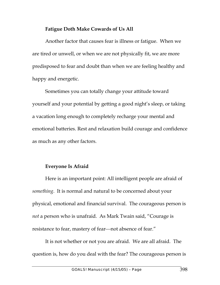## **Fatigue Doth Make Cowards of Us All**

Another factor that causes fear is illness or fatigue. When we are tired or unwell, or when we are not physically fit, we are more predisposed to fear and doubt than when we are feeling healthy and happy and energetic.

Sometimes you can totally change your attitude toward yourself and your potential by getting a good night's sleep, or taking a vacation long enough to completely recharge your mental and emotional batteries. Rest and relaxation build courage and confidence as much as any other factors.

## **Everyone Is Afraid**

Here is an important point: All intelligent people are afraid of *something*. It is normal and natural to be concerned about your physical, emotional and financial survival. The courageous person is *not* a person who is unafraid. As Mark Twain said, "Courage is resistance to fear, mastery of fear-not absence of fear."

It is not whether or not you are afraid. We are all afraid. The question is, how do you deal with the fear? The courageous person is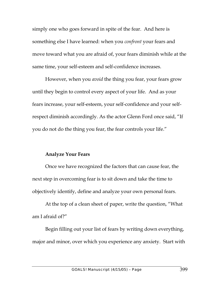simply one who goes forward in spite of the fear. And here is something else I have learned: when you *confront* your fears and move toward what you are afraid of, your fears diminish while at the same time, your self-esteem and self-confidence increases.

However, when you *avoid* the thing you fear, your fears grow until they begin to control every aspect of your life. And as your fears increase, your self-esteem, your self-confidence and your selfrespect diminish accordingly. As the actor Glenn Ford once said, "If you do not do the thing you fear, the fear controls your life."

## **Analyze Your Fears**

Once we have recognized the factors that can cause fear, the next step in overcoming fear is to sit down and take the time to objectively identify, define and analyze your own personal fears.

At the top of a clean sheet of paper, write the question, "What am I afraid of?"

Begin filling out your list of fears by writing down everything, major and minor, over which you experience any anxiety. Start with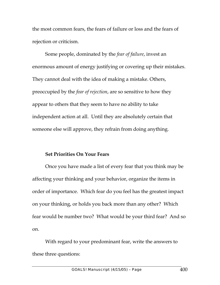the most common fears, the fears of failure or loss and the fears of rejection or criticism.

Some people, dominated by the *fear of failure*, invest an enormous amount of energy justifying or covering up their mistakes. They cannot deal with the idea of making a mistake. Others, preoccupied by the *fear of rejection*, are so sensitive to how they appear to others that they seem to have no ability to take independent action at all. Until they are absolutely certain that someone else will approve, they refrain from doing anything.

#### **Set Priorities On Your Fears**

Once you have made a list of every fear that you think may be affecting your thinking and your behavior, organize the items in order of importance. Which fear do you feel has the greatest impact on your thinking, or holds you back more than any other? Which fear would be number two? What would be your third fear? And so on.

With regard to your predominant fear, write the answers to these three questions: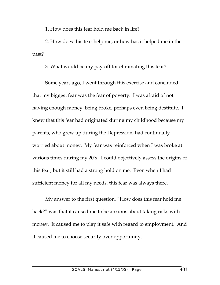1. How does this fear hold me back in life?

2. How does this fear help me, or how has it helped me in the past?

3. What would be my pay-off for eliminating this fear?

Some years ago, I went through this exercise and concluded that my biggest fear was the fear of poverty. I was afraid of not having enough money, being broke, perhaps even being destitute. I knew that this fear had originated during my childhood because my parents, who grew up during the Depression, had continually worried about money. My fear was reinforced when I was broke at various times during my 20's. I could objectively assess the origins of this fear, but it still had a strong hold on me. Even when I had sufficient money for all my needs, this fear was always there.

My answer to the first question, "How does this fear hold me back?" was that it caused me to be anxious about taking risks with money. It caused me to play it safe with regard to employment. And it caused me to choose security over opportunity.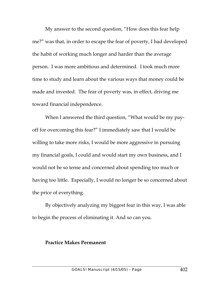My answer to the second question, "How does this fear help me?" was that, in order to escape the fear of poverty, I had developed the habit of working much longer and harder than the average person. I was more ambitious and determined. I took much more time to study and learn about the various ways that money could be made and invested. The fear of poverty was, in effect, driving me toward financial independence.

When I answered the third question, "What would be my payoff for overcoming this fear?" I immediately saw that I would be willing to take more risks, I would be more aggressive in pursuing my financial goals, I could and would start my own business, and I would not be so tense and concerned about spending too much or having too little. Especially, I would no longer be so concerned about the price of everything.

By objectively analyzing my biggest fear in this way, I was able to begin the process of eliminating it. And so can you.

#### **Practice Makes Permanent**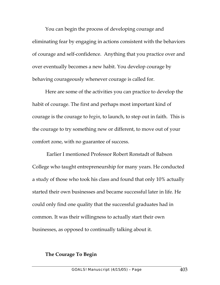You can begin the process of developing courage and eliminating fear by engaging in actions consistent with the behaviors of courage and self-confidence. Anything that you practice over and over eventually becomes a new habit. You develop courage by behaving courageously whenever courage is called for.

Here are some of the activities you can practice to develop the habit of courage. The first and perhaps most important kind of courage is the courage to *begin*, to launch, to step out in faith. This is the courage to try something new or different, to move out of your comfort zone, with no guarantee of success.

 Earlier I mentioned Professor Robert Ronstadt of Babson College who taught entrepreneurship for many years. He conducted a study of those who took his class and found that only 10% actually started their own businesses and became successful later in life. He could only find one quality that the successful graduates had in common. It was their willingness to actually start their own businesses, as opposed to continually talking about it.

## **The Courage To Begin**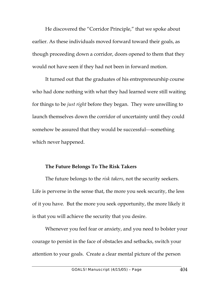He discovered the "Corridor Principle," that we spoke about earlier. As these individuals moved forward toward their goals, as though proceeding down a corridor, doors opened to them that they would not have seen if they had not been in forward motion.

It turned out that the graduates of his entrepreneurship course who had done nothing with what they had learned were still waiting for things to be *just right* before they began. They were unwilling to launch themselves down the corridor of uncertainty until they could somehow be assured that they would be successful—something which never happened.

## **The Future Belongs To The Risk Takers**

The future belongs to the *risk takers*, not the security seekers. Life is perverse in the sense that, the more you seek security, the less of it you have. But the more you seek opportunity, the more likely it is that you will achieve the security that you desire.

Whenever you feel fear or anxiety, and you need to bolster your courage to persist in the face of obstacles and setbacks, switch your attention to your goals. Create a clear mental picture of the person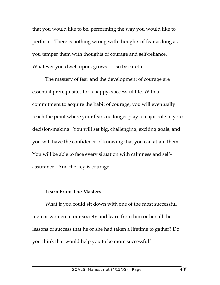that you would like to be, performing the way you would like to perform. There is nothing wrong with thoughts of fear as long as you temper them with thoughts of courage and self-reliance. Whatever you dwell upon, grows . . . so be careful.

The mastery of fear and the development of courage are essential prerequisites for a happy, successful life. With a commitment to acquire the habit of courage, you will eventually reach the point where your fears no longer play a major role in your decision-making. You will set big, challenging, exciting goals, and you will have the confidence of knowing that you can attain them. You will be able to face every situation with calmness and selfassurance. And the key is courage.

## **Learn From The Masters**

What if you could sit down with one of the most successful men or women in our society and learn from him or her all the lessons of success that he or she had taken a lifetime to gather? Do you think that would help you to be more successful?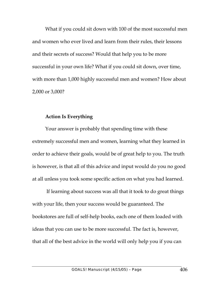What if you could sit down with 100 of the most successful men and women who ever lived and learn from their rules, their lessons and their secrets of success? Would that help you to be more successful in your own life? What if you could sit down, over time, with more than 1,000 highly successful men and women? How about 2,000 or 3,000?

## **Action Is Everything**

Your answer is probably that spending time with these extremely successful men and women, learning what they learned in order to achieve their goals, would be of great help to you. The truth is however, is that all of this advice and input would do you no good at all unless you took some specific action on what you had learned.

 If learning about success was all that it took to do great things with your life, then your success would be guaranteed. The bookstores are full of self-help books, each one of them loaded with ideas that you can use to be more successful. The fact is, however, that all of the best advice in the world will only help you if you can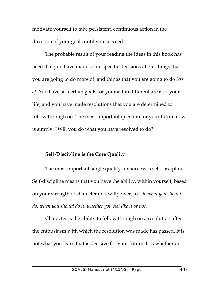motivate yourself to take persistent, continuous action in the direction of your goals until you succeed.

The probable result of your reading the ideas in this book has been that you have made some specific decisions about things that you are going to do more of, and things that you are going to do *less of*. You have set certain goals for yourself in different areas of your life, and you have made resolutions that you are determined to follow through on. The most important question for your future now is simply: "Will you do what you have resolved to do?"

### **Self-Discipline is the Core Quality**

The most important single quality for success is self-discipline. Self-discipline means that you have the ability, within yourself, based on your strength of character and willpower, to *"do what you should do, when you should do it, whether you feel like it or not."*

Character is the ability to follow through on a resolution after the enthusiasm with which the resolution was made has passed. It is not what you learn that is decisive for your future. It is whether or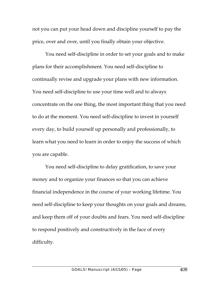not you can put your head down and discipline yourself to pay the price, over and over, until you finally obtain your objective.

You need self-discipline in order to set your goals and to make plans for their accomplishment. You need self-discipline to continually revise and upgrade your plans with new information. You need self-discipline to use your time well and to always concentrate on the one thing, the most important thing that you need to do at the moment. You need self-discipline to invest in yourself every day, to build yourself up personally and professionally, to learn what you need to learn in order to enjoy the success of which you are capable.

You need self-discipline to delay gratification, to save your money and to organize your finances so that you can achieve financial independence in the course of your working lifetime. You need self-discipline to keep your thoughts on your goals and dreams, and keep them off of your doubts and fears. You need self-discipline to respond positively and constructively in the face of every difficulty.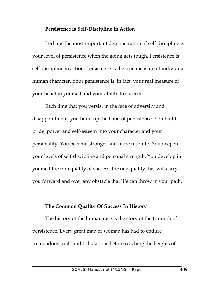### **Persistence is Self-Discipline in Action**

Perhaps the most important demonstration of self-discipline is your level of persistence when the going gets tough. Persistence is self-discipline in action. Persistence is the true measure of individual human character. Your persistence is, in fact, your real measure of your belief in yourself and your ability to succeed.

Each time that you persist in the face of adversity and disappointment, you build up the habit of persistence. You build pride, power and self-esteem into your character and your personality. You become stronger and more resolute. You deepen your levels of self-discipline and personal strength. You develop in yourself the iron quality of success, the one quality that will carry you forward and over any obstacle that life can throw in your path.

## **The Common Quality Of Success In History**

The history of the human race is the story of the triumph of persistence. Every great man or woman has had to endure tremendous trials and tribulations before reaching the heights of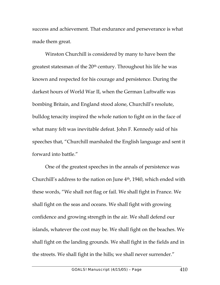success and achievement. That endurance and perseverance is what made them great.

Winston Churchill is considered by many to have been the greatest statesman of the 20th century. Throughout his life he was known and respected for his courage and persistence. During the darkest hours of World War II, when the German Luftwaffe was bombing Britain, and England stood alone, Churchill's resolute, bulldog tenacity inspired the whole nation to fight on in the face of what many felt was inevitable defeat. John F. Kennedy said of his speeches that, "Churchill marshaled the English language and sent it forward into battle."

One of the greatest speeches in the annals of persistence was Churchill's address to the nation on June 4th, 1940, which ended with these words, "We shall not flag or fail. We shall fight in France. We shall fight on the seas and oceans. We shall fight with growing confidence and growing strength in the air. We shall defend our islands, whatever the cost may be. We shall fight on the beaches. We shall fight on the landing grounds. We shall fight in the fields and in the streets. We shall fight in the hills; we shall never surrender."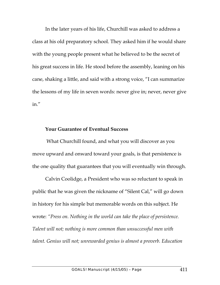In the later years of his life, Churchill was asked to address a class at his old preparatory school. They asked him if he would share with the young people present what he believed to be the secret of his great success in life. He stood before the assembly, leaning on his cane, shaking a little, and said with a strong voice, "I can summarize the lessons of my life in seven words: never give in; never, never give in."

#### **Your Guarantee of Eventual Success**

 What Churchill found, and what you will discover as you move upward and onward toward your goals, is that persistence is the one quality that guarantees that you will eventually win through.

Calvin Coolidge, a President who was so reluctant to speak in public that he was given the nickname of "Silent Cal," will go down in history for his simple but memorable words on this subject. He wrote: *"Press on. Nothing in the world can take the place of persistence. Talent will not; nothing is more common than unsuccessful men with talent. Genius will not; unrewarded genius is almost a proverb. Education*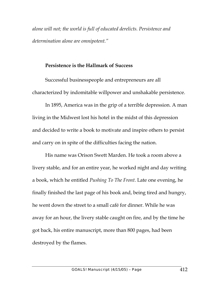*alone will not; the world is full of educated derelicts. Persistence and determination alone are omnipotent."* 

#### **Persistence is the Hallmark of Success**

Successful businesspeople and entrepreneurs are all characterized by indomitable willpower and unshakable persistence.

In 1895, America was in the grip of a terrible depression. A man living in the Midwest lost his hotel in the midst of this depression and decided to write a book to motivate and inspire others to persist and carry on in spite of the difficulties facing the nation.

His name was Orison Swett Marden. He took a room above a livery stable, and for an entire year, he worked night and day writing a book, which he entitled *Pushing To The Front*. Late one evening, he finally finished the last page of his book and, being tired and hungry, he went down the street to a small café for dinner. While he was away for an hour, the livery stable caught on fire, and by the time he got back, his entire manuscript, more than 800 pages, had been destroyed by the flames.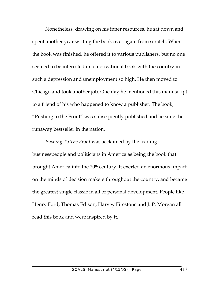Nonetheless, drawing on his inner resources, he sat down and spent another year writing the book over again from scratch. When the book was finished, he offered it to various publishers, but no one seemed to be interested in a motivational book with the country in such a depression and unemployment so high. He then moved to Chicago and took another job. One day he mentioned this manuscript to a friend of his who happened to know a publisher. The book, "Pushing to the Front" was subsequently published and became the runaway bestseller in the nation.

*Pushing To The Front* was acclaimed by the leading businesspeople and politicians in America as being the book that brought America into the 20<sup>th</sup> century. It exerted an enormous impact on the minds of decision makers throughout the country, and became the greatest single classic in all of personal development. People like Henry Ford, Thomas Edison, Harvey Firestone and J. P. Morgan all read this book and were inspired by it.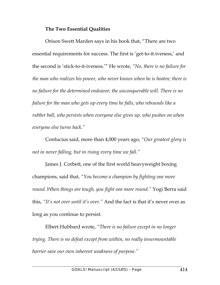## **The Two Essential Qualities**

Orison Swett Marden says in his book that, "There are two essential requirements for success. The first is 'get-to-it-iveness,' and the second is 'stick-to-it-iveness.'" He wrote, *"No, there is no failure for the man who realizes his power, who never knows when he is beaten; there is no failure for the determined endeavor; the unconquerable will. There is no failure for the man who gets up every time he falls, who rebounds like a rubber ball, who persists when everyone else gives up, who pushes on when everyone else turns back."* 

Confucius said, more than 4,000 years ago, *"Our greatest glory is not in never falling, but in rising every time we fall."*

James J. Corbett, one of the first world heavyweight boxing champions, said that, *"You become a champion by fighting one more round. When things are tough, you fight one more round."* Yogi Berra said this, *"It's not over until it's over."* And the fact is that it's never over as long as you continue to persist.

Elbert Hubbard wrote, *"There is no failure except in no longer trying. There is no defeat except from within, no really insurmountable barrier save our own inherent weakness of purpose."*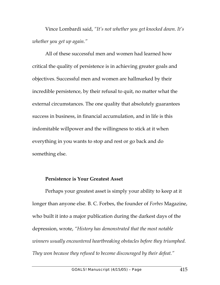Vince Lombardi said, *"It's not whether you get knocked down. It's whether you get up again."* 

All of these successful men and women had learned how critical the quality of persistence is in achieving greater goals and objectives. Successful men and women are hallmarked by their incredible persistence, by their refusal to quit, no matter what the external circumstances. The one quality that absolutely guarantees success in business, in financial accumulation, and in life is this indomitable willpower and the willingness to stick at it when everything in you wants to stop and rest or go back and do something else.

#### **Persistence is Your Greatest Asset**

Perhaps your greatest asset is simply your ability to keep at it longer than anyone else. B. C. Forbes, the founder of *Forbes* Magazine, who built it into a major publication during the darkest days of the depression, wrote, *"History has demonstrated that the most notable winners usually encountered heartbreaking obstacles before they triumphed. They won because they refused to become discouraged by their defeat."*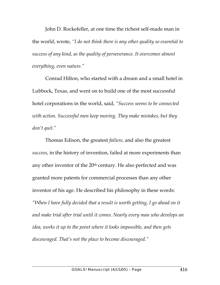John D. Rockefeller, at one time the richest self-made man in the world, wrote, *"I do not think there is any other quality so essential to success of any kind, as the quality of perseverance. It overcomes almost everything, even nature."*

Conrad Hilton, who started with a dream and a small hotel in Lubbock, Texas, and went on to build one of the most successful hotel corporations in the world, said, *"Success seems to be connected with action. Successful men keep moving. They make mistakes, but they don't quit."* 

Thomas Edison, the greatest *failure*, and also the greatest *success*, in the history of invention, failed at more experiments than any other inventor of the 20<sup>th</sup> century. He also perfected and was granted more patents for commercial processes than any other inventor of his age. He described his philosophy in these words: *"When I have fully decided that a result is worth getting, I go ahead on it and make trial after trial until it comes. Nearly every man who develops an idea, works it up to the point where it looks impossible, and then gets discouraged. That's not the place to become discouraged."*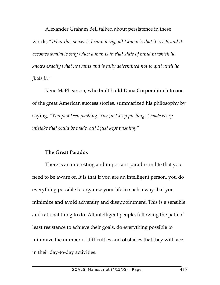Alexander Graham Bell talked about persistence in these words, *"What this power is I cannot say; all I know is that it exists and it becomes available only when a man is in that state of mind in which he knows exactly what he wants and is fully determined not to quit until he finds it."* 

Rene McPhearson, who built build Dana Corporation into one of the great American success stories, summarized his philosophy by saying, *"You just keep pushing. You just keep pushing. I made every mistake that could be made, but I just kept pushing."* 

#### **The Great Paradox**

There is an interesting and important paradox in life that you need to be aware of. It is that if you are an intelligent person, you do everything possible to organize your life in such a way that you minimize and avoid adversity and disappointment. This is a sensible and rational thing to do. All intelligent people, following the path of least resistance to achieve their goals, do everything possible to minimize the number of difficulties and obstacles that they will face in their day-to-day activities.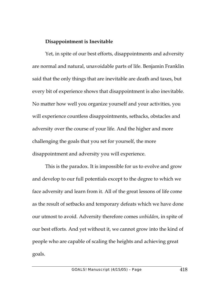### **Disappointment is Inevitable**

Yet, in spite of our best efforts, disappointments and adversity are normal and natural, unavoidable parts of life. Benjamin Franklin said that the only things that are inevitable are death and taxes, but every bit of experience shows that disappointment is also inevitable. No matter how well you organize yourself and your activities, you will experience countless disappointments, setbacks, obstacles and adversity over the course of your life. And the higher and more challenging the goals that you set for yourself, the more disappointment and adversity you will experience.

This is the paradox. It is impossible for us to evolve and grow and develop to our full potentials except to the degree to which we face adversity and learn from it. All of the great lessons of life come as the result of setbacks and temporary defeats which we have done our utmost to avoid. Adversity therefore comes *unbidden*, in spite of our best efforts. And yet without it, we cannot grow into the kind of people who are capable of scaling the heights and achieving great goals.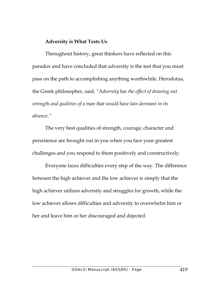## **Adversity is What Tests Us**

Throughout history, great thinkers have reflected on this paradox and have concluded that adversity is the test that you must pass on the path to accomplishing anything worthwhile. Herodotus, the Greek philosopher, said, *"Adversity has the effect of drawing out strength and qualities of a man that would have lain dormant in its absence."* 

The very best qualities of strength, courage, character and persistence are brought out in you when you face your greatest challenges and you respond to them positively and constructively.

Everyone faces difficulties every step of the way. The difference between the high achiever and the low achiever is simply that the high achiever utilizes adversity and struggles for growth, while the low achiever allows difficulties and adversity to overwhelm him or her and leave him or her discouraged and dejected.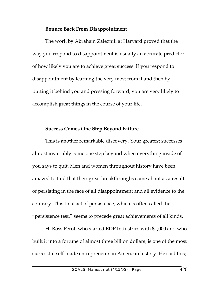## **Bounce Back From Disappointment**

The work by Abraham Zaleznik at Harvard proved that the way you respond to disappointment is usually an accurate predictor of how likely you are to achieve great success. If you respond to disappointment by learning the very most from it and then by putting it behind you and pressing forward, you are very likely to accomplish great things in the course of your life.

## **Success Comes One Step Beyond Failure**

This is another remarkable discovery. Your greatest successes almost invariably come one step beyond when everything inside of you says to quit. Men and women throughout history have been amazed to find that their great breakthroughs came about as a result of persisting in the face of all disappointment and all evidence to the contrary. This final act of persistence, which is often called the "persistence test," seems to precede great achievements of all kinds.

H. Ross Perot, who started EDP Industries with \$1,000 and who built it into a fortune of almost three billion dollars, is one of the most successful self-made entrepreneurs in American history. He said this;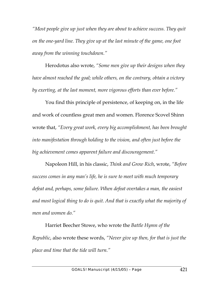*"Most people give up just when they are about to achieve success. They quit on the one-yard line. They give up at the last minute of the game, one foot away from the winning touchdown."* 

Herodotus also wrote, *"Some men give up their designs when they have almost reached the goal; while others, on the contrary, obtain a victory by exerting, at the last moment, more vigorous efforts than ever before."* 

You find this principle of persistence, of keeping on, in the life and work of countless great men and women. Florence Scovel Shinn wrote that, *"Every great work, every big accomplishment, has been brought into manifestation through holding to the vision, and often just before the big achievement comes apparent failure and discouragement."* 

Napoleon Hill, in his classic, *Think and Grow Rich*, wrote, *"Before success comes in any man's life, he is sure to meet with much temporary defeat and, perhaps, some failure. When defeat overtakes a man, the easiest and most logical thing to do is quit. And that is exactly what the majority of men and women do."* 

Harriet Beecher Stowe, who wrote the *Battle Hymn of the Republic*, also wrote these words, *"Never give up then, for that is just the place and time that the tide will turn."*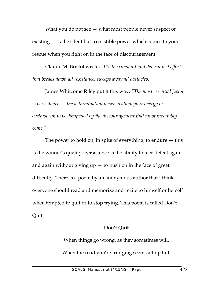What you do not see – what most people never suspect of existing — is the silent but irresistible power which comes to your rescue when you fight on in the face of discouragement.

Claude M. Bristol wrote, *"It's the constant and determined effort that breaks down all resistance, sweeps away all obstacles."* 

James Whitcome Riley put it this way, *"The most essential factor is persistence — the determination never to allow your energy or enthusiasm to be dampened by the discouragement that must inevitably come."* 

The power to hold on, in spite of everything, to endure  $-$  this is the winner's quality. Persistence is the ability to face defeat again and again without giving  $up - to push on in the face of great$ difficulty. There is a poem by an anonymous author that I think everyone should read and memorize and recite to himself or herself when tempted to quit or to stop trying. This poem is called Don't Quit.

## **Don't Quit**

When things go wrong, as they sometimes will. When the road you're trudging seems all up hill.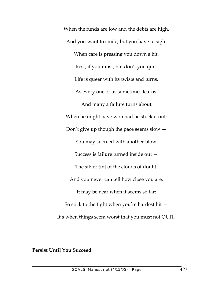When the funds are low and the debts are high. And you want to smile, but you have to sigh. When care is pressing you down a bit. Rest, if you must, but don't you quit. Life is queer with its twists and turns. As every one of us sometimes learns. And many a failure turns about When he might have won had he stuck it out: Don't give up though the pace seems slow — You may succeed with another blow. Success is failure turned inside out — The silver tint of the clouds of doubt. And you never can tell how close you are. It may be near when it seems so far: So stick to the fight when you're hardest hit — It's when things seem worst that you must not QUIT.

**Persist Until You Succeed:**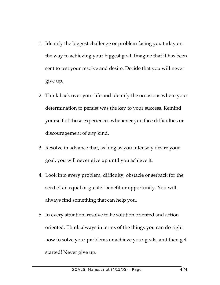- 1. Identify the biggest challenge or problem facing you today on the way to achieving your biggest goal. Imagine that it has been sent to test your resolve and desire. Decide that you will never give up.
- 2. Think back over your life and identify the occasions where your determination to persist was the key to your success. Remind yourself of those experiences whenever you face difficulties or discouragement of any kind.
- 3. Resolve in advance that, as long as you intensely desire your goal, you will never give up until you achieve it.
- 4. Look into every problem, difficulty, obstacle or setback for the seed of an equal or greater benefit or opportunity. You will always find something that can help you.
- 5. In every situation, resolve to be solution oriented and action oriented. Think always in terms of the things you can do right now to solve your problems or achieve your goals, and then get started! Never give up.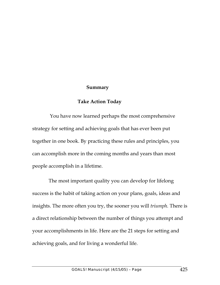#### **Summary**

# **Take Action Today**

 You have now learned perhaps the most comprehensive strategy for setting and achieving goals that has ever been put together in one book. By practicing these rules and principles, you can accomplish more in the coming months and years than most people accomplish in a lifetime.

 The most important quality you can develop for lifelong success is the habit of taking action on your plans, goals, ideas and insights. The more often you try, the sooner you will *triumph.* There is a direct relationship between the number of things you attempt and your accomplishments in life. Here are the 21 steps for setting and achieving goals, and for living a wonderful life.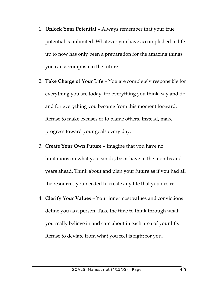- 1. **Unlock Your Potential** Always remember that your true potential is unlimited. Whatever you have accomplished in life up to now has only been a preparation for the amazing things you can accomplish in the future.
- 2. **Take Charge of Your Life** You are completely responsible for everything you are today, for everything you think, say and do, and for everything you become from this moment forward. Refuse to make excuses or to blame others. Instead, make progress toward your goals every day.
- 3. **Create Your Own Future** Imagine that you have no limitations on what you can do, be or have in the months and years ahead. Think about and plan your future as if you had all the resources you needed to create any life that you desire.
- 4. **Clarify Your Values** Your innermost values and convictions define you as a person. Take the time to think through what you really believe in and care about in each area of your life. Refuse to deviate from what you feel is right for you.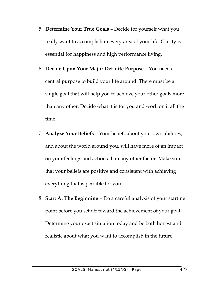- 5. **Determine Your True Goals** Decide for yourself what you really want to accomplish in every area of your life. Clarity is essential for happiness and high performance living.
- 6. **Decide Upon Your Major Definite Purpose** You need a central purpose to build your life around. There must be a single goal that will help you to achieve your other goals more than any other. Decide what it is for you and work on it all the time.
- 7. **Analyze Your Beliefs** Your beliefs about your own abilities, and about the world around you, will have more of an impact on your feelings and actions than any other factor. Make sure that your beliefs are positive and consistent with achieving everything that is possible for you.
- 8. **Start At The Beginning** Do a careful analysis of your starting point before you set off toward the achievement of your goal. Determine your exact situation today and be both honest and realistic about what you want to accomplish in the future.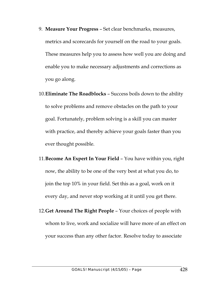- 9. **Measure Your Progress** Set clear benchmarks, measures, metrics and scorecards for yourself on the road to your goals. These measures help you to assess how well you are doing and enable you to make necessary adjustments and corrections as you go along.
- 10.**Eliminate The Roadblocks** Success boils down to the ability to solve problems and remove obstacles on the path to your goal. Fortunately, problem solving is a skill you can master with practice, and thereby achieve your goals faster than you ever thought possible.
- 11.**Become An Expert In Your Field** You have within you, right now, the ability to be one of the very best at what you do, to join the top 10% in your field. Set this as a goal, work on it every day, and never stop working at it until you get there.
- 12.**Get Around The Right People** Your choices of people with whom to live, work and socialize will have more of an effect on your success than any other factor. Resolve today to associate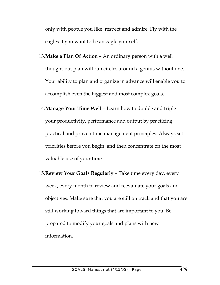only with people you like, respect and admire. Fly with the eagles if you want to be an eagle yourself.

- 13.**Make a Plan Of Action** An ordinary person with a well thought-out plan will run circles around a genius without one. Your ability to plan and organize in advance will enable you to accomplish even the biggest and most complex goals.
- 14.**Manage Your Time Well**  Learn how to double and triple your productivity, performance and output by practicing practical and proven time management principles. Always set priorities before you begin, and then concentrate on the most valuable use of your time.
- 15.**Review Your Goals Regularly** Take time every day, every week, every month to review and reevaluate your goals and objectives. Make sure that you are still on track and that you are still working toward things that are important to you. Be prepared to modify your goals and plans with new information.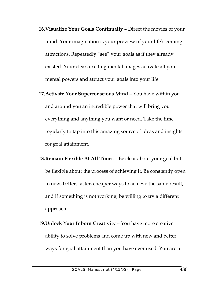- **16.Visualize Your Goals Continually** Direct the movies of your mind. Your imagination is your preview of your life's coming attractions. Repeatedly "see" your goals as if they already existed. Your clear, exciting mental images activate all your mental powers and attract your goals into your life.
- **17.Activate Your Superconscious Mind**  You have within you and around you an incredible power that will bring you everything and anything you want or need. Take the time regularly to tap into this amazing source of ideas and insights for goal attainment.
- **18.Remain Flexible At All Times**  Be clear about your goal but be flexible about the process of achieving it. Be constantly open to new, better, faster, cheaper ways to achieve the same result, and if something is not working, be willing to try a different approach.
- **19.Unlock Your Inborn Creativity** You have more creative ability to solve problems and come up with new and better ways for goal attainment than you have ever used. You are a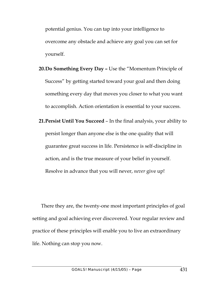potential genius. You can tap into your intelligence to overcome any obstacle and achieve any goal you can set for yourself.

- **20.Do Something Every Day** Use the "Momentum Principle of Success" by getting started toward your goal and then doing something every day that moves you closer to what you want to accomplish. Action orientation is essential to your success.
- **21.Persist Until You Succeed** In the final analysis, your ability to persist longer than anyone else is the one quality that will guarantee great success in life. Persistence is self-discipline in action, and is the true measure of your belief in yourself. Resolve in advance that you will never, *never* give up!

 There they are, the twenty-one most important principles of goal setting and goal achieving ever discovered. Your regular review and practice of these principles will enable you to live an extraordinary life. Nothing can stop you now.